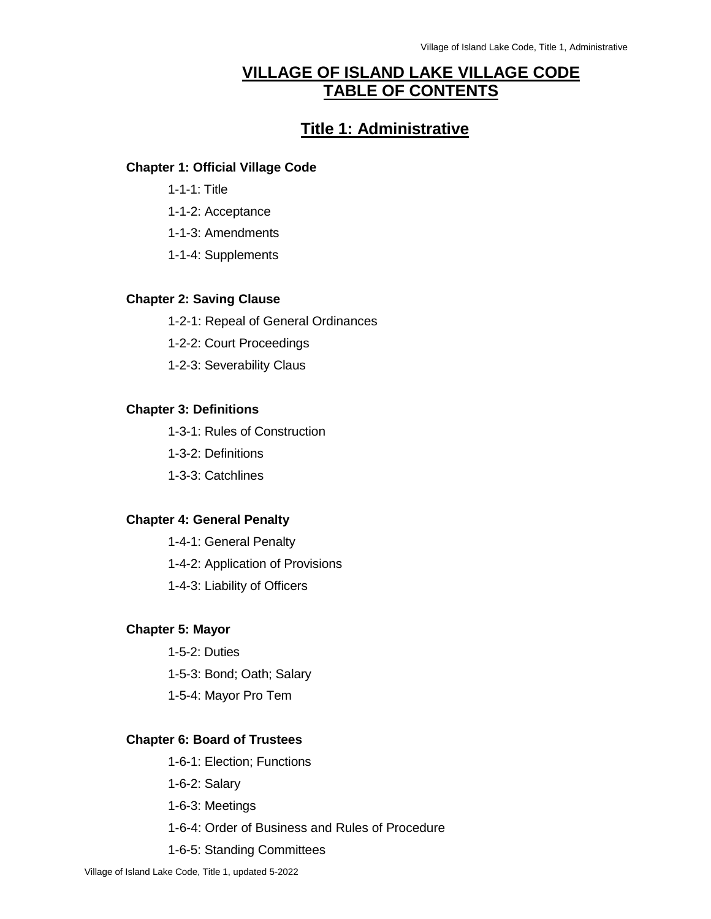## **VILLAGE OF ISLAND LAKE VILLAGE CODE TABLE OF CONTENTS**

## **Title 1: Administrative**

#### **Chapter 1: Official Village Code**

- 1-1-1: Title
- 1-1-2: Acceptance
- 1-1-3: Amendments
- 1-1-4: Supplements

#### **Chapter 2: Saving Clause**

- 1-2-1: Repeal of General Ordinances
- 1-2-2: Court Proceedings
- 1-2-3: Severability Claus

#### **Chapter 3: Definitions**

- 1-3-1: Rules of Construction
- 1-3-2: Definitions
- 1-3-3: Catchlines

#### **Chapter 4: General Penalty**

1-4-1: General Penalty 1-4-2: Application of Provisions 1-4-3: Liability of Officers

## **Chapter 5: Mayor**

- 1-5-2: Duties 1-5-3: Bond; Oath; Salary
- 1-5-4: Mayor Pro Tem

#### **Chapter 6: Board of Trustees**

- 1-6-1: Election; Functions
- 1-6-2: Salary
- 1-6-3: Meetings
- 1-6-4: Order of Business and Rules of Procedure
- 1-6-5: Standing Committees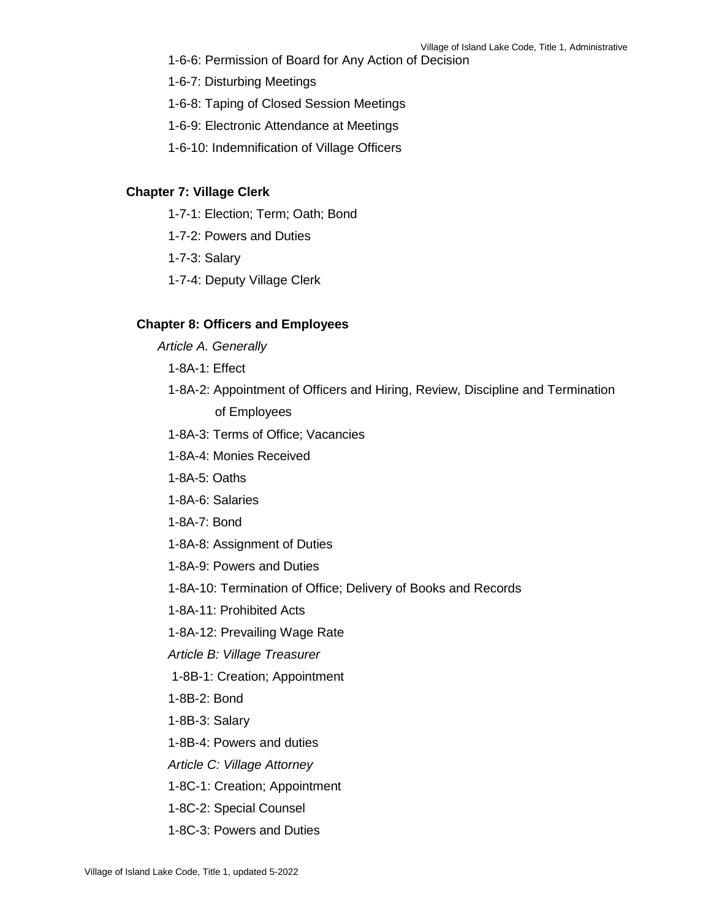- 1-6-6: Permission of Board for Any Action of Decision
- 1-6-7: Disturbing Meetings
- 1-6-8: Taping of Closed Session Meetings
- 1-6-9: Electronic Attendance at Meetings
- 1-6-10: Indemnification of Village Officers

#### **Chapter 7: Village Clerk**

- 1-7-1: Election; Term; Oath; Bond
- 1-7-2: Powers and Duties
- 1-7-3: Salary
- 1-7-4: Deputy Village Clerk

#### **Chapter 8: Officers and Employees**

- *Article A. Generally*
	- 1-8A-1: Effect
	- 1-8A-2: Appointment of Officers and Hiring, Review, Discipline and Termination of Employees
	- 1-8A-3: Terms of Office; Vacancies
	- 1-8A-4: Monies Received
	- 1-8A-5: Oaths
	- 1-8A-6: Salaries
	- 1-8A-7: Bond
	- 1-8A-8: Assignment of Duties
	- 1-8A-9: Powers and Duties
	- 1-8A-10: Termination of Office; Delivery of Books and Records
	- 1-8A-11: Prohibited Acts
	- 1-8A-12: Prevailing Wage Rate
	- *Article B: Village Treasurer*
	- 1-8B-1: Creation; Appointment
	- 1-8B-2: Bond
	- 1-8B-3: Salary
	- 1-8B-4: Powers and duties
	- *Article C: Village Attorney*
	- 1-8C-1: Creation; Appointment
	- 1-8C-2: Special Counsel
	- 1-8C-3: Powers and Duties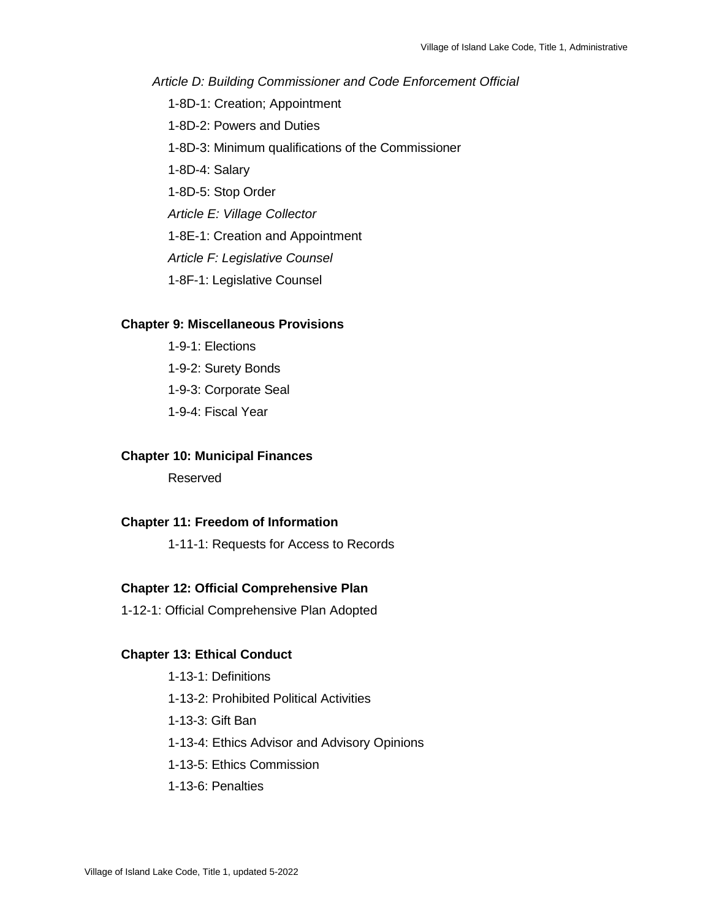*Article D: Building Commissioner and Code Enforcement Official*

- 1-8D-1: Creation; Appointment
- 1-8D-2: Powers and Duties
- 1-8D-3: Minimum qualifications of the Commissioner
- 1-8D-4: Salary
- 1-8D-5: Stop Order
- *Article E: Village Collector*
- 1-8E-1: Creation and Appointment
- *Article F: Legislative Counsel*
- 1-8F-1: Legislative Counsel

#### **Chapter 9: Miscellaneous Provisions**

1-9-1: Elections 1-9-2: Surety Bonds 1-9-3: Corporate Seal 1-9-4: Fiscal Year

#### **Chapter 10: Municipal Finances**

Reserved

#### **Chapter 11: Freedom of Information**

1-11-1: Requests for Access to Records

#### **Chapter 12: Official Comprehensive Plan**

1-12-1: Official Comprehensive Plan Adopted

#### **Chapter 13: Ethical Conduct**

1-13-1: Definitions

- 1-13-2: Prohibited Political Activities
- 1-13-3: Gift Ban
- 1-13-4: Ethics Advisor and Advisory Opinions
- 1-13-5: Ethics Commission
- 1-13-6: Penalties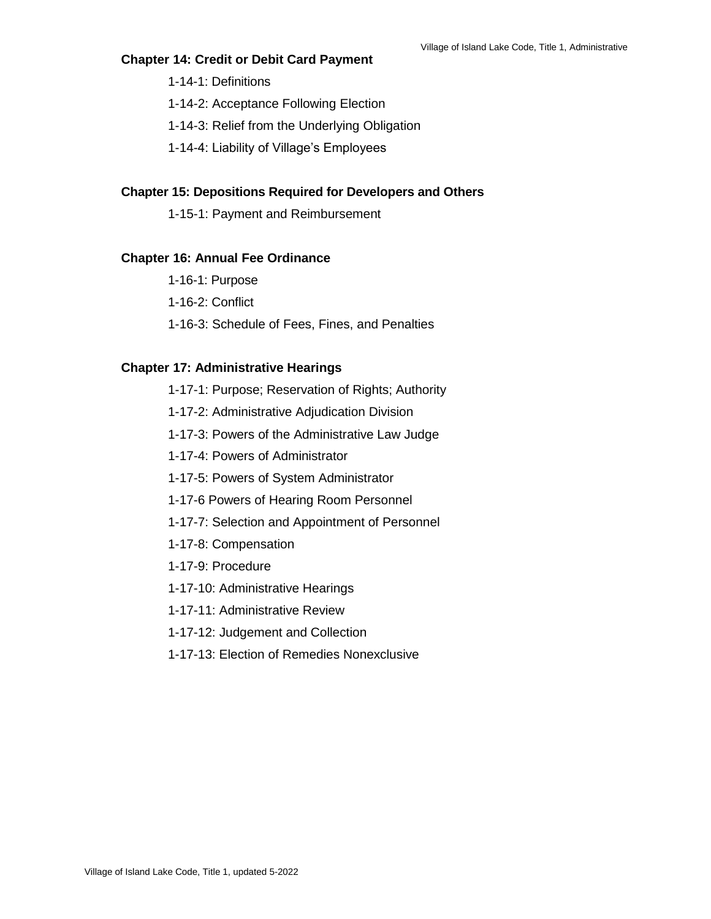#### **Chapter 14: Credit or Debit Card Payment**

- 1-14-1: Definitions
- 1-14-2: Acceptance Following Election
- 1-14-3: Relief from the Underlying Obligation
- 1-14-4: Liability of Village's Employees

#### **Chapter 15: Depositions Required for Developers and Others**

1-15-1: Payment and Reimbursement

#### **Chapter 16: Annual Fee Ordinance**

- 1-16-1: Purpose
- 1-16-2: Conflict
- 1-16-3: Schedule of Fees, Fines, and Penalties

#### **Chapter 17: Administrative Hearings**

- 1-17-1: Purpose; Reservation of Rights; Authority
- 1-17-2: Administrative Adjudication Division
- 1-17-3: Powers of the Administrative Law Judge
- 1-17-4: Powers of Administrator
- 1-17-5: Powers of System Administrator
- 1-17-6 Powers of Hearing Room Personnel
- 1-17-7: Selection and Appointment of Personnel
- 1-17-8: Compensation
- 1-17-9: Procedure
- 1-17-10: Administrative Hearings
- 1-17-11: Administrative Review
- 1-17-12: Judgement and Collection
- 1-17-13: Election of Remedies Nonexclusive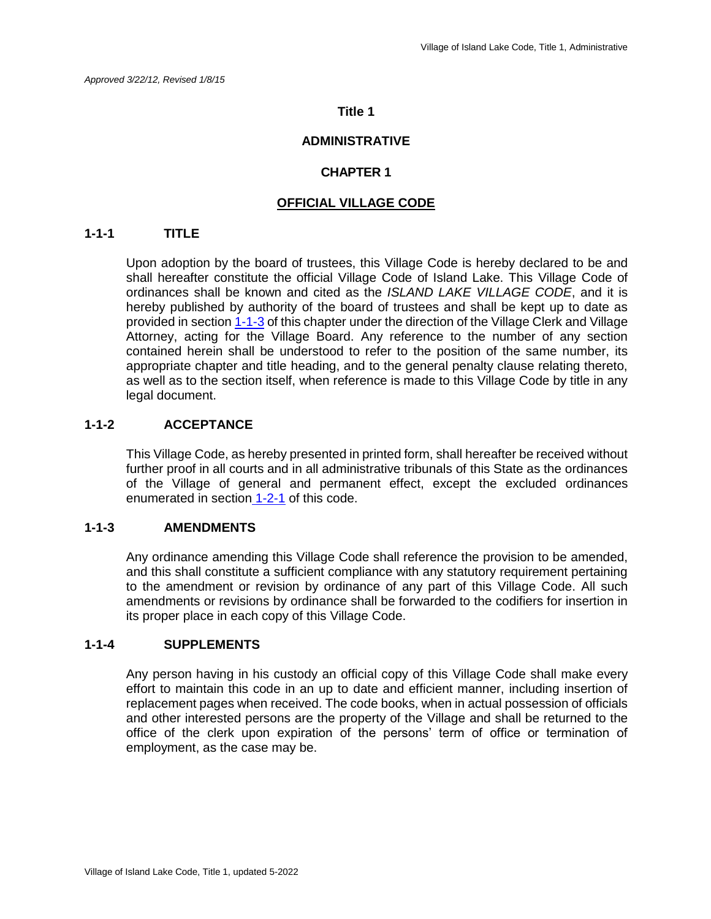#### **Title 1**

### **ADMINISTRATIVE**

#### **CHAPTER 1**

#### **OFFICIAL VILLAGE CODE**

#### **1-1-1 TITLE**

Upon adoption by the board of trustees, this Village Code is hereby declared to be and shall hereafter constitute the official Village Code of Island Lake. This Village Code of ordinances shall be known and cited as the *ISLAND LAKE VILLAGE CODE*, and it is hereby published by authority of the board of trustees and shall be kept up to date as provided in section 1-1-3 of this chapter under the direction of the Village Clerk and Village Attorney, acting for the Village Board. Any reference to the number of any section contained herein shall be understood to refer to the position of the same number, its appropriate chapter and title heading, and to the general penalty clause relating thereto, as well as to the section itself, when reference is made to this Village Code by title in any legal document.

#### **1-1-2 ACCEPTANCE**

This Village Code, as hereby presented in printed form, shall hereafter be received without further proof in all courts and in all administrative tribunals of this State as the ordinances of the Village of general and permanent effect, except the excluded ordinances enumerated in section 1-2-1 of this code.

#### **1-1-3 AMENDMENTS**

Any ordinance amending this Village Code shall reference the provision to be amended, and this shall constitute a sufficient compliance with any statutory requirement pertaining to the amendment or revision by ordinance of any part of this Village Code. All such amendments or revisions by ordinance shall be forwarded to the codifiers for insertion in its proper place in each copy of this Village Code.

#### **1-1-4 SUPPLEMENTS**

Any person having in his custody an official copy of this Village Code shall make every effort to maintain this code in an up to date and efficient manner, including insertion of replacement pages when received. The code books, when in actual possession of officials and other interested persons are the property of the Village and shall be returned to the office of the clerk upon expiration of the persons' term of office or termination of employment, as the case may be.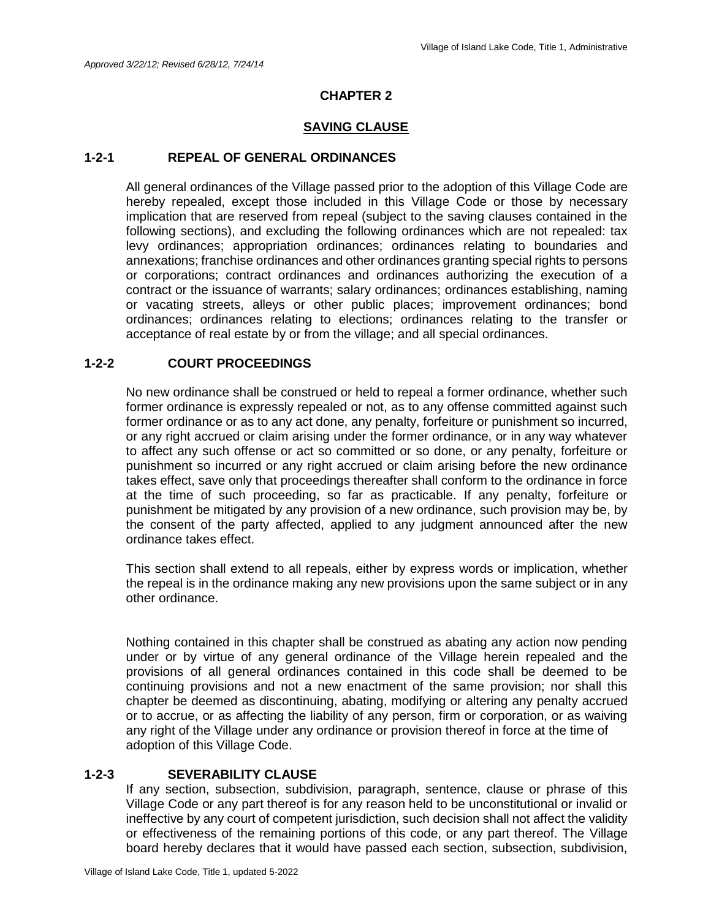#### **SAVING CLAUSE**

#### **1-2-1 REPEAL OF GENERAL ORDINANCES**

All general ordinances of the Village passed prior to the adoption of this Village Code are hereby repealed, except those included in this Village Code or those by necessary implication that are reserved from repeal (subject to the saving clauses contained in the following sections), and excluding the following ordinances which are not repealed: tax levy ordinances; appropriation ordinances; ordinances relating to boundaries and annexations; franchise ordinances and other ordinances granting special rights to persons or corporations; contract ordinances and ordinances authorizing the execution of a contract or the issuance of warrants; salary ordinances; ordinances establishing, naming or vacating streets, alleys or other public places; improvement ordinances; bond ordinances; ordinances relating to elections; ordinances relating to the transfer or acceptance of real estate by or from the village; and all special ordinances.

#### **1-2-2 COURT PROCEEDINGS**

No new ordinance shall be construed or held to repeal a former ordinance, whether such former ordinance is expressly repealed or not, as to any offense committed against such former ordinance or as to any act done, any penalty, forfeiture or punishment so incurred, or any right accrued or claim arising under the former ordinance, or in any way whatever to affect any such offense or act so committed or so done, or any penalty, forfeiture or punishment so incurred or any right accrued or claim arising before the new ordinance takes effect, save only that proceedings thereafter shall conform to the ordinance in force at the time of such proceeding, so far as practicable. If any penalty, forfeiture or punishment be mitigated by any provision of a new ordinance, such provision may be, by the consent of the party affected, applied to any judgment announced after the new ordinance takes effect.

This section shall extend to all repeals, either by express words or implication, whether the repeal is in the ordinance making any new provisions upon the same subject or in any other ordinance.

Nothing contained in this chapter shall be construed as abating any action now pending under or by virtue of any general ordinance of the Village herein repealed and the provisions of all general ordinances contained in this code shall be deemed to be continuing provisions and not a new enactment of the same provision; nor shall this chapter be deemed as discontinuing, abating, modifying or altering any penalty accrued or to accrue, or as affecting the liability of any person, firm or corporation, or as waiving any right of the Village under any ordinance or provision thereof in force at the time of adoption of this Village Code.

#### **1-2-3 SEVERABILITY CLAUSE**

If any section, subsection, subdivision, paragraph, sentence, clause or phrase of this Village Code or any part thereof is for any reason held to be unconstitutional or invalid or ineffective by any court of competent jurisdiction, such decision shall not affect the validity or effectiveness of the remaining portions of this code, or any part thereof. The Village board hereby declares that it would have passed each section, subsection, subdivision,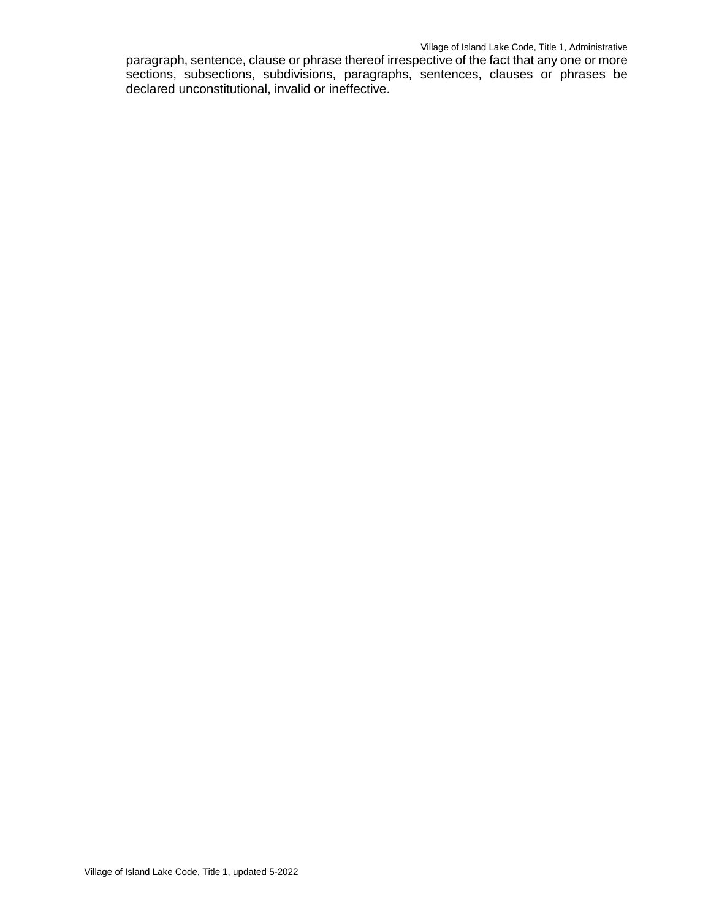#### Village of Island Lake Code, Title 1, Administrative

paragraph, sentence, clause or phrase thereof irrespective of the fact that any one or more sections, subsections, subdivisions, paragraphs, sentences, clauses or phrases be declared unconstitutional, invalid or ineffective.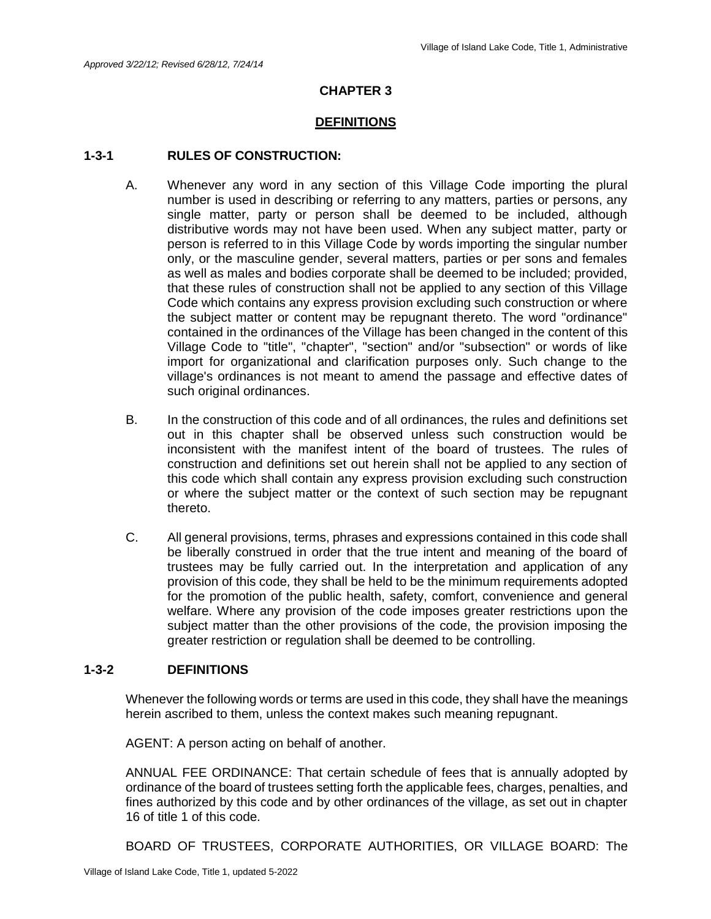#### **DEFINITIONS**

#### **1-3-1 RULES OF CONSTRUCTION:**

- A. Whenever any word in any section of this Village Code importing the plural number is used in describing or referring to any matters, parties or persons, any single matter, party or person shall be deemed to be included, although distributive words may not have been used. When any subject matter, party or person is referred to in this Village Code by words importing the singular number only, or the masculine gender, several matters, parties or per sons and females as well as males and bodies corporate shall be deemed to be included; provided, that these rules of construction shall not be applied to any section of this Village Code which contains any express provision excluding such construction or where the subject matter or content may be repugnant thereto. The word "ordinance" contained in the ordinances of the Village has been changed in the content of this Village Code to "title", "chapter", "section" and/or "subsection" or words of like import for organizational and clarification purposes only. Such change to the village's ordinances is not meant to amend the passage and effective dates of such original ordinances.
- B. In the construction of this code and of all ordinances, the rules and definitions set out in this chapter shall be observed unless such construction would be inconsistent with the manifest intent of the board of trustees. The rules of construction and definitions set out herein shall not be applied to any section of this code which shall contain any express provision excluding such construction or where the subject matter or the context of such section may be repugnant thereto.
- C. All general provisions, terms, phrases and expressions contained in this code shall be liberally construed in order that the true intent and meaning of the board of trustees may be fully carried out. In the interpretation and application of any provision of this code, they shall be held to be the minimum requirements adopted for the promotion of the public health, safety, comfort, convenience and general welfare. Where any provision of the code imposes greater restrictions upon the subject matter than the other provisions of the code, the provision imposing the greater restriction or regulation shall be deemed to be controlling.

#### **1-3-2 DEFINITIONS**

Whenever the following words or terms are used in this code, they shall have the meanings herein ascribed to them, unless the context makes such meaning repugnant.

AGENT: A person acting on behalf of another.

ANNUAL FEE ORDINANCE: That certain schedule of fees that is annually adopted by ordinance of the board of trustees setting forth the applicable fees, charges, penalties, and fines authorized by this code and by other ordinances of the village, as set out in chapter 16 of title 1 of this code.

BOARD OF TRUSTEES, CORPORATE AUTHORITIES, OR VILLAGE BOARD: The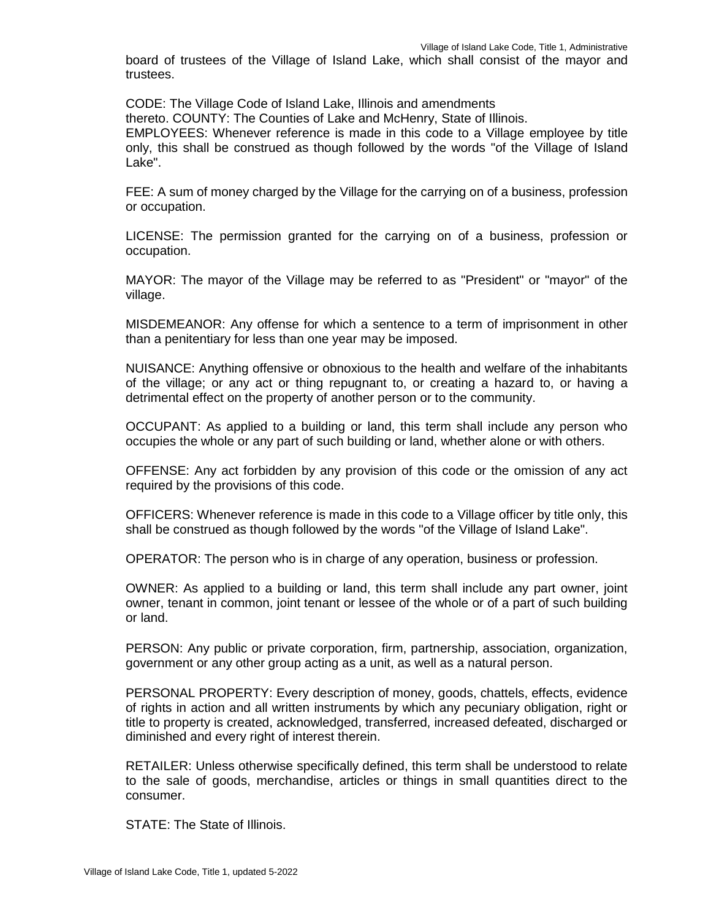board of trustees of the Village of Island Lake, which shall consist of the mayor and trustees.

CODE: The Village Code of Island Lake, Illinois and amendments

thereto. COUNTY: The Counties of Lake and McHenry, State of Illinois.

EMPLOYEES: Whenever reference is made in this code to a Village employee by title only, this shall be construed as though followed by the words "of the Village of Island Lake".

FEE: A sum of money charged by the Village for the carrying on of a business, profession or occupation.

LICENSE: The permission granted for the carrying on of a business, profession or occupation.

MAYOR: The mayor of the Village may be referred to as "President" or "mayor" of the village.

MISDEMEANOR: Any offense for which a sentence to a term of imprisonment in other than a penitentiary for less than one year may be imposed.

NUISANCE: Anything offensive or obnoxious to the health and welfare of the inhabitants of the village; or any act or thing repugnant to, or creating a hazard to, or having a detrimental effect on the property of another person or to the community.

OCCUPANT: As applied to a building or land, this term shall include any person who occupies the whole or any part of such building or land, whether alone or with others.

OFFENSE: Any act forbidden by any provision of this code or the omission of any act required by the provisions of this code.

OFFICERS: Whenever reference is made in this code to a Village officer by title only, this shall be construed as though followed by the words "of the Village of Island Lake".

OPERATOR: The person who is in charge of any operation, business or profession.

OWNER: As applied to a building or land, this term shall include any part owner, joint owner, tenant in common, joint tenant or lessee of the whole or of a part of such building or land.

PERSON: Any public or private corporation, firm, partnership, association, organization, government or any other group acting as a unit, as well as a natural person.

PERSONAL PROPERTY: Every description of money, goods, chattels, effects, evidence of rights in action and all written instruments by which any pecuniary obligation, right or title to property is created, acknowledged, transferred, increased defeated, discharged or diminished and every right of interest therein.

RETAILER: Unless otherwise specifically defined, this term shall be understood to relate to the sale of goods, merchandise, articles or things in small quantities direct to the consumer.

STATE: The State of Illinois.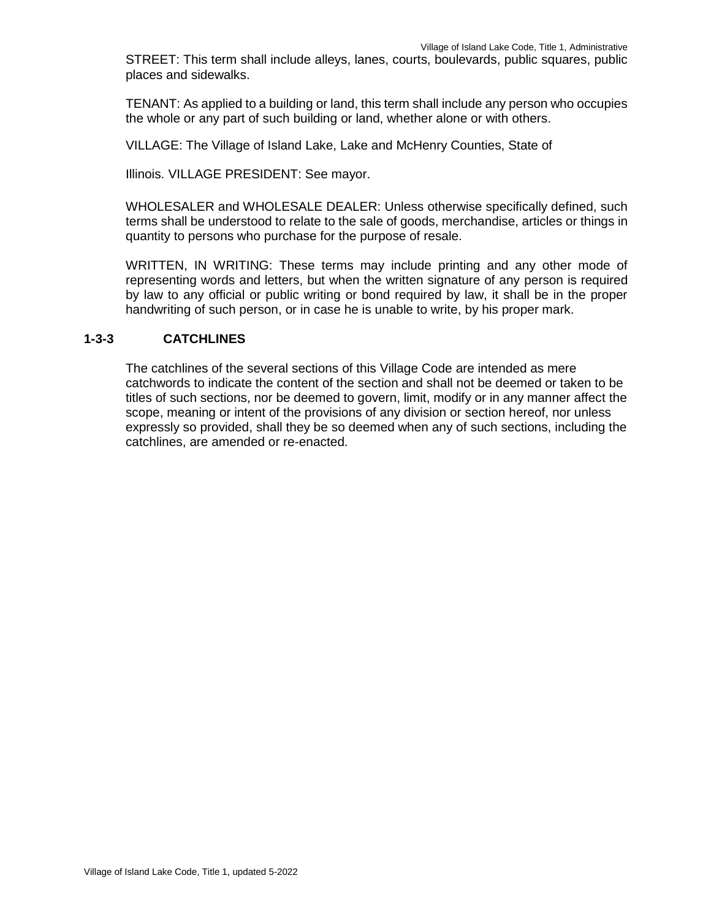STREET: This term shall include alleys, lanes, courts, boulevards, public squares, public places and sidewalks.

TENANT: As applied to a building or land, this term shall include any person who occupies the whole or any part of such building or land, whether alone or with others.

VILLAGE: The Village of Island Lake, Lake and McHenry Counties, State of

Illinois. VILLAGE PRESIDENT: See mayor.

WHOLESALER and WHOLESALE DEALER: Unless otherwise specifically defined, such terms shall be understood to relate to the sale of goods, merchandise, articles or things in quantity to persons who purchase for the purpose of resale.

WRITTEN, IN WRITING: These terms may include printing and any other mode of representing words and letters, but when the written signature of any person is required by law to any official or public writing or bond required by law, it shall be in the proper handwriting of such person, or in case he is unable to write, by his proper mark.

#### **1-3-3 CATCHLINES**

The catchlines of the several sections of this Village Code are intended as mere catchwords to indicate the content of the section and shall not be deemed or taken to be titles of such sections, nor be deemed to govern, limit, modify or in any manner affect the scope, meaning or intent of the provisions of any division or section hereof, nor unless expressly so provided, shall they be so deemed when any of such sections, including the catchlines, are amended or re-enacted.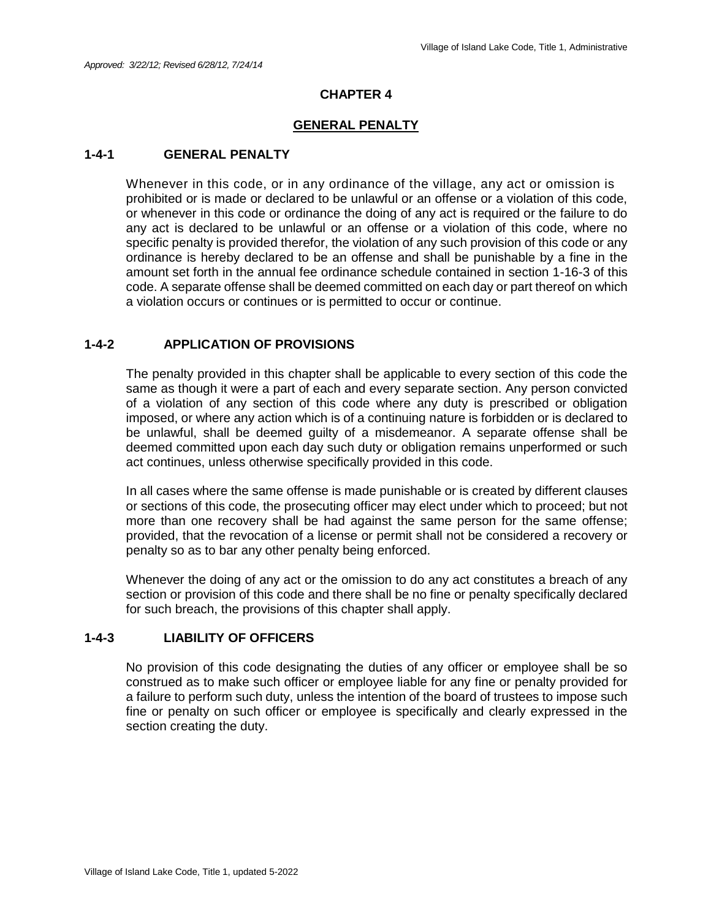#### **GENERAL PENALTY**

#### **1-4-1 GENERAL PENALTY**

Whenever in this code, or in any ordinance of the village, any act or omission is prohibited or is made or declared to be unlawful or an offense or a violation of this code, or whenever in this code or ordinance the doing of any act is required or the failure to do any act is declared to be unlawful or an offense or a violation of this code, where no specific penalty is provided therefor, the violation of any such provision of this code or any ordinance is hereby declared to be an offense and shall be punishable by a fine in the amount set forth in the annual fee ordinance schedule contained in section 1-16-3 of this code. A separate offense shall be deemed committed on each day or part thereof on which a violation occurs or continues or is permitted to occur or continue.

#### **1-4-2 APPLICATION OF PROVISIONS**

The penalty provided in this chapter shall be applicable to every section of this code the same as though it were a part of each and every separate section. Any person convicted of a violation of any section of this code where any duty is prescribed or obligation imposed, or where any action which is of a continuing nature is forbidden or is declared to be unlawful, shall be deemed guilty of a misdemeanor. A separate offense shall be deemed committed upon each day such duty or obligation remains unperformed or such act continues, unless otherwise specifically provided in this code.

In all cases where the same offense is made punishable or is created by different clauses or sections of this code, the prosecuting officer may elect under which to proceed; but not more than one recovery shall be had against the same person for the same offense; provided, that the revocation of a license or permit shall not be considered a recovery or penalty so as to bar any other penalty being enforced.

Whenever the doing of any act or the omission to do any act constitutes a breach of any section or provision of this code and there shall be no fine or penalty specifically declared for such breach, the provisions of this chapter shall apply.

#### **1-4-3 LIABILITY OF OFFICERS**

No provision of this code designating the duties of any officer or employee shall be so construed as to make such officer or employee liable for any fine or penalty provided for a failure to perform such duty, unless the intention of the board of trustees to impose such fine or penalty on such officer or employee is specifically and clearly expressed in the section creating the duty.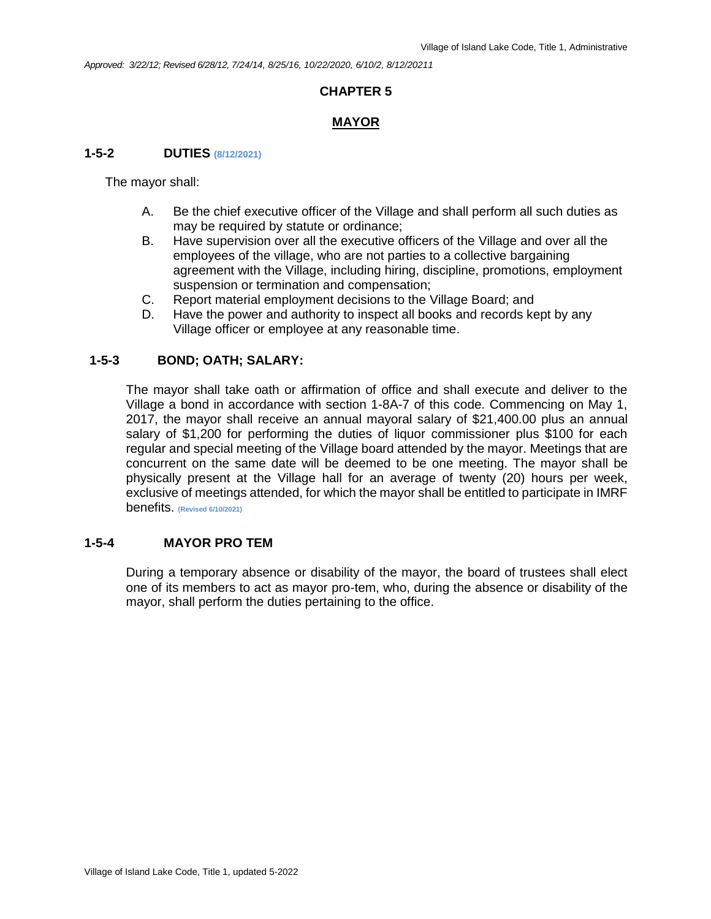*Approved: 3/22/12; Revised 6/28/12, 7/24/14, 8/25/16, 10/22/2020, 6/10/2, 8/12/20211*

## **CHAPTER 5**

## **MAYOR**

## **1-5-2 DUTIES (8/12/2021)**

The mayor shall:

- A. Be the chief executive officer of the Village and shall perform all such duties as may be required by statute or ordinance;
- B. Have supervision over all the executive officers of the Village and over all the employees of the village, who are not parties to a collective bargaining agreement with the Village, including hiring, discipline, promotions, employment suspension or termination and compensation;
- C. Report material employment decisions to the Village Board; and
- D. Have the power and authority to inspect all books and records kept by any Village officer or employee at any reasonable time.

#### **1-5-3 BOND; OATH; SALARY:**

The mayor shall take oath or affirmation of office and shall execute and deliver to the Village a bond in accordance with section 1-8A-7 of this code. Commencing on May 1, 2017, the mayor shall receive an annual mayoral salary of \$21,400.00 plus an annual salary of \$1,200 for performing the duties of liquor commissioner plus \$100 for each regular and special meeting of the Village board attended by the mayor. Meetings that are concurrent on the same date will be deemed to be one meeting. The mayor shall be physically present at the Village hall for an average of twenty (20) hours per week, exclusive of meetings attended, for which the mayor shall be entitled to participate in IMRF benefits. **(Revised 6/10/2021)**

#### **1-5-4 MAYOR PRO TEM**

During a temporary absence or disability of the mayor, the board of trustees shall elect one of its members to act as mayor pro-tem, who, during the absence or disability of the mayor, shall perform the duties pertaining to the office.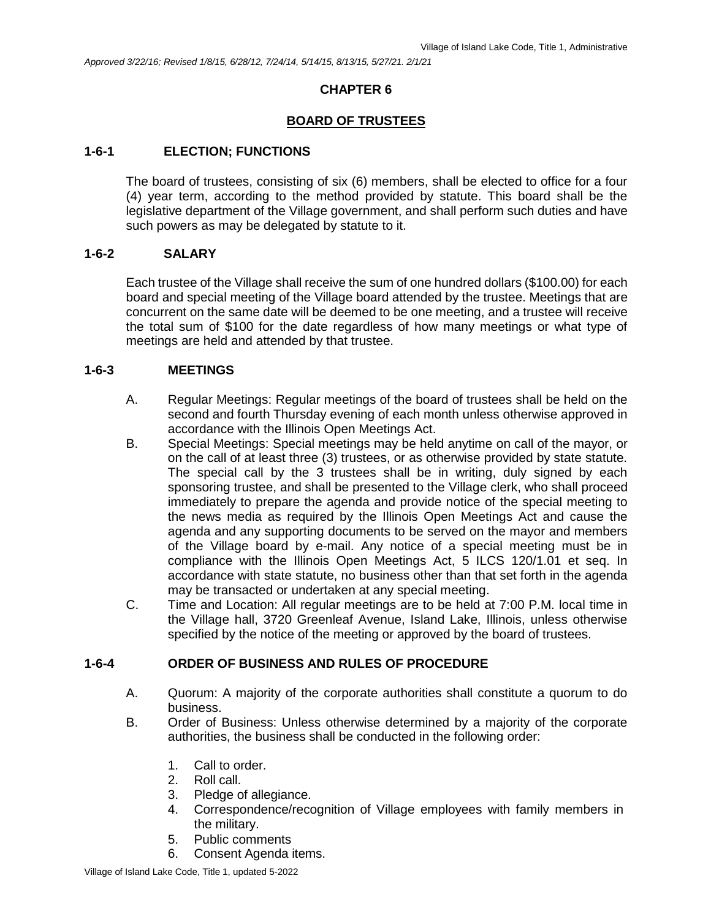## **BOARD OF TRUSTEES**

#### **1-6-1 ELECTION; FUNCTIONS**

The board of trustees, consisting of six (6) members, shall be elected to office for a four (4) year term, according to the method provided by statute. This board shall be the legislative department of the Village government, and shall perform such duties and have such powers as may be delegated by statute to it.

#### **1-6-2 SALARY**

Each trustee of the Village shall receive the sum of one hundred dollars (\$100.00) for each board and special meeting of the Village board attended by the trustee. Meetings that are concurrent on the same date will be deemed to be one meeting, and a trustee will receive the total sum of \$100 for the date regardless of how many meetings or what type of meetings are held and attended by that trustee.

#### **1-6-3 MEETINGS**

- A. Regular Meetings: Regular meetings of the board of trustees shall be held on the second and fourth Thursday evening of each month unless otherwise approved in accordance with the Illinois Open Meetings Act.
- B. Special Meetings: Special meetings may be held anytime on call of the mayor, or on the call of at least three (3) trustees, or as otherwise provided by state statute. The special call by the 3 trustees shall be in writing, duly signed by each sponsoring trustee, and shall be presented to the Village clerk, who shall proceed immediately to prepare the agenda and provide notice of the special meeting to the news media as required by the Illinois Open Meetings Act and cause the agenda and any supporting documents to be served on the mayor and members of the Village board by e-mail. Any notice of a special meeting must be in compliance with the Illinois Open Meetings Act, 5 ILCS 120/1.01 et seq. In accordance with state statute, no business other than that set forth in the agenda may be transacted or undertaken at any special meeting.
- C. Time and Location: All regular meetings are to be held at 7:00 P.M. local time in the Village hall, 3720 Greenleaf Avenue, Island Lake, Illinois, unless otherwise specified by the notice of the meeting or approved by the board of trustees.

## **1-6-4 ORDER OF BUSINESS AND RULES OF PROCEDURE**

- A. Quorum: A majority of the corporate authorities shall constitute a quorum to do business.
- B. Order of Business: Unless otherwise determined by a majority of the corporate authorities, the business shall be conducted in the following order:
	- 1. Call to order.
	- 2. Roll call.
	- 3. Pledge of allegiance.
	- 4. Correspondence/recognition of Village employees with family members in the military.
	- 5. Public comments
	- 6. Consent Agenda items.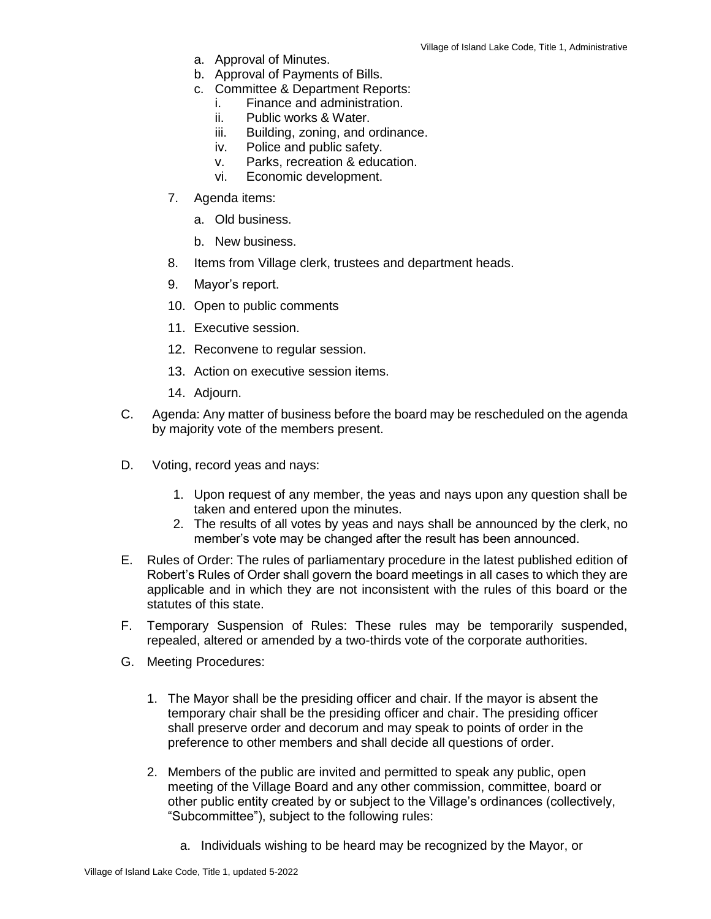- a. Approval of Minutes.
- b. Approval of Payments of Bills.
- c. Committee & Department Reports:
	- i. Finance and administration.
	- ii. Public works & Water.
	- iii. Building, zoning, and ordinance.
	- iv. Police and public safety.
	- v. Parks, recreation & education.
	- vi. Economic development.
- 7. Agenda items:
	- a. Old business.
	- b. New business.
- 8. Items from Village clerk, trustees and department heads.
- 9. Mayor's report.
- 10. Open to public comments
- 11. Executive session.
- 12. Reconvene to regular session.
- 13. Action on executive session items.
- 14. Adjourn.
- C. Agenda: Any matter of business before the board may be rescheduled on the agenda by majority vote of the members present.
- D. Voting, record yeas and nays:
	- 1. Upon request of any member, the yeas and nays upon any question shall be taken and entered upon the minutes.
	- 2. The results of all votes by yeas and nays shall be announced by the clerk, no member's vote may be changed after the result has been announced.
- E. Rules of Order: The rules of parliamentary procedure in the latest published edition of Robert's Rules of Order shall govern the board meetings in all cases to which they are applicable and in which they are not inconsistent with the rules of this board or the statutes of this state.
- F. Temporary Suspension of Rules: These rules may be temporarily suspended, repealed, altered or amended by a two-thirds vote of the corporate authorities.
- G. Meeting Procedures:
	- 1. The Mayor shall be the presiding officer and chair. If the mayor is absent the temporary chair shall be the presiding officer and chair. The presiding officer shall preserve order and decorum and may speak to points of order in the preference to other members and shall decide all questions of order.
	- 2. Members of the public are invited and permitted to speak any public, open meeting of the Village Board and any other commission, committee, board or other public entity created by or subject to the Village's ordinances (collectively, "Subcommittee"), subject to the following rules:
		- a. Individuals wishing to be heard may be recognized by the Mayor, or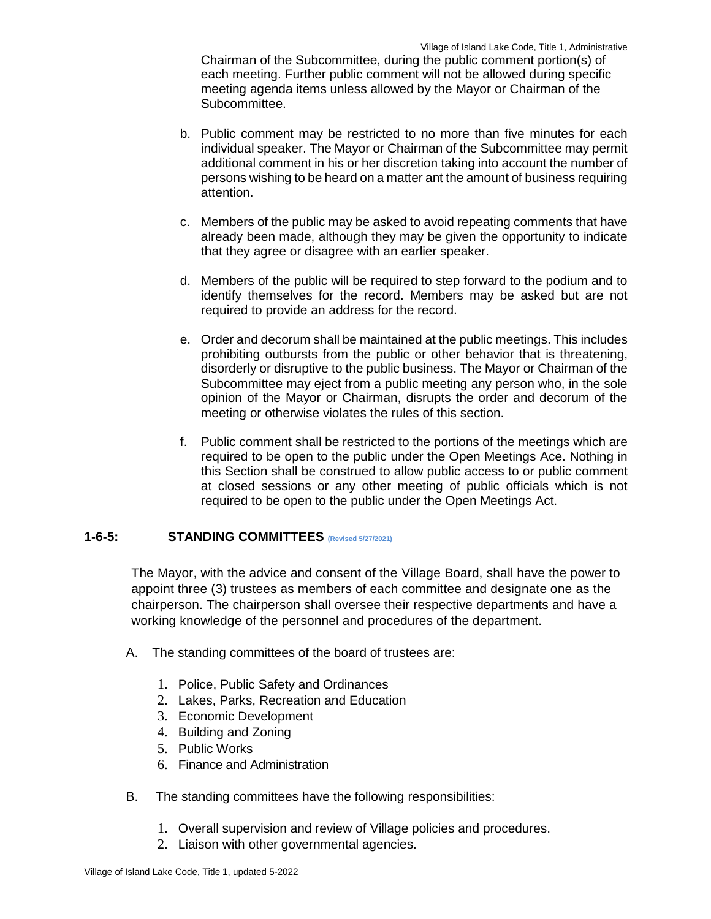Chairman of the Subcommittee, during the public comment portion(s) of each meeting. Further public comment will not be allowed during specific meeting agenda items unless allowed by the Mayor or Chairman of the Subcommittee.

- b. Public comment may be restricted to no more than five minutes for each individual speaker. The Mayor or Chairman of the Subcommittee may permit additional comment in his or her discretion taking into account the number of persons wishing to be heard on a matter ant the amount of business requiring attention.
- c. Members of the public may be asked to avoid repeating comments that have already been made, although they may be given the opportunity to indicate that they agree or disagree with an earlier speaker.
- d. Members of the public will be required to step forward to the podium and to identify themselves for the record. Members may be asked but are not required to provide an address for the record.
- e. Order and decorum shall be maintained at the public meetings. This includes prohibiting outbursts from the public or other behavior that is threatening, disorderly or disruptive to the public business. The Mayor or Chairman of the Subcommittee may eject from a public meeting any person who, in the sole opinion of the Mayor or Chairman, disrupts the order and decorum of the meeting or otherwise violates the rules of this section.
- f. Public comment shall be restricted to the portions of the meetings which are required to be open to the public under the Open Meetings Ace. Nothing in this Section shall be construed to allow public access to or public comment at closed sessions or any other meeting of public officials which is not required to be open to the public under the Open Meetings Act.

## **1-6-5: STANDING COMMITTEES (Revised 5/27/2021)**

The Mayor, with the advice and consent of the Village Board, shall have the power to appoint three (3) trustees as members of each committee and designate one as the chairperson. The chairperson shall oversee their respective departments and have a working knowledge of the personnel and procedures of the department.

- A. The standing committees of the board of trustees are:
	- 1. Police, Public Safety and Ordinances
	- 2. Lakes, Parks, Recreation and Education
	- 3. Economic Development
	- 4. Building and Zoning
	- 5. Public Works
	- 6. Finance and Administration
- B. The standing committees have the following responsibilities:
	- 1. Overall supervision and review of Village policies and procedures.
	- 2. Liaison with other governmental agencies.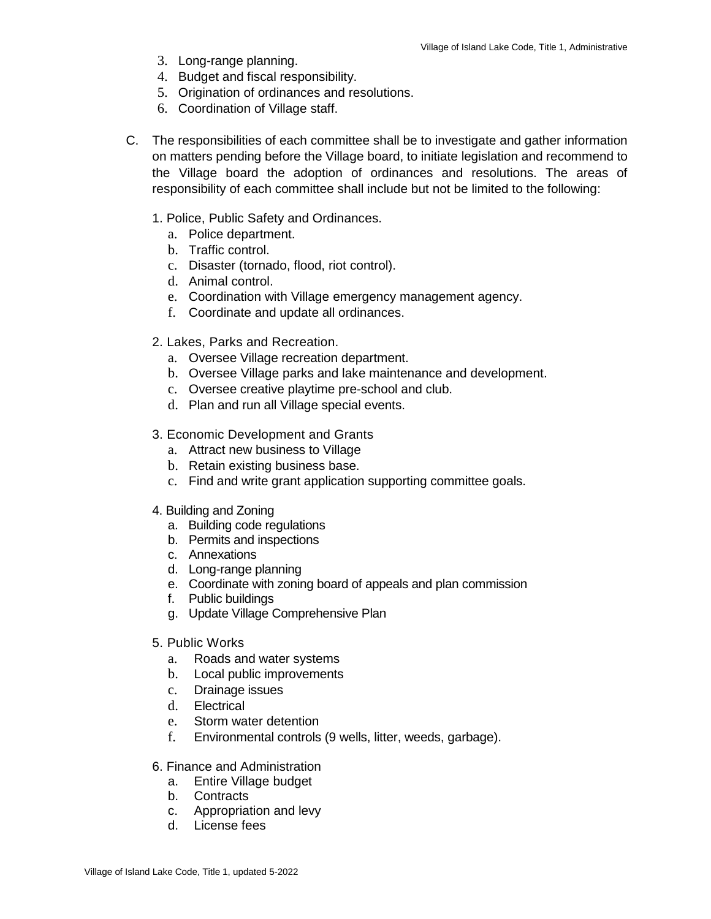- 3. Long-range planning.
- 4. Budget and fiscal responsibility.
- 5. Origination of ordinances and resolutions.
- 6. Coordination of Village staff.
- C. The responsibilities of each committee shall be to investigate and gather information on matters pending before the Village board, to initiate legislation and recommend to the Village board the adoption of ordinances and resolutions. The areas of responsibility of each committee shall include but not be limited to the following:
	- 1. Police, Public Safety and Ordinances.
		- a. Police department.
		- b. Traffic control.
		- c. Disaster (tornado, flood, riot control).
		- d. Animal control.
		- e. Coordination with Village emergency management agency.
		- f. Coordinate and update all ordinances.
	- 2. Lakes, Parks and Recreation.
		- a. Oversee Village recreation department.
		- b. Oversee Village parks and lake maintenance and development.
		- c. Oversee creative playtime pre-school and club.
		- d. Plan and run all Village special events.
	- 3. Economic Development and Grants
		- a. Attract new business to Village
		- b. Retain existing business base.
		- c. Find and write grant application supporting committee goals.
	- 4. Building and Zoning
		- a. Building code regulations
		- b. Permits and inspections
		- c. Annexations
		- d. Long-range planning
		- e. Coordinate with zoning board of appeals and plan commission
		- f. Public buildings
		- g. Update Village Comprehensive Plan
	- 5. Public Works
		- a. Roads and water systems
		- b. Local public improvements
		- c. Drainage issues
		- d. Electrical
		- e. Storm water detention
		- f. Environmental controls (9 wells, litter, weeds, garbage).
	- 6. Finance and Administration
		- a. Entire Village budget
		- b. Contracts
		- c. Appropriation and levy
		- d. License fees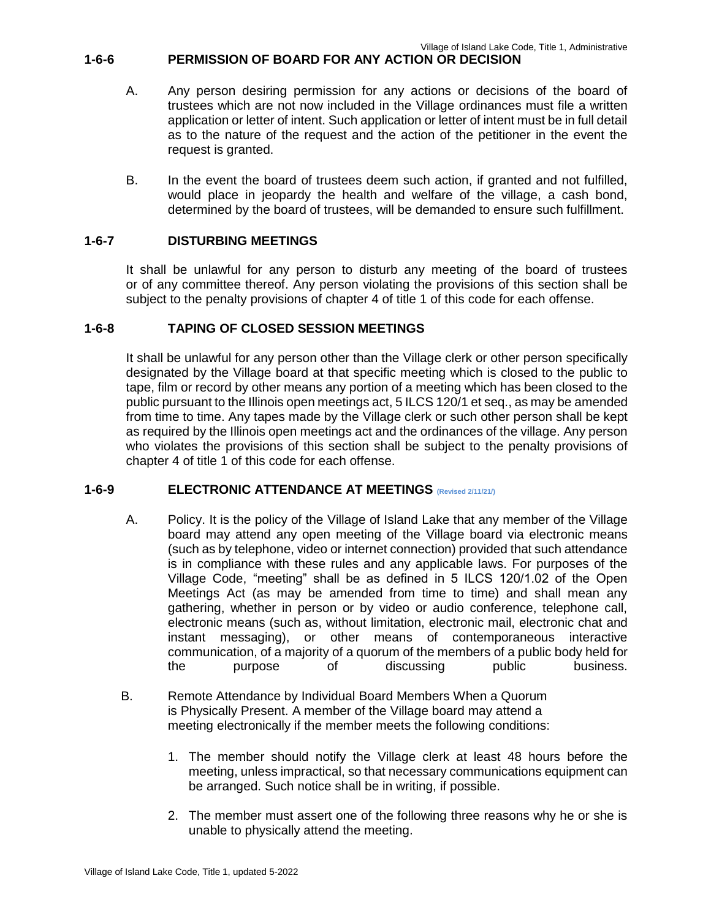## **1-6-6 PERMISSION OF BOARD FOR ANY ACTION OR DECISION**

- A. Any person desiring permission for any actions or decisions of the board of trustees which are not now included in the Village ordinances must file a written application or letter of intent. Such application or letter of intent must be in full detail as to the nature of the request and the action of the petitioner in the event the request is granted.
- B. In the event the board of trustees deem such action, if granted and not fulfilled, would place in jeopardy the health and welfare of the village, a cash bond, determined by the board of trustees, will be demanded to ensure such fulfillment.

#### **1-6-7 DISTURBING MEETINGS**

It shall be unlawful for any person to disturb any meeting of the board of trustees or of any committee thereof. Any person violating the provisions of this section shall be subject to the penalty provisions of chapter 4 of title 1 of this code for each offense.

#### **1-6-8 TAPING OF CLOSED SESSION MEETINGS**

It shall be unlawful for any person other than the Village clerk or other person specifically designated by the Village board at that specific meeting which is closed to the public to tape, film or record by other means any portion of a meeting which has been closed to the public pursuant to the Illinois open meetings act, 5 ILCS 120/1 et seq., as may be amended from time to time. Any tapes made by the Village clerk or such other person shall be kept as required by the Illinois open meetings act and the ordinances of the village. Any person who violates the provisions of this section shall be subject to the penalty provisions of chapter 4 of title 1 of this code for each offense.

#### **1-6-9 ELECTRONIC ATTENDANCE AT MEETINGS (Revised 2/11/21/)**

- A. Policy. It is the policy of the Village of Island Lake that any member of the Village board may attend any open meeting of the Village board via electronic means (such as by telephone, video or internet connection) provided that such attendance is in compliance with these rules and any applicable laws. For purposes of the Village Code, "meeting" shall be as defined in 5 ILCS 120/1.02 of the Open Meetings Act (as may be amended from time to time) and shall mean any gathering, whether in person or by video or audio conference, telephone call, electronic means (such as, without limitation, electronic mail, electronic chat and instant messaging), or other means of contemporaneous interactive communication, of a majority of a quorum of the members of a public body held for the purpose of discussing public business.
- B. Remote Attendance by Individual Board Members When a Quorum is Physically Present. A member of the Village board may attend a meeting electronically if the member meets the following conditions:
	- 1. The member should notify the Village clerk at least 48 hours before the meeting, unless impractical, so that necessary communications equipment can be arranged. Such notice shall be in writing, if possible.
	- 2. The member must assert one of the following three reasons why he or she is unable to physically attend the meeting.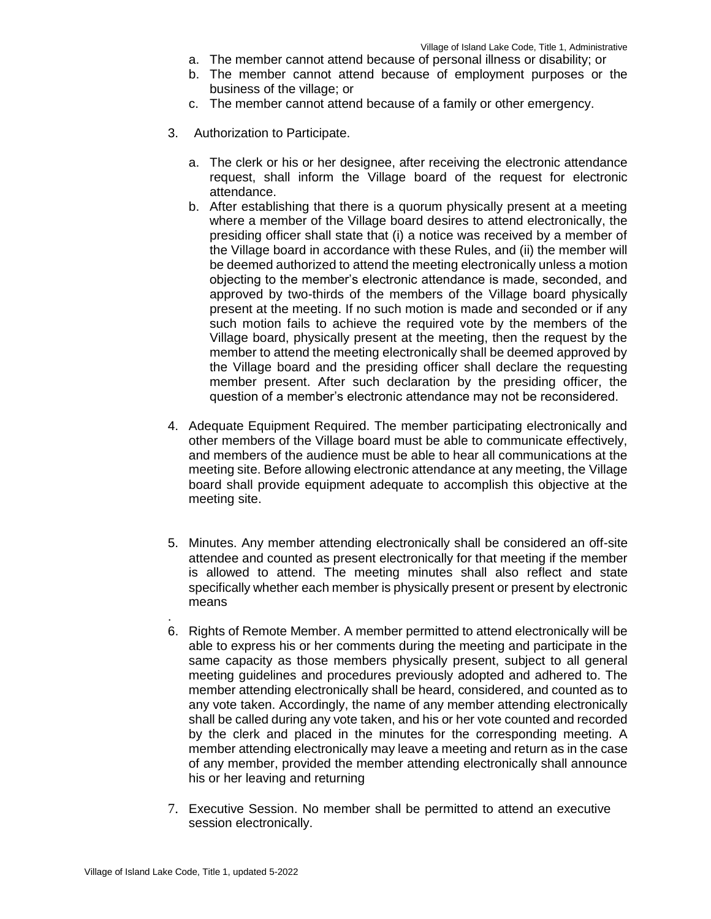- a. The member cannot attend because of personal illness or disability; or
- b. The member cannot attend because of employment purposes or the business of the village; or
- c. The member cannot attend because of a family or other emergency.
- 3. Authorization to Participate.
	- a. The clerk or his or her designee, after receiving the electronic attendance request, shall inform the Village board of the request for electronic attendance.
	- b. After establishing that there is a quorum physically present at a meeting where a member of the Village board desires to attend electronically, the presiding officer shall state that (i) a notice was received by a member of the Village board in accordance with these Rules, and (ii) the member will be deemed authorized to attend the meeting electronically unless a motion objecting to the member's electronic attendance is made, seconded, and approved by two-thirds of the members of the Village board physically present at the meeting. If no such motion is made and seconded or if any such motion fails to achieve the required vote by the members of the Village board, physically present at the meeting, then the request by the member to attend the meeting electronically shall be deemed approved by the Village board and the presiding officer shall declare the requesting member present. After such declaration by the presiding officer, the question of a member's electronic attendance may not be reconsidered.
- 4. Adequate Equipment Required. The member participating electronically and other members of the Village board must be able to communicate effectively, and members of the audience must be able to hear all communications at the meeting site. Before allowing electronic attendance at any meeting, the Village board shall provide equipment adequate to accomplish this objective at the meeting site.
- 5. Minutes. Any member attending electronically shall be considered an off-site attendee and counted as present electronically for that meeting if the member is allowed to attend. The meeting minutes shall also reflect and state specifically whether each member is physically present or present by electronic means
- 6. Rights of Remote Member. A member permitted to attend electronically will be able to express his or her comments during the meeting and participate in the same capacity as those members physically present, subject to all general meeting guidelines and procedures previously adopted and adhered to. The member attending electronically shall be heard, considered, and counted as to any vote taken. Accordingly, the name of any member attending electronically shall be called during any vote taken, and his or her vote counted and recorded by the clerk and placed in the minutes for the corresponding meeting. A member attending electronically may leave a meeting and return as in the case of any member, provided the member attending electronically shall announce his or her leaving and returning
- 7. Executive Session. No member shall be permitted to attend an executive session electronically.

.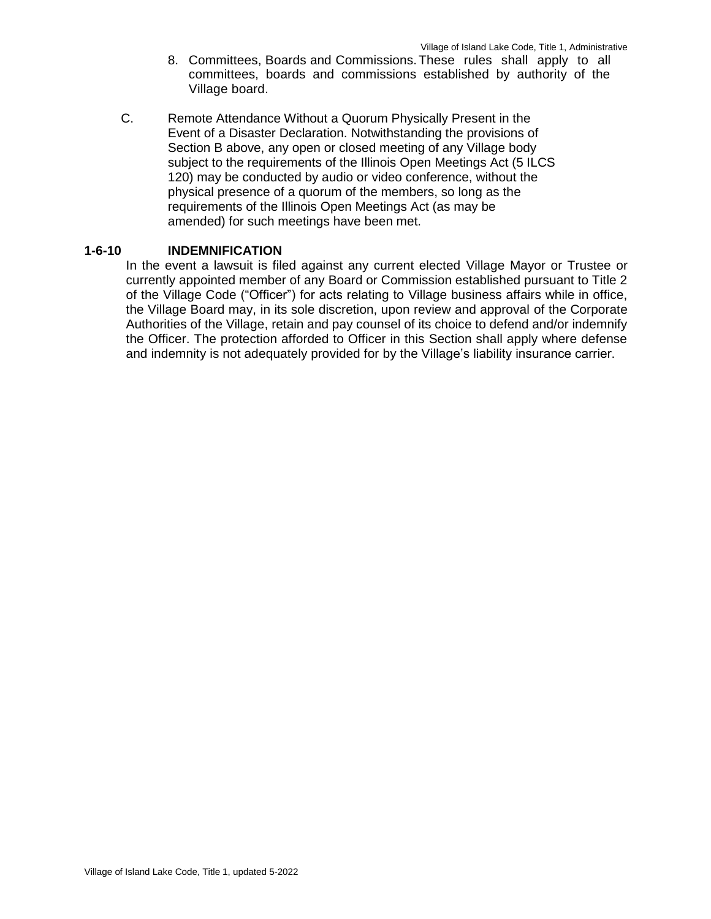- 8. Committees, Boards and Commissions.These rules shall apply to all committees, boards and commissions established by authority of the Village board.
- C. Remote Attendance Without a Quorum Physically Present in the Event of a Disaster Declaration. Notwithstanding the provisions of Section B above, any open or closed meeting of any Village body subject to the requirements of the Illinois Open Meetings Act (5 ILCS 120) may be conducted by audio or video conference, without the physical presence of a quorum of the members, so long as the requirements of the Illinois Open Meetings Act (as may be amended) for such meetings have been met.

#### **1-6-10 INDEMNIFICATION**

In the event a lawsuit is filed against any current elected Village Mayor or Trustee or currently appointed member of any Board or Commission established pursuant to Title 2 of the Village Code ("Officer") for acts relating to Village business affairs while in office, the Village Board may, in its sole discretion, upon review and approval of the Corporate Authorities of the Village, retain and pay counsel of its choice to defend and/or indemnify the Officer. The protection afforded to Officer in this Section shall apply where defense and indemnity is not adequately provided for by the Village's liability insurance carrier.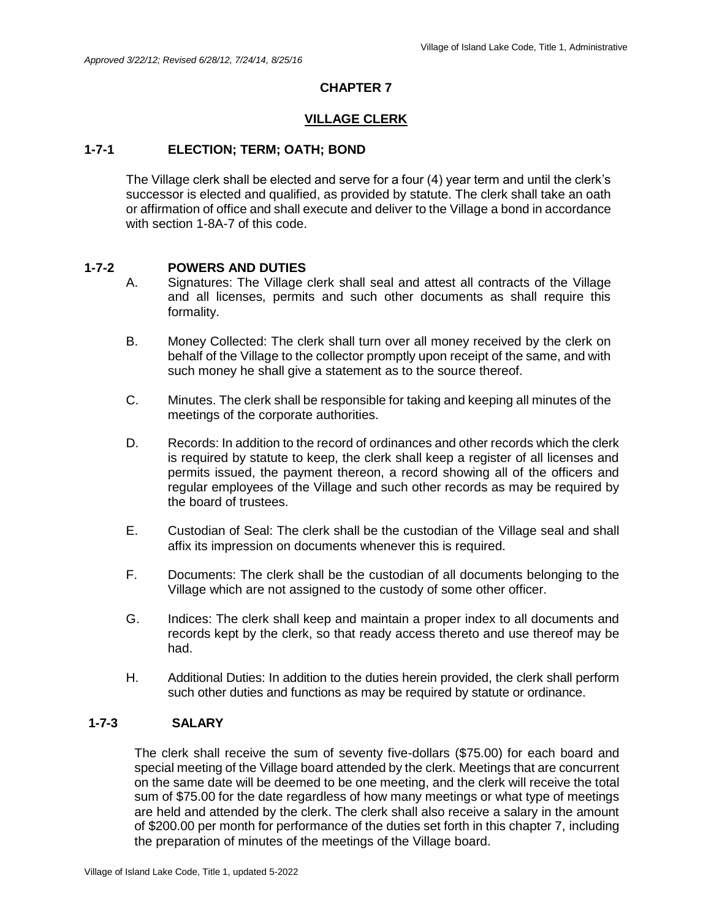#### **VILLAGE CLERK**

#### **1-7-1 ELECTION; TERM; OATH; BOND**

The Village clerk shall be elected and serve for a four (4) year term and until the clerk's successor is elected and qualified, as provided by statute. The clerk shall take an oath or affirmation of office and shall execute and deliver to the Village a bond in accordance with section 1-8A-7 of this code.

#### **1-7-2 POWERS AND DUTIES**

- A. Signatures: The Village clerk shall seal and attest all contracts of the Village and all licenses, permits and such other documents as shall require this formality.
- B. Money Collected: The clerk shall turn over all money received by the clerk on behalf of the Village to the collector promptly upon receipt of the same, and with such money he shall give a statement as to the source thereof.
- C. Minutes. The clerk shall be responsible for taking and keeping all minutes of the meetings of the corporate authorities.
- D. Records: In addition to the record of ordinances and other records which the clerk is required by statute to keep, the clerk shall keep a register of all licenses and permits issued, the payment thereon, a record showing all of the officers and regular employees of the Village and such other records as may be required by the board of trustees.
- E. Custodian of Seal: The clerk shall be the custodian of the Village seal and shall affix its impression on documents whenever this is required.
- F. Documents: The clerk shall be the custodian of all documents belonging to the Village which are not assigned to the custody of some other officer.
- G. Indices: The clerk shall keep and maintain a proper index to all documents and records kept by the clerk, so that ready access thereto and use thereof may be had.
- H. Additional Duties: In addition to the duties herein provided, the clerk shall perform such other duties and functions as may be required by statute or ordinance.

## **1-7-3 SALARY**

The clerk shall receive the sum of seventy five-dollars (\$75.00) for each board and special meeting of the Village board attended by the clerk. Meetings that are concurrent on the same date will be deemed to be one meeting, and the clerk will receive the total sum of \$75.00 for the date regardless of how many meetings or what type of meetings are held and attended by the clerk. The clerk shall also receive a salary in the amount of \$200.00 per month for performance of the duties set forth in this chapter 7, including the preparation of minutes of the meetings of the Village board.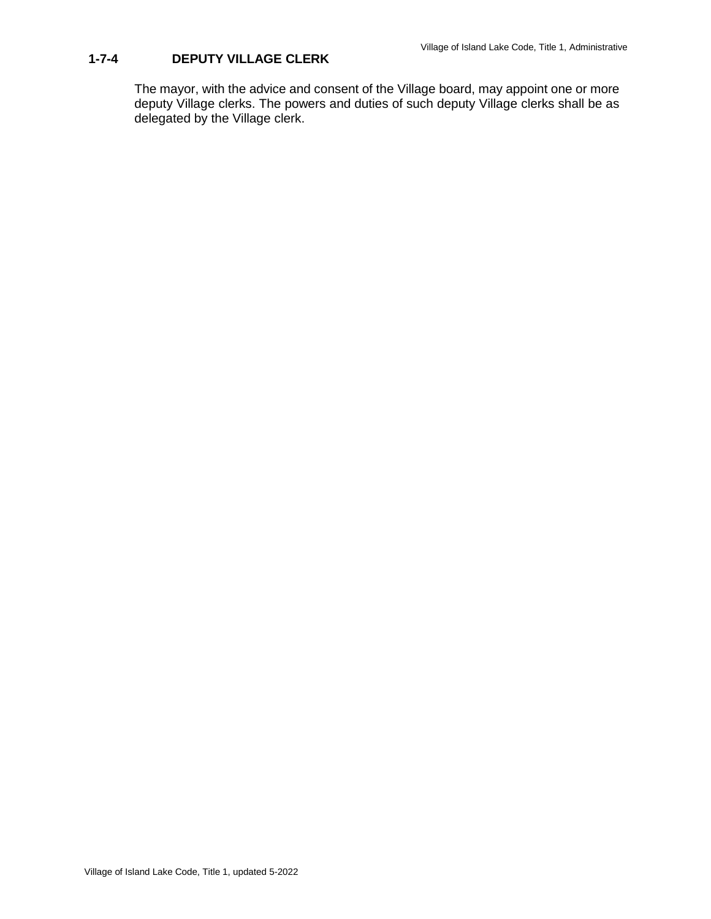## **1-7-4 DEPUTY VILLAGE CLERK**

The mayor, with the advice and consent of the Village board, may appoint one or more deputy Village clerks. The powers and duties of such deputy Village clerks shall be as delegated by the Village clerk.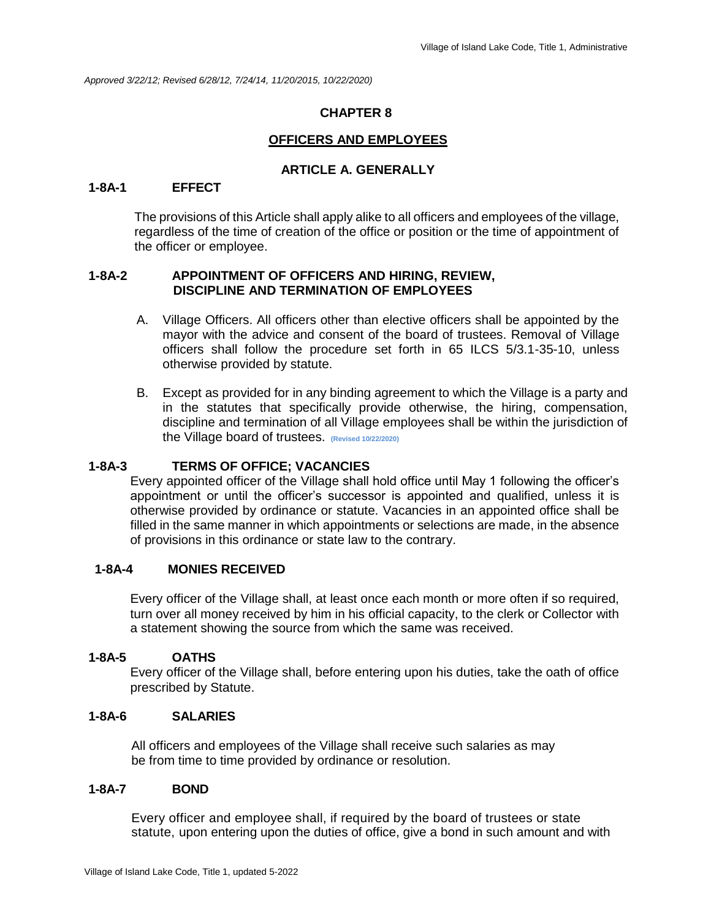*Approved 3/22/12; Revised 6/28/12, 7/24/14, 11/20/2015, 10/22/2020)*

## **CHAPTER 8**

## **OFFICERS AND EMPLOYEES**

## **ARTICLE A. GENERALLY**

#### **1-8A-1 EFFECT**

The provisions of this Article shall apply alike to all officers and employees of the village, regardless of the time of creation of the office or position or the time of appointment of the officer or employee.

#### **1-8A-2 APPOINTMENT OF OFFICERS AND HIRING, REVIEW, DISCIPLINE AND TERMINATION OF EMPLOYEES**

- A. Village Officers. All officers other than elective officers shall be appointed by the mayor with the advice and consent of the board of trustees. Removal of Village officers shall follow the procedure set forth in 65 ILCS 5/3.1-35-10, unless otherwise provided by statute.
- B. Except as provided for in any binding agreement to which the Village is a party and in the statutes that specifically provide otherwise, the hiring, compensation, discipline and termination of all Village employees shall be within the jurisdiction of the Village board of trustees. **(Revised 10/22/2020)**

## **1-8A-3 TERMS OF OFFICE; VACANCIES**

Every appointed officer of the Village shall hold office until May 1 following the officer's appointment or until the officer's successor is appointed and qualified, unless it is otherwise provided by ordinance or statute. Vacancies in an appointed office shall be filled in the same manner in which appointments or selections are made, in the absence of provisions in this ordinance or state law to the contrary.

## **1-8A-4 MONIES RECEIVED**

Every officer of the Village shall, at least once each month or more often if so required, turn over all money received by him in his official capacity, to the clerk or Collector with a statement showing the source from which the same was received.

#### **1-8A-5 OATHS**

Every officer of the Village shall, before entering upon his duties, take the oath of office prescribed by Statute.

#### **1-8A-6 SALARIES**

All officers and employees of the Village shall receive such salaries as may be from time to time provided by ordinance or resolution.

#### **1-8A-7 BOND**

Every officer and employee shall, if required by the board of trustees or state statute, upon entering upon the duties of office, give a bond in such amount and with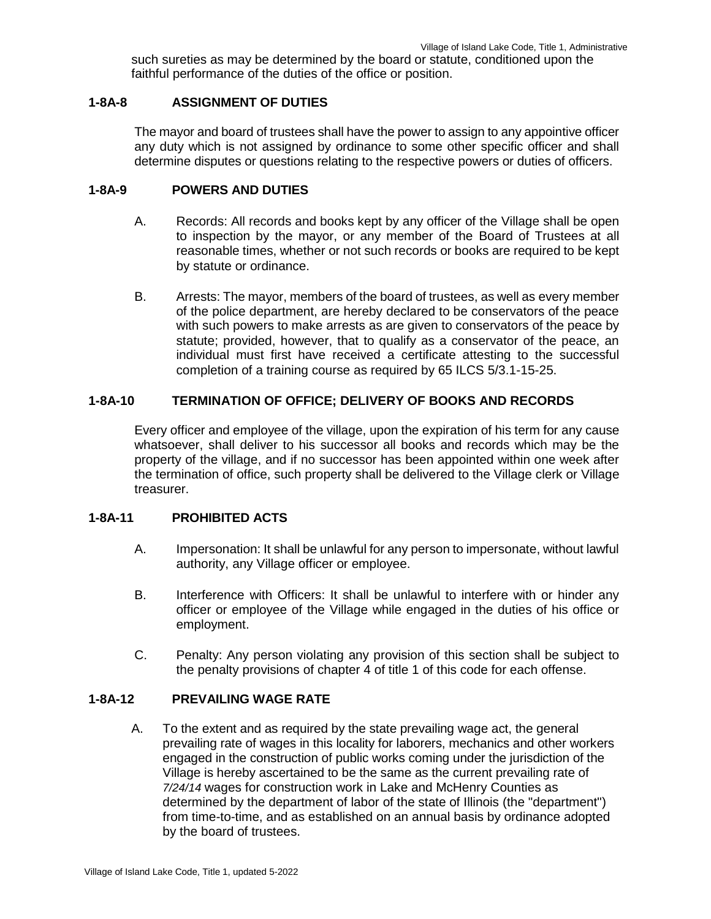such sureties as may be determined by the board or statute, conditioned upon the faithful performance of the duties of the office or position.

#### **1-8A-8 ASSIGNMENT OF DUTIES**

The mayor and board of trustees shall have the power to assign to any appointive officer any duty which is not assigned by ordinance to some other specific officer and shall determine disputes or questions relating to the respective powers or duties of officers.

#### **1-8A-9 POWERS AND DUTIES**

- A. Records: All records and books kept by any officer of the Village shall be open to inspection by the mayor, or any member of the Board of Trustees at all reasonable times, whether or not such records or books are required to be kept by statute or ordinance.
- B. Arrests: The mayor, members of the board of trustees, as well as every member of the police department, are hereby declared to be conservators of the peace with such powers to make arrests as are given to conservators of the peace by statute; provided, however, that to qualify as a conservator of the peace, an individual must first have received a certificate attesting to the successful completion of a training course as required by 65 ILCS 5/3.1-15-25.

#### **1-8A-10 TERMINATION OF OFFICE; DELIVERY OF BOOKS AND RECORDS**

Every officer and employee of the village, upon the expiration of his term for any cause whatsoever, shall deliver to his successor all books and records which may be the property of the village, and if no successor has been appointed within one week after the termination of office, such property shall be delivered to the Village clerk or Village treasurer.

## **1-8A-11 PROHIBITED ACTS**

- A. Impersonation: It shall be unlawful for any person to impersonate, without lawful authority, any Village officer or employee.
- B. Interference with Officers: It shall be unlawful to interfere with or hinder any officer or employee of the Village while engaged in the duties of his office or employment.
- C. Penalty: Any person violating any provision of this section shall be subject to the penalty provisions of chapter 4 of title 1 of this code for each offense.

#### **1-8A-12 PREVAILING WAGE RATE**

A. To the extent and as required by the state prevailing wage act, the general prevailing rate of wages in this locality for laborers, mechanics and other workers engaged in the construction of public works coming under the jurisdiction of the Village is hereby ascertained to be the same as the current prevailing rate of *7/24/14* wages for construction work in Lake and McHenry Counties as determined by the department of labor of the state of Illinois (the "department") from time-to-time, and as established on an annual basis by ordinance adopted by the board of trustees.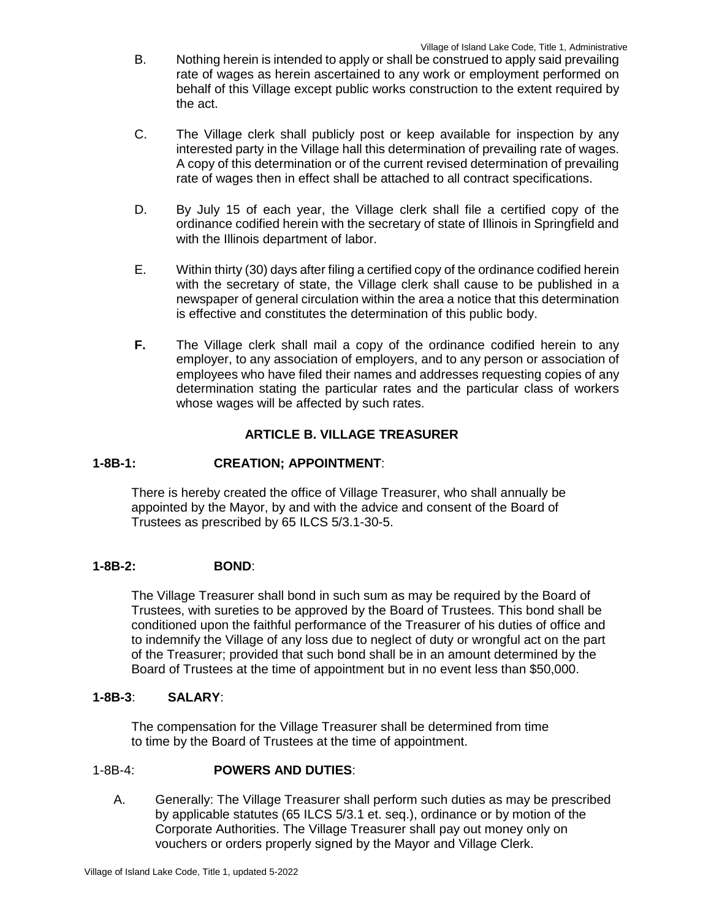- B. Nothing herein is intended to apply or shall be construed to apply said prevailing rate of wages as herein ascertained to any work or employment performed on behalf of this Village except public works construction to the extent required by the act.
- C. The Village clerk shall publicly post or keep available for inspection by any interested party in the Village hall this determination of prevailing rate of wages. A copy of this determination or of the current revised determination of prevailing rate of wages then in effect shall be attached to all contract specifications.
- D. By July 15 of each year, the Village clerk shall file a certified copy of the ordinance codified herein with the secretary of state of Illinois in Springfield and with the Illinois department of labor.
- E. Within thirty (30) days after filing a certified copy of the ordinance codified herein with the secretary of state, the Village clerk shall cause to be published in a newspaper of general circulation within the area a notice that this determination is effective and constitutes the determination of this public body.
- **F.** The Village clerk shall mail a copy of the ordinance codified herein to any employer, to any association of employers, and to any person or association of employees who have filed their names and addresses requesting copies of any determination stating the particular rates and the particular class of workers whose wages will be affected by such rates.

## **ARTICLE B. VILLAGE TREASURER**

## **1-8B-1: CREATION; APPOINTMENT**:

There is hereby created the office of Village Treasurer, who shall annually be appointed by the Mayor, by and with the advice and consent of the Board of Trustees as prescribed by 65 ILCS 5/3.1-30-5.

## **1-8B-2: BOND**:

The Village Treasurer shall bond in such sum as may be required by the Board of Trustees, with sureties to be approved by the Board of Trustees. This bond shall be conditioned upon the faithful performance of the Treasurer of his duties of office and to indemnify the Village of any loss due to neglect of duty or wrongful act on the part of the Treasurer; provided that such bond shall be in an amount determined by the Board of Trustees at the time of appointment but in no event less than \$50,000.

## **1-8B-3**: **SALARY**:

The compensation for the Village Treasurer shall be determined from time to time by the Board of Trustees at the time of appointment.

#### 1-8B-4: **POWERS AND DUTIES**:

A. Generally: The Village Treasurer shall perform such duties as may be prescribed by applicable statutes (65 ILCS 5/3.1 et. seq.), ordinance or by motion of the Corporate Authorities. The Village Treasurer shall pay out money only on vouchers or orders properly signed by the Mayor and Village Clerk.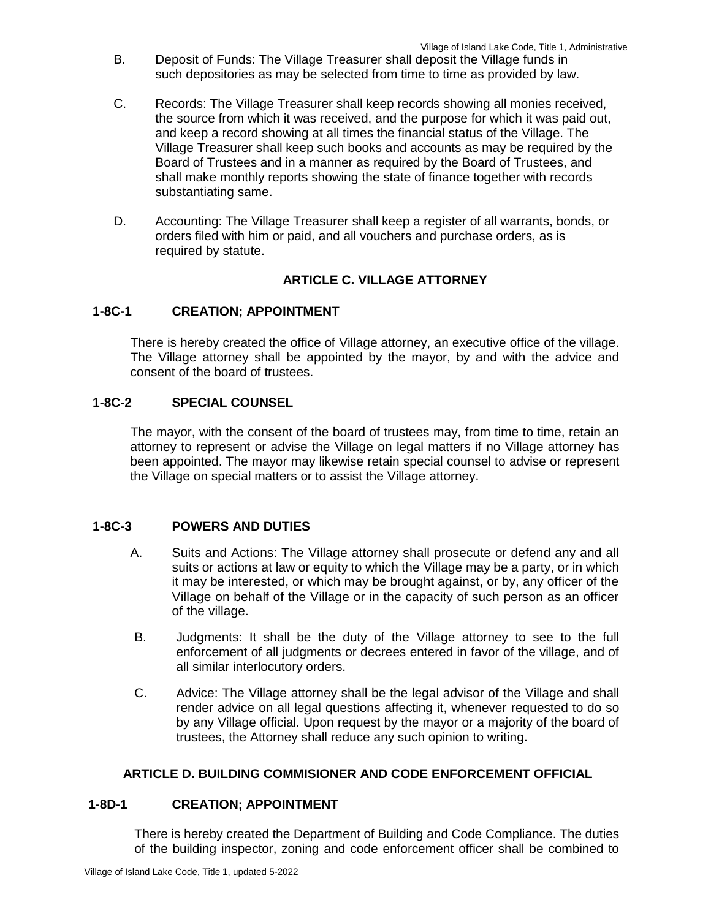- B. Deposit of Funds: The Village Treasurer shall deposit the Village funds in such depositories as may be selected from time to time as provided by law.
- C. Records: The Village Treasurer shall keep records showing all monies received, the source from which it was received, and the purpose for which it was paid out, and keep a record showing at all times the financial status of the Village. The Village Treasurer shall keep such books and accounts as may be required by the Board of Trustees and in a manner as required by the Board of Trustees, and shall make monthly reports showing the state of finance together with records substantiating same.
- D. Accounting: The Village Treasurer shall keep a register of all warrants, bonds, or orders filed with him or paid, and all vouchers and purchase orders, as is required by statute.

## **ARTICLE C. VILLAGE ATTORNEY**

## **1-8C-1 CREATION; APPOINTMENT**

There is hereby created the office of Village attorney, an executive office of the village. The Village attorney shall be appointed by the mayor, by and with the advice and consent of the board of trustees.

## **1-8C-2 SPECIAL COUNSEL**

The mayor, with the consent of the board of trustees may, from time to time, retain an attorney to represent or advise the Village on legal matters if no Village attorney has been appointed. The mayor may likewise retain special counsel to advise or represent the Village on special matters or to assist the Village attorney.

## **1-8C-3 POWERS AND DUTIES**

- A. Suits and Actions: The Village attorney shall prosecute or defend any and all suits or actions at law or equity to which the Village may be a party, or in which it may be interested, or which may be brought against, or by, any officer of the Village on behalf of the Village or in the capacity of such person as an officer of the village.
- B. Judgments: It shall be the duty of the Village attorney to see to the full enforcement of all judgments or decrees entered in favor of the village, and of all similar interlocutory orders.
- C. Advice: The Village attorney shall be the legal advisor of the Village and shall render advice on all legal questions affecting it, whenever requested to do so by any Village official. Upon request by the mayor or a majority of the board of trustees, the Attorney shall reduce any such opinion to writing.

#### **ARTICLE D. BUILDING COMMISIONER AND CODE ENFORCEMENT OFFICIAL**

#### **1-8D-1 CREATION; APPOINTMENT**

There is hereby created the Department of Building and Code Compliance. The duties of the building inspector, zoning and code enforcement officer shall be combined to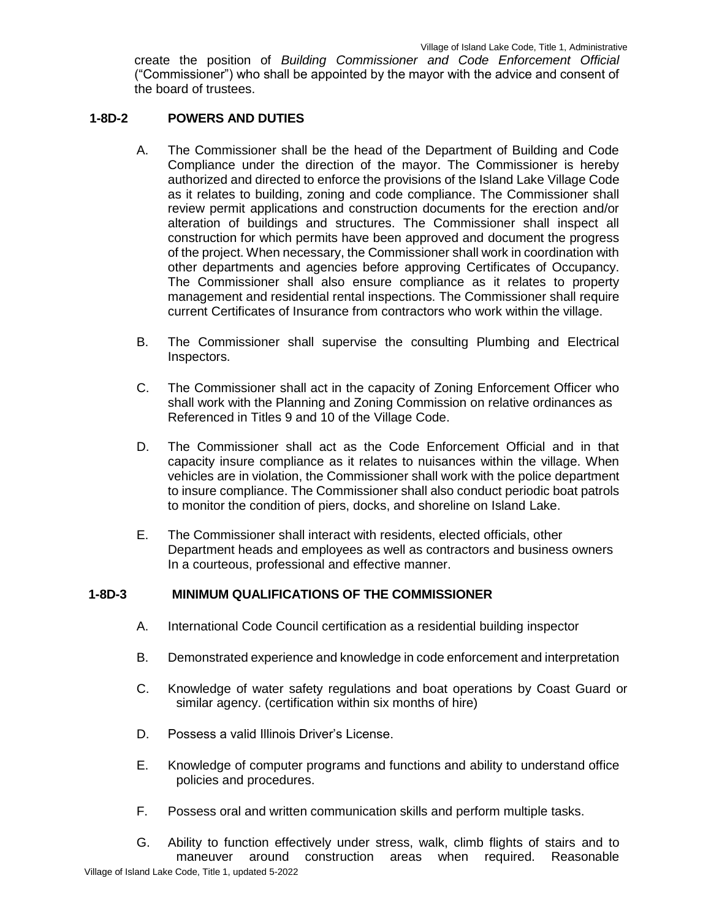create the position of *Building Commissioner and Code Enforcement Official*  ("Commissioner") who shall be appointed by the mayor with the advice and consent of the board of trustees.

#### **1-8D-2 POWERS AND DUTIES**

- A. The Commissioner shall be the head of the Department of Building and Code Compliance under the direction of the mayor. The Commissioner is hereby authorized and directed to enforce the provisions of the Island Lake Village Code as it relates to building, zoning and code compliance. The Commissioner shall review permit applications and construction documents for the erection and/or alteration of buildings and structures. The Commissioner shall inspect all construction for which permits have been approved and document the progress of the project. When necessary, the Commissioner shall work in coordination with other departments and agencies before approving Certificates of Occupancy. The Commissioner shall also ensure compliance as it relates to property management and residential rental inspections. The Commissioner shall require current Certificates of Insurance from contractors who work within the village.
- B. The Commissioner shall supervise the consulting Plumbing and Electrical Inspectors.
- C. The Commissioner shall act in the capacity of Zoning Enforcement Officer who shall work with the Planning and Zoning Commission on relative ordinances as Referenced in Titles 9 and 10 of the Village Code.
- D. The Commissioner shall act as the Code Enforcement Official and in that capacity insure compliance as it relates to nuisances within the village. When vehicles are in violation, the Commissioner shall work with the police department to insure compliance. The Commissioner shall also conduct periodic boat patrols to monitor the condition of piers, docks, and shoreline on Island Lake.
- E. The Commissioner shall interact with residents, elected officials, other Department heads and employees as well as contractors and business owners In a courteous, professional and effective manner.

#### **1-8D-3 MINIMUM QUALIFICATIONS OF THE COMMISSIONER**

- A. International Code Council certification as a residential building inspector
- B. Demonstrated experience and knowledge in code enforcement and interpretation
- C. Knowledge of water safety regulations and boat operations by Coast Guard or similar agency. (certification within six months of hire)
- D. Possess a valid Illinois Driver's License.
- E. Knowledge of computer programs and functions and ability to understand office policies and procedures.
- F. Possess oral and written communication skills and perform multiple tasks.

Village of Island Lake Code, Title 1, updated 5-2022 G. Ability to function effectively under stress, walk, climb flights of stairs and to maneuver around construction areas when required. Reasonable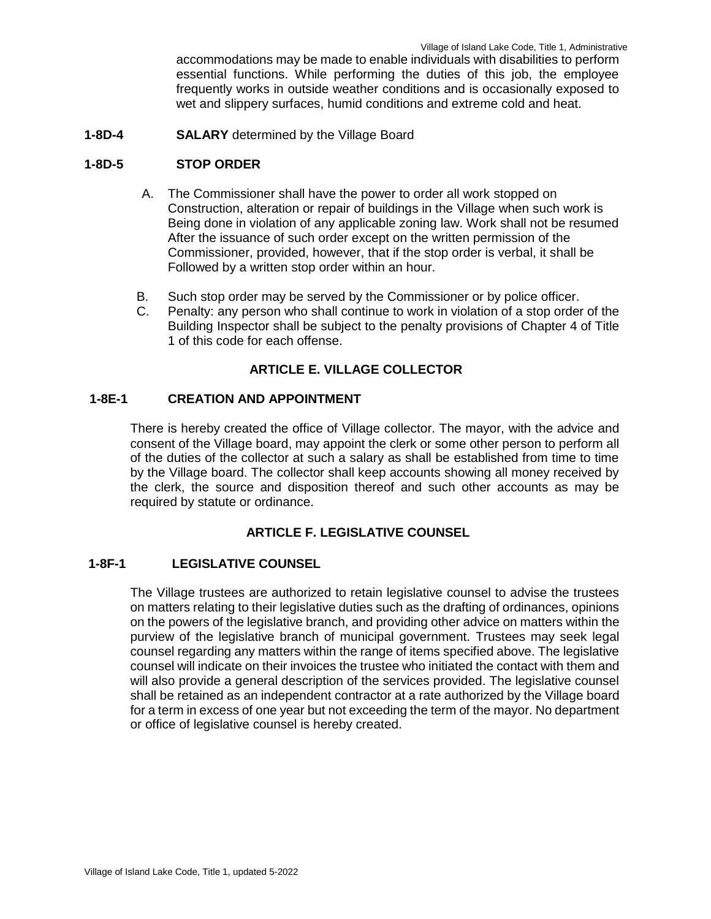accommodations may be made to enable individuals with disabilities to perform essential functions. While performing the duties of this job, the employee frequently works in outside weather conditions and is occasionally exposed to wet and slippery surfaces, humid conditions and extreme cold and heat.

**1-8D-4 SALARY** determined by the Village Board

#### **1-8D-5 STOP ORDER**

- A. The Commissioner shall have the power to order all work stopped on Construction, alteration or repair of buildings in the Village when such work is Being done in violation of any applicable zoning law. Work shall not be resumed After the issuance of such order except on the written permission of the Commissioner, provided, however, that if the stop order is verbal, it shall be Followed by a written stop order within an hour.
- B. Such stop order may be served by the Commissioner or by police officer.
- C. Penalty: any person who shall continue to work in violation of a stop order of the Building Inspector shall be subject to the penalty provisions of Chapter 4 of Title 1 of this code for each offense.

## **ARTICLE E. VILLAGE COLLECTOR**

#### **1-8E-1 CREATION AND APPOINTMENT**

There is hereby created the office of Village collector. The mayor, with the advice and consent of the Village board, may appoint the clerk or some other person to perform all of the duties of the collector at such a salary as shall be established from time to time by the Village board. The collector shall keep accounts showing all money received by the clerk, the source and disposition thereof and such other accounts as may be required by statute or ordinance.

#### **ARTICLE F. LEGISLATIVE COUNSEL**

#### **1-8F-1 LEGISLATIVE COUNSEL**

The Village trustees are authorized to retain legislative counsel to advise the trustees on matters relating to their legislative duties such as the drafting of ordinances, opinions on the powers of the legislative branch, and providing other advice on matters within the purview of the legislative branch of municipal government. Trustees may seek legal counsel regarding any matters within the range of items specified above. The legislative counsel will indicate on their invoices the trustee who initiated the contact with them and will also provide a general description of the services provided. The legislative counsel shall be retained as an independent contractor at a rate authorized by the Village board for a term in excess of one year but not exceeding the term of the mayor. No department or office of legislative counsel is hereby created.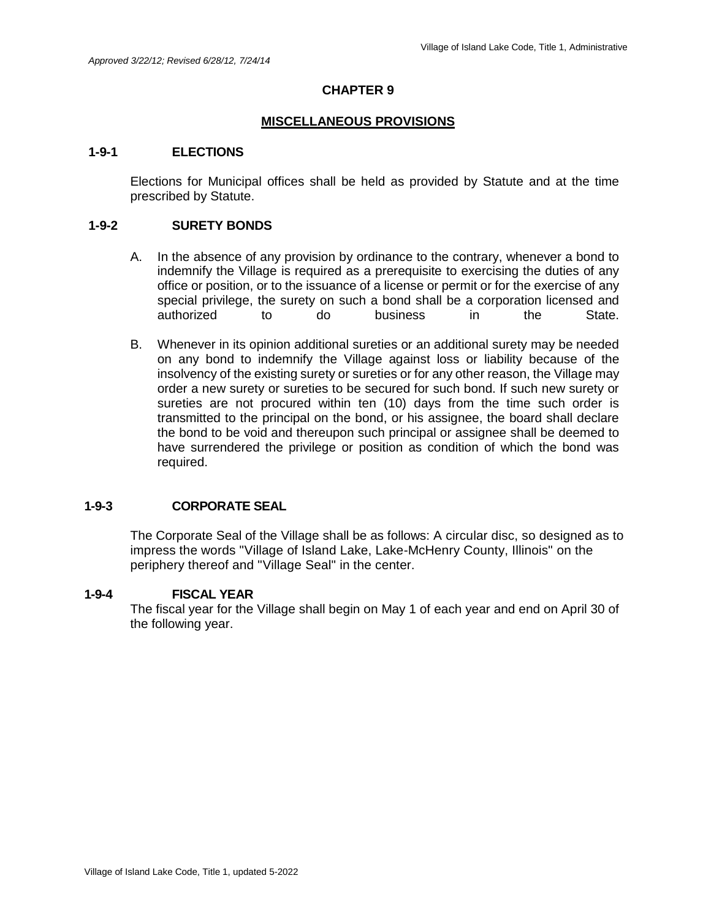#### **MISCELLANEOUS PROVISIONS**

#### **1-9-1 ELECTIONS**

Elections for Municipal offices shall be held as provided by Statute and at the time prescribed by Statute.

#### **1-9-2 SURETY BONDS**

- A. In the absence of any provision by ordinance to the contrary, whenever a bond to indemnify the Village is required as a prerequisite to exercising the duties of any office or position, or to the issuance of a license or permit or for the exercise of any special privilege, the surety on such a bond shall be a corporation licensed and authorized to do business in the State.
- B. Whenever in its opinion additional sureties or an additional surety may be needed on any bond to indemnify the Village against loss or liability because of the insolvency of the existing surety or sureties or for any other reason, the Village may order a new surety or sureties to be secured for such bond. If such new surety or sureties are not procured within ten (10) days from the time such order is transmitted to the principal on the bond, or his assignee, the board shall declare the bond to be void and thereupon such principal or assignee shall be deemed to have surrendered the privilege or position as condition of which the bond was required.

#### **1-9-3 CORPORATE SEAL**

The Corporate Seal of the Village shall be as follows: A circular disc, so designed as to impress the words "Village of Island Lake, Lake-McHenry County, Illinois" on the periphery thereof and "Village Seal" in the center.

#### **1-9-4 FISCAL YEAR**

The fiscal year for the Village shall begin on May 1 of each year and end on April 30 of the following year.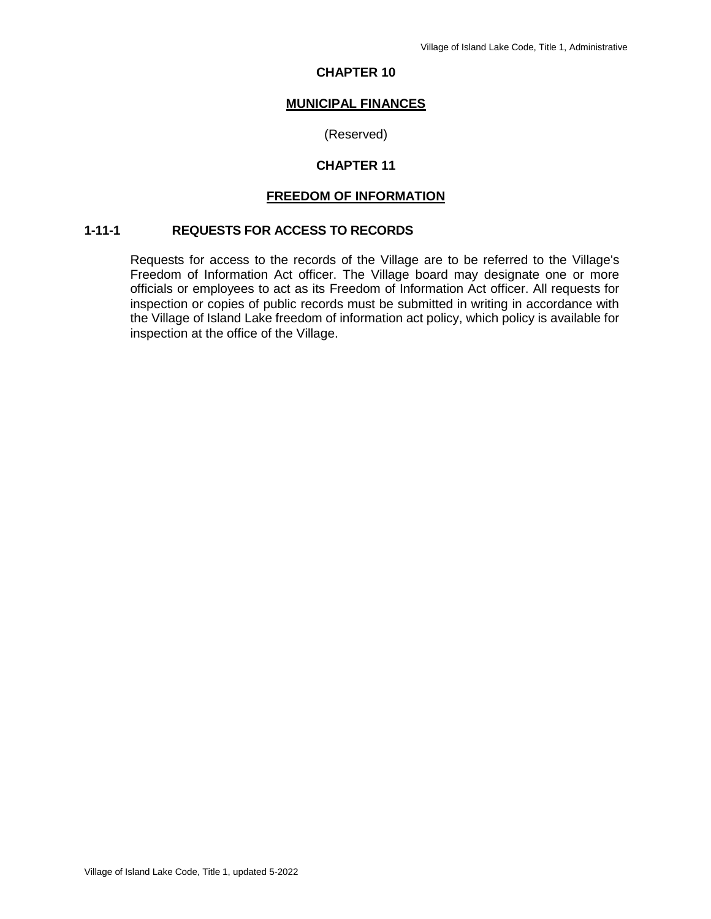#### **MUNICIPAL FINANCES**

#### (Reserved)

#### **CHAPTER 11**

#### **FREEDOM OF INFORMATION**

#### **1-11-1 REQUESTS FOR ACCESS TO RECORDS**

Requests for access to the records of the Village are to be referred to the Village's Freedom of Information Act officer. The Village board may designate one or more officials or employees to act as its Freedom of Information Act officer. All requests for inspection or copies of public records must be submitted in writing in accordance with the Village of Island Lake freedom of information act policy, which policy is available for inspection at the office of the Village.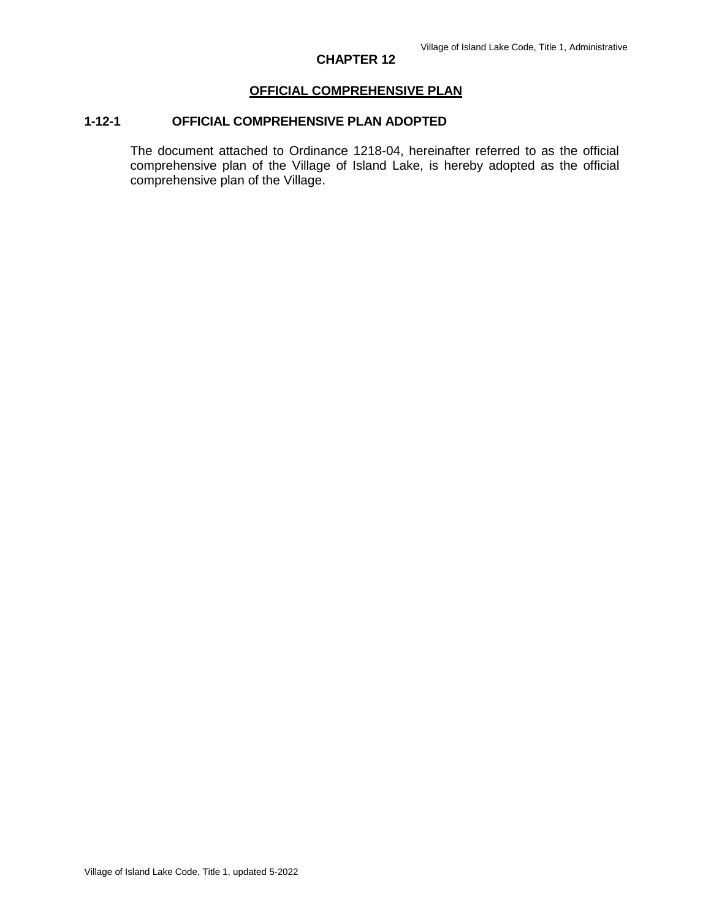## **OFFICIAL COMPREHENSIVE PLAN**

## **1-12-1 OFFICIAL COMPREHENSIVE PLAN ADOPTED**

The document attached to Ordinance 1218-04, hereinafter referred to as the official comprehensive plan of the Village of Island Lake, is hereby adopted as the official comprehensive plan of the Village.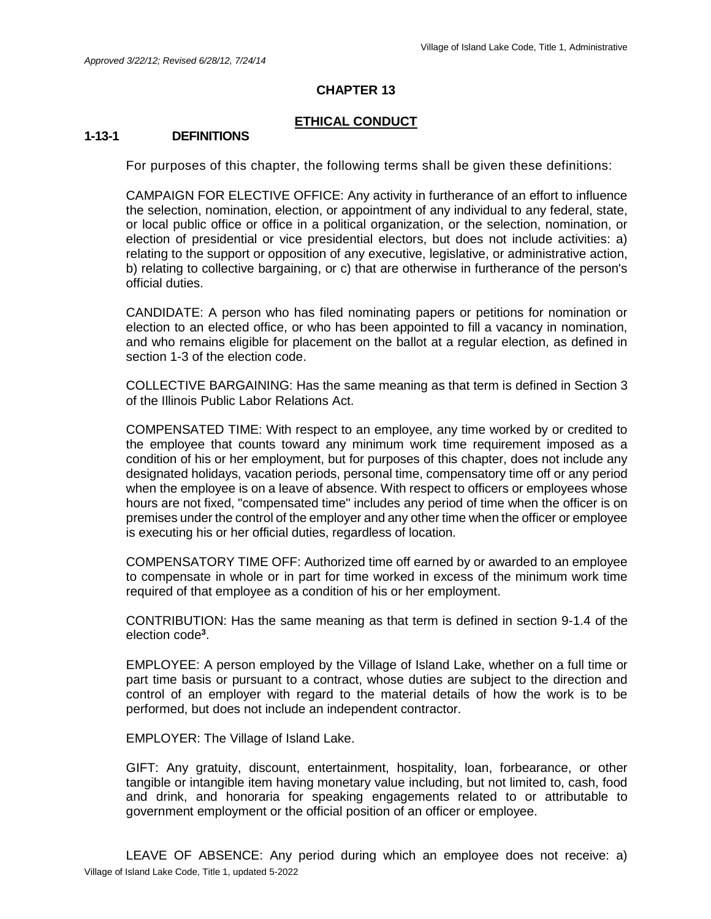#### **ETHICAL CONDUCT**

#### **1-13-1 DEFINITIONS**

For purposes of this chapter, the following terms shall be given these definitions:

CAMPAIGN FOR ELECTIVE OFFICE: Any activity in furtherance of an effort to influence the selection, nomination, election, or appointment of any individual to any federal, state, or local public office or office in a political organization, or the selection, nomination, or election of presidential or vice presidential electors, but does not include activities: a) relating to the support or opposition of any executive, legislative, or administrative action, b) relating to collective bargaining, or c) that are otherwise in furtherance of the person's official duties.

CANDIDATE: A person who has filed nominating papers or petitions for nomination or election to an elected office, or who has been appointed to fill a vacancy in nomination, and who remains eligible for placement on the ballot at a regular election, as defined in section 1-3 of the election code.

COLLECTIVE BARGAINING: Has the same meaning as that term is defined in Section 3 of the Illinois Public Labor Relations Act.

COMPENSATED TIME: With respect to an employee, any time worked by or credited to the employee that counts toward any minimum work time requirement imposed as a condition of his or her employment, but for purposes of this chapter, does not include any designated holidays, vacation periods, personal time, compensatory time off or any period when the employee is on a leave of absence. With respect to officers or employees whose hours are not fixed, "compensated time" includes any period of time when the officer is on premises under the control of the employer and any other time when the officer or employee is executing his or her official duties, regardless of location.

COMPENSATORY TIME OFF: Authorized time off earned by or awarded to an employee to compensate in whole or in part for time worked in excess of the minimum work time required of that employee as a condition of his or her employment.

CONTRIBUTION: Has the same meaning as that term is defined in section 9-1.4 of the election code**<sup>3</sup>** .

EMPLOYEE: A person employed by the Village of Island Lake, whether on a full time or part time basis or pursuant to a contract, whose duties are subject to the direction and control of an employer with regard to the material details of how the work is to be performed, but does not include an independent contractor.

EMPLOYER: The Village of Island Lake.

GIFT: Any gratuity, discount, entertainment, hospitality, loan, forbearance, or other tangible or intangible item having monetary value including, but not limited to, cash, food and drink, and honoraria for speaking engagements related to or attributable to government employment or the official position of an officer or employee.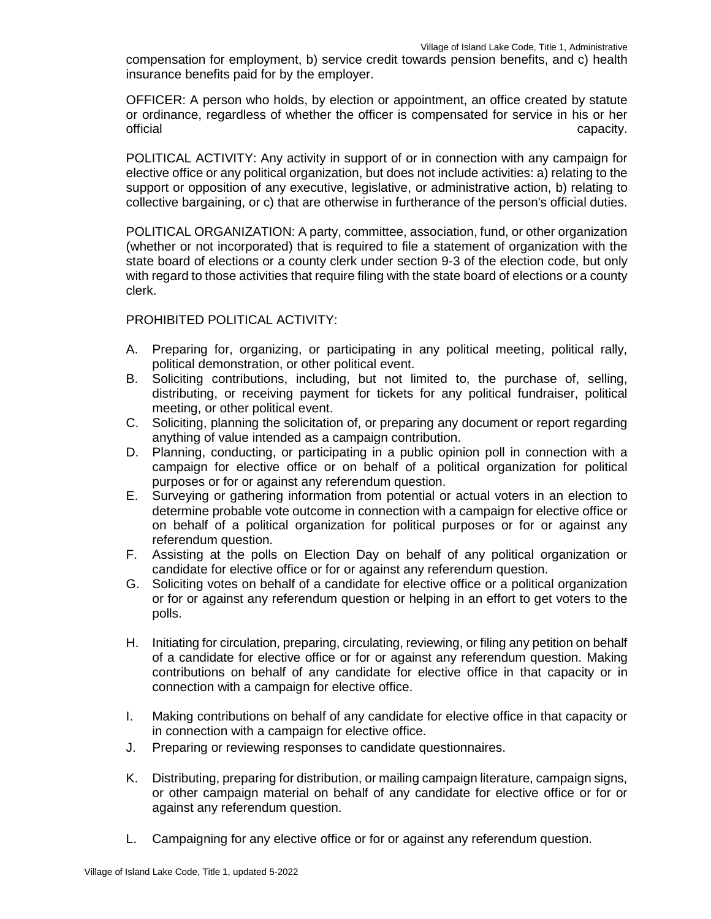compensation for employment, b) service credit towards pension benefits, and c) health insurance benefits paid for by the employer.

OFFICER: A person who holds, by election or appointment, an office created by statute or ordinance, regardless of whether the officer is compensated for service in his or her official capacity.

POLITICAL ACTIVITY: Any activity in support of or in connection with any campaign for elective office or any political organization, but does not include activities: a) relating to the support or opposition of any executive, legislative, or administrative action, b) relating to collective bargaining, or c) that are otherwise in furtherance of the person's official duties.

POLITICAL ORGANIZATION: A party, committee, association, fund, or other organization (whether or not incorporated) that is required to file a statement of organization with the state board of elections or a county clerk under section 9-3 of the election code, but only with regard to those activities that require filing with the state board of elections or a county clerk.

#### PROHIBITED POLITICAL ACTIVITY:

- A. Preparing for, organizing, or participating in any political meeting, political rally, political demonstration, or other political event.
- B. Soliciting contributions, including, but not limited to, the purchase of, selling, distributing, or receiving payment for tickets for any political fundraiser, political meeting, or other political event.
- C. Soliciting, planning the solicitation of, or preparing any document or report regarding anything of value intended as a campaign contribution.
- D. Planning, conducting, or participating in a public opinion poll in connection with a campaign for elective office or on behalf of a political organization for political purposes or for or against any referendum question.
- E. Surveying or gathering information from potential or actual voters in an election to determine probable vote outcome in connection with a campaign for elective office or on behalf of a political organization for political purposes or for or against any referendum question.
- F. Assisting at the polls on Election Day on behalf of any political organization or candidate for elective office or for or against any referendum question.
- G. Soliciting votes on behalf of a candidate for elective office or a political organization or for or against any referendum question or helping in an effort to get voters to the polls.
- H. Initiating for circulation, preparing, circulating, reviewing, or filing any petition on behalf of a candidate for elective office or for or against any referendum question. Making contributions on behalf of any candidate for elective office in that capacity or in connection with a campaign for elective office.
- I. Making contributions on behalf of any candidate for elective office in that capacity or in connection with a campaign for elective office.
- J. Preparing or reviewing responses to candidate questionnaires.
- K. Distributing, preparing for distribution, or mailing campaign literature, campaign signs, or other campaign material on behalf of any candidate for elective office or for or against any referendum question.
- L. Campaigning for any elective office or for or against any referendum question.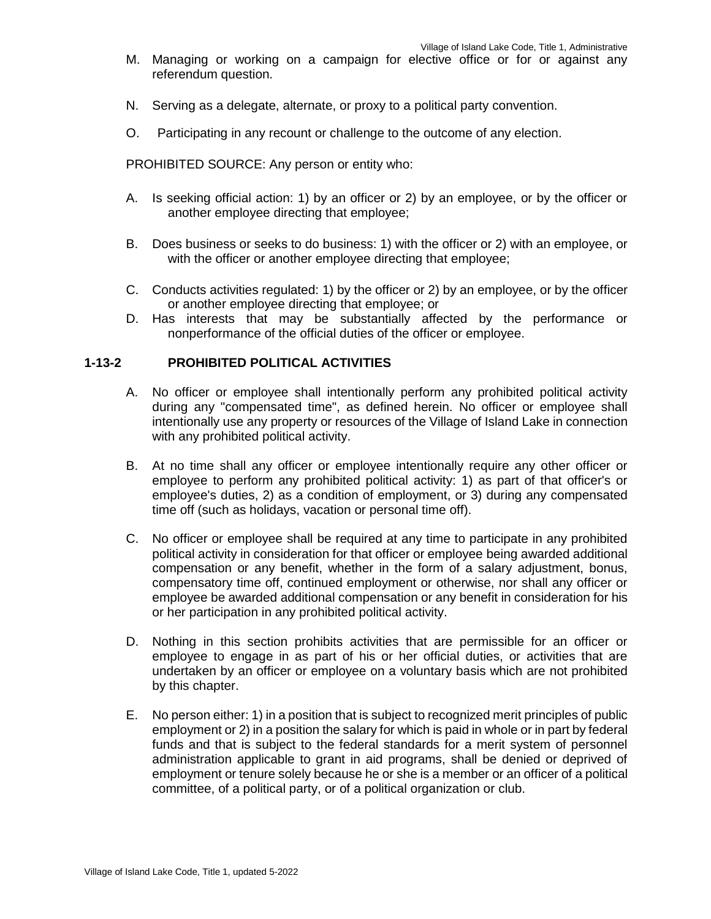- M. Managing or working on a campaign for elective office or for or against any referendum question.
- N. Serving as a delegate, alternate, or proxy to a political party convention.
- O. Participating in any recount or challenge to the outcome of any election.

PROHIBITED SOURCE: Any person or entity who:

- A. Is seeking official action: 1) by an officer or 2) by an employee, or by the officer or another employee directing that employee;
- B. Does business or seeks to do business: 1) with the officer or 2) with an employee, or with the officer or another employee directing that employee;
- C. Conducts activities regulated: 1) by the officer or 2) by an employee, or by the officer or another employee directing that employee; or
- D. Has interests that may be substantially affected by the performance or nonperformance of the official duties of the officer or employee.

#### **1-13-2 PROHIBITED POLITICAL ACTIVITIES**

- A. No officer or employee shall intentionally perform any prohibited political activity during any "compensated time", as defined herein. No officer or employee shall intentionally use any property or resources of the Village of Island Lake in connection with any prohibited political activity.
- B. At no time shall any officer or employee intentionally require any other officer or employee to perform any prohibited political activity: 1) as part of that officer's or employee's duties, 2) as a condition of employment, or 3) during any compensated time off (such as holidays, vacation or personal time off).
- C. No officer or employee shall be required at any time to participate in any prohibited political activity in consideration for that officer or employee being awarded additional compensation or any benefit, whether in the form of a salary adjustment, bonus, compensatory time off, continued employment or otherwise, nor shall any officer or employee be awarded additional compensation or any benefit in consideration for his or her participation in any prohibited political activity.
- D. Nothing in this section prohibits activities that are permissible for an officer or employee to engage in as part of his or her official duties, or activities that are undertaken by an officer or employee on a voluntary basis which are not prohibited by this chapter.
- E. No person either: 1) in a position that is subject to recognized merit principles of public employment or 2) in a position the salary for which is paid in whole or in part by federal funds and that is subject to the federal standards for a merit system of personnel administration applicable to grant in aid programs, shall be denied or deprived of employment or tenure solely because he or she is a member or an officer of a political committee, of a political party, or of a political organization or club.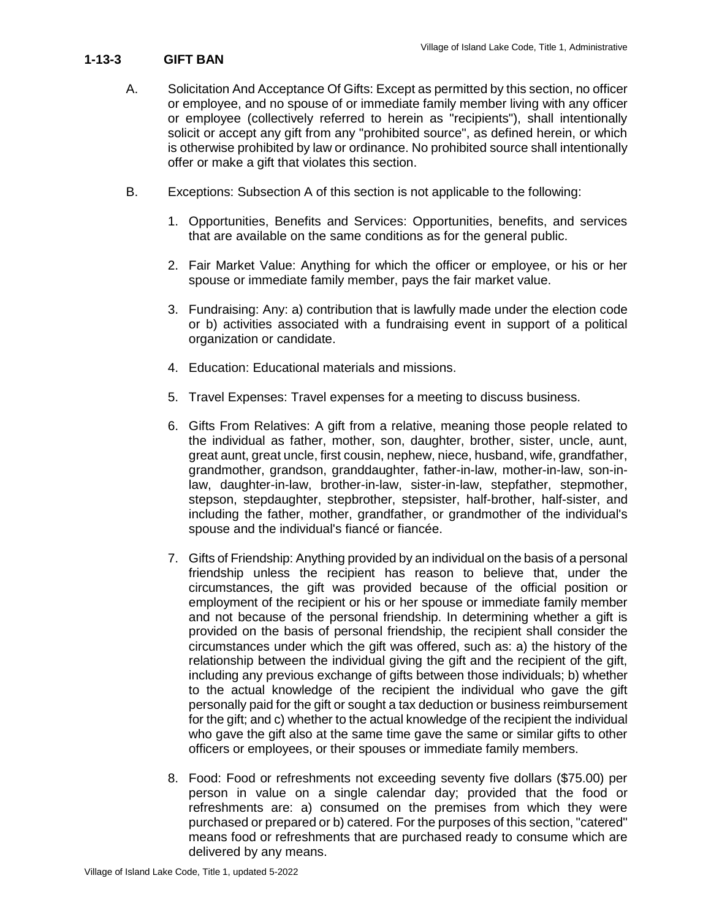## **1-13-3 GIFT BAN**

- A. Solicitation And Acceptance Of Gifts: Except as permitted by this section, no officer or employee, and no spouse of or immediate family member living with any officer or employee (collectively referred to herein as "recipients"), shall intentionally solicit or accept any gift from any "prohibited source", as defined herein, or which is otherwise prohibited by law or ordinance. No prohibited source shall intentionally offer or make a gift that violates this section.
- B. Exceptions: Subsection A of this section is not applicable to the following:
	- 1. Opportunities, Benefits and Services: Opportunities, benefits, and services that are available on the same conditions as for the general public.
	- 2. Fair Market Value: Anything for which the officer or employee, or his or her spouse or immediate family member, pays the fair market value.
	- 3. Fundraising: Any: a) contribution that is lawfully made under the election code or b) activities associated with a fundraising event in support of a political organization or candidate.
	- 4. Education: Educational materials and missions.
	- 5. Travel Expenses: Travel expenses for a meeting to discuss business.
	- 6. Gifts From Relatives: A gift from a relative, meaning those people related to the individual as father, mother, son, daughter, brother, sister, uncle, aunt, great aunt, great uncle, first cousin, nephew, niece, husband, wife, grandfather, grandmother, grandson, granddaughter, father-in-law, mother-in-law, son-inlaw, daughter-in-law, brother-in-law, sister-in-law, stepfather, stepmother, stepson, stepdaughter, stepbrother, stepsister, half-brother, half-sister, and including the father, mother, grandfather, or grandmother of the individual's spouse and the individual's fiancé or fiancée.
	- 7. Gifts of Friendship: Anything provided by an individual on the basis of a personal friendship unless the recipient has reason to believe that, under the circumstances, the gift was provided because of the official position or employment of the recipient or his or her spouse or immediate family member and not because of the personal friendship. In determining whether a gift is provided on the basis of personal friendship, the recipient shall consider the circumstances under which the gift was offered, such as: a) the history of the relationship between the individual giving the gift and the recipient of the gift, including any previous exchange of gifts between those individuals; b) whether to the actual knowledge of the recipient the individual who gave the gift personally paid for the gift or sought a tax deduction or business reimbursement for the gift; and c) whether to the actual knowledge of the recipient the individual who gave the gift also at the same time gave the same or similar gifts to other officers or employees, or their spouses or immediate family members.
	- 8. Food: Food or refreshments not exceeding seventy five dollars (\$75.00) per person in value on a single calendar day; provided that the food or refreshments are: a) consumed on the premises from which they were purchased or prepared or b) catered. For the purposes of this section, "catered" means food or refreshments that are purchased ready to consume which are delivered by any means.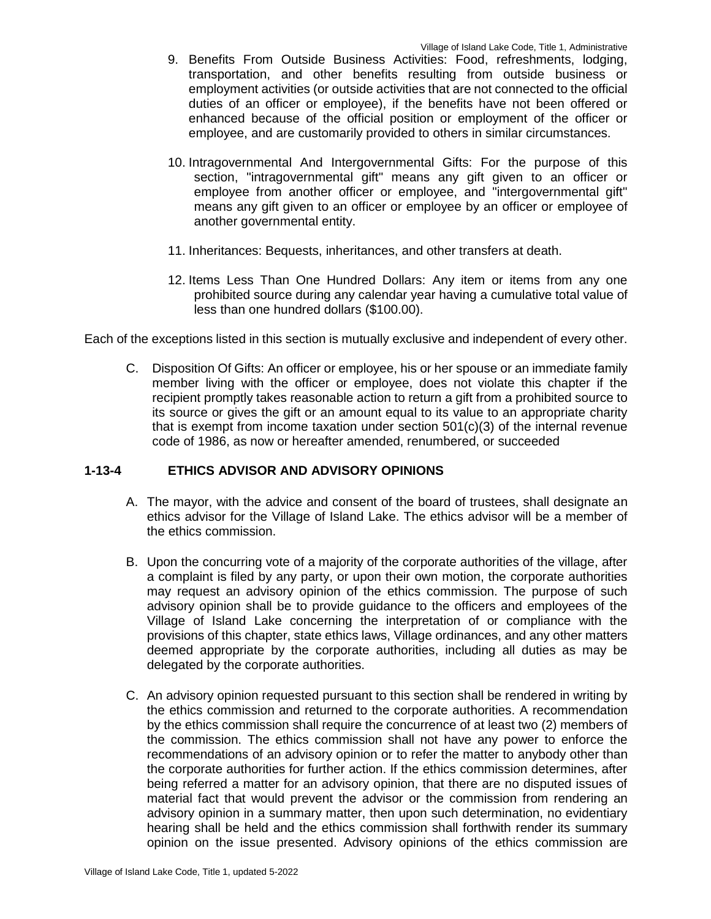- 9. Benefits From Outside Business Activities: Food, refreshments, lodging, transportation, and other benefits resulting from outside business or employment activities (or outside activities that are not connected to the official duties of an officer or employee), if the benefits have not been offered or enhanced because of the official position or employment of the officer or employee, and are customarily provided to others in similar circumstances.
- 10. Intragovernmental And Intergovernmental Gifts: For the purpose of this section, "intragovernmental gift" means any gift given to an officer or employee from another officer or employee, and "intergovernmental gift" means any gift given to an officer or employee by an officer or employee of another governmental entity.
- 11. Inheritances: Bequests, inheritances, and other transfers at death.
- 12. Items Less Than One Hundred Dollars: Any item or items from any one prohibited source during any calendar year having a cumulative total value of less than one hundred dollars (\$100.00).

Each of the exceptions listed in this section is mutually exclusive and independent of every other.

C. Disposition Of Gifts: An officer or employee, his or her spouse or an immediate family member living with the officer or employee, does not violate this chapter if the recipient promptly takes reasonable action to return a gift from a prohibited source to its source or gives the gift or an amount equal to its value to an appropriate charity that is exempt from income taxation under section 501(c)(3) of the internal revenue code of 1986, as now or hereafter amended, renumbered, or succeeded

#### **1-13-4 ETHICS ADVISOR AND ADVISORY OPINIONS**

- A. The mayor, with the advice and consent of the board of trustees, shall designate an ethics advisor for the Village of Island Lake. The ethics advisor will be a member of the ethics commission.
- B. Upon the concurring vote of a majority of the corporate authorities of the village, after a complaint is filed by any party, or upon their own motion, the corporate authorities may request an advisory opinion of the ethics commission. The purpose of such advisory opinion shall be to provide guidance to the officers and employees of the Village of Island Lake concerning the interpretation of or compliance with the provisions of this chapter, state ethics laws, Village ordinances, and any other matters deemed appropriate by the corporate authorities, including all duties as may be delegated by the corporate authorities.
- C. An advisory opinion requested pursuant to this section shall be rendered in writing by the ethics commission and returned to the corporate authorities. A recommendation by the ethics commission shall require the concurrence of at least two (2) members of the commission. The ethics commission shall not have any power to enforce the recommendations of an advisory opinion or to refer the matter to anybody other than the corporate authorities for further action. If the ethics commission determines, after being referred a matter for an advisory opinion, that there are no disputed issues of material fact that would prevent the advisor or the commission from rendering an advisory opinion in a summary matter, then upon such determination, no evidentiary hearing shall be held and the ethics commission shall forthwith render its summary opinion on the issue presented. Advisory opinions of the ethics commission are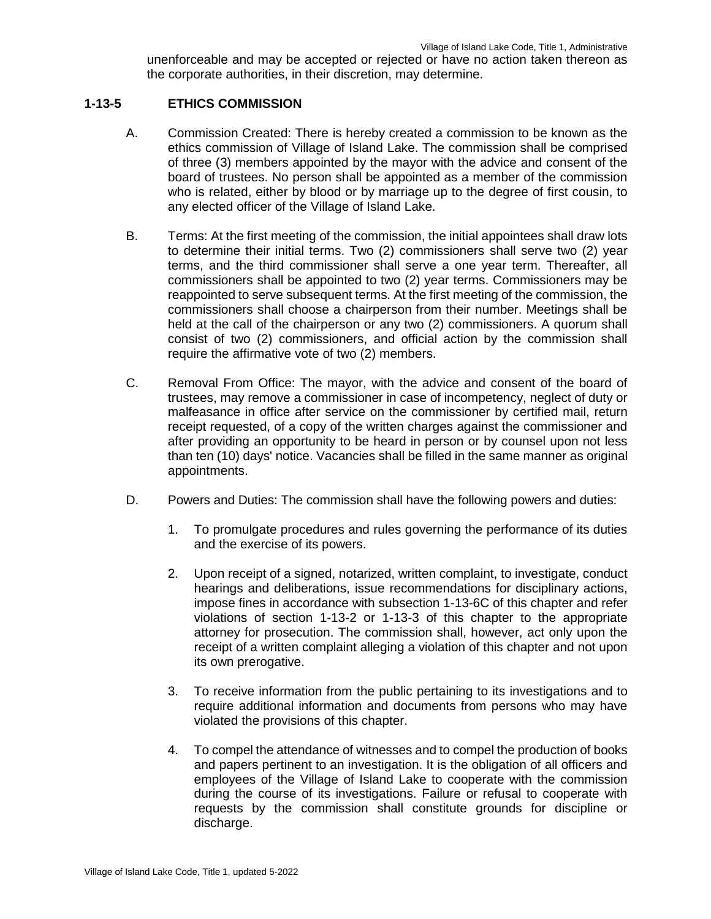unenforceable and may be accepted or rejected or have no action taken thereon as the corporate authorities, in their discretion, may determine.

#### **1-13-5 ETHICS COMMISSION**

- A. Commission Created: There is hereby created a commission to be known as the ethics commission of Village of Island Lake. The commission shall be comprised of three (3) members appointed by the mayor with the advice and consent of the board of trustees. No person shall be appointed as a member of the commission who is related, either by blood or by marriage up to the degree of first cousin, to any elected officer of the Village of Island Lake.
- B. Terms: At the first meeting of the commission, the initial appointees shall draw lots to determine their initial terms. Two (2) commissioners shall serve two (2) year terms, and the third commissioner shall serve a one year term. Thereafter, all commissioners shall be appointed to two (2) year terms. Commissioners may be reappointed to serve subsequent terms. At the first meeting of the commission, the commissioners shall choose a chairperson from their number. Meetings shall be held at the call of the chairperson or any two (2) commissioners. A quorum shall consist of two (2) commissioners, and official action by the commission shall require the affirmative vote of two (2) members.
- C. Removal From Office: The mayor, with the advice and consent of the board of trustees, may remove a commissioner in case of incompetency, neglect of duty or malfeasance in office after service on the commissioner by certified mail, return receipt requested, of a copy of the written charges against the commissioner and after providing an opportunity to be heard in person or by counsel upon not less than ten (10) days' notice. Vacancies shall be filled in the same manner as original appointments.
- D. Powers and Duties: The commission shall have the following powers and duties:
	- 1. To promulgate procedures and rules governing the performance of its duties and the exercise of its powers.
	- 2. Upon receipt of a signed, notarized, written complaint, to investigate, conduct hearings and deliberations, issue recommendations for disciplinary actions, impose fines in accordance with subsection 1-13-6C of this chapter and refer violations of section 1-13-2 or 1-13-3 of this chapter to the appropriate attorney for prosecution. The commission shall, however, act only upon the receipt of a written complaint alleging a violation of this chapter and not upon its own prerogative.
	- 3. To receive information from the public pertaining to its investigations and to require additional information and documents from persons who may have violated the provisions of this chapter.
	- 4. To compel the attendance of witnesses and to compel the production of books and papers pertinent to an investigation. It is the obligation of all officers and employees of the Village of Island Lake to cooperate with the commission during the course of its investigations. Failure or refusal to cooperate with requests by the commission shall constitute grounds for discipline or discharge.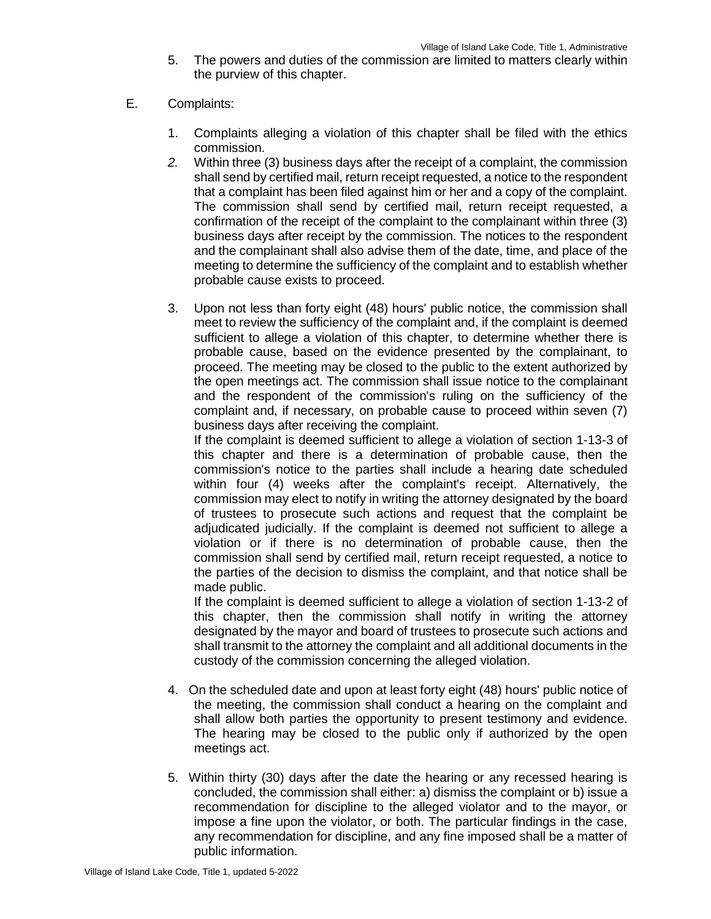- 5. The powers and duties of the commission are limited to matters clearly within the purview of this chapter.
- E. Complaints:
	- 1. Complaints alleging a violation of this chapter shall be filed with the ethics commission.
	- *2.* Within three (3) business days after the receipt of a complaint, the commission shall send by certified mail, return receipt requested, a notice to the respondent that a complaint has been filed against him or her and a copy of the complaint. The commission shall send by certified mail, return receipt requested, a confirmation of the receipt of the complaint to the complainant within three (3) business days after receipt by the commission. The notices to the respondent and the complainant shall also advise them of the date, time, and place of the meeting to determine the sufficiency of the complaint and to establish whether probable cause exists to proceed.
	- 3. Upon not less than forty eight (48) hours' public notice, the commission shall meet to review the sufficiency of the complaint and, if the complaint is deemed sufficient to allege a violation of this chapter, to determine whether there is probable cause, based on the evidence presented by the complainant, to proceed. The meeting may be closed to the public to the extent authorized by the open meetings act. The commission shall issue notice to the complainant and the respondent of the commission's ruling on the sufficiency of the complaint and, if necessary, on probable cause to proceed within seven (7) business days after receiving the complaint.

If the complaint is deemed sufficient to allege a violation of section 1-13-3 of this chapter and there is a determination of probable cause, then the commission's notice to the parties shall include a hearing date scheduled within four (4) weeks after the complaint's receipt. Alternatively, the commission may elect to notify in writing the attorney designated by the board of trustees to prosecute such actions and request that the complaint be adjudicated judicially. If the complaint is deemed not sufficient to allege a violation or if there is no determination of probable cause, then the commission shall send by certified mail, return receipt requested, a notice to the parties of the decision to dismiss the complaint, and that notice shall be made public.

If the complaint is deemed sufficient to allege a violation of section 1-13-2 of this chapter, then the commission shall notify in writing the attorney designated by the mayor and board of trustees to prosecute such actions and shall transmit to the attorney the complaint and all additional documents in the custody of the commission concerning the alleged violation.

- 4. On the scheduled date and upon at least forty eight (48) hours' public notice of the meeting, the commission shall conduct a hearing on the complaint and shall allow both parties the opportunity to present testimony and evidence. The hearing may be closed to the public only if authorized by the open meetings act.
- 5. Within thirty (30) days after the date the hearing or any recessed hearing is concluded, the commission shall either: a) dismiss the complaint or b) issue a recommendation for discipline to the alleged violator and to the mayor, or impose a fine upon the violator, or both. The particular findings in the case, any recommendation for discipline, and any fine imposed shall be a matter of public information.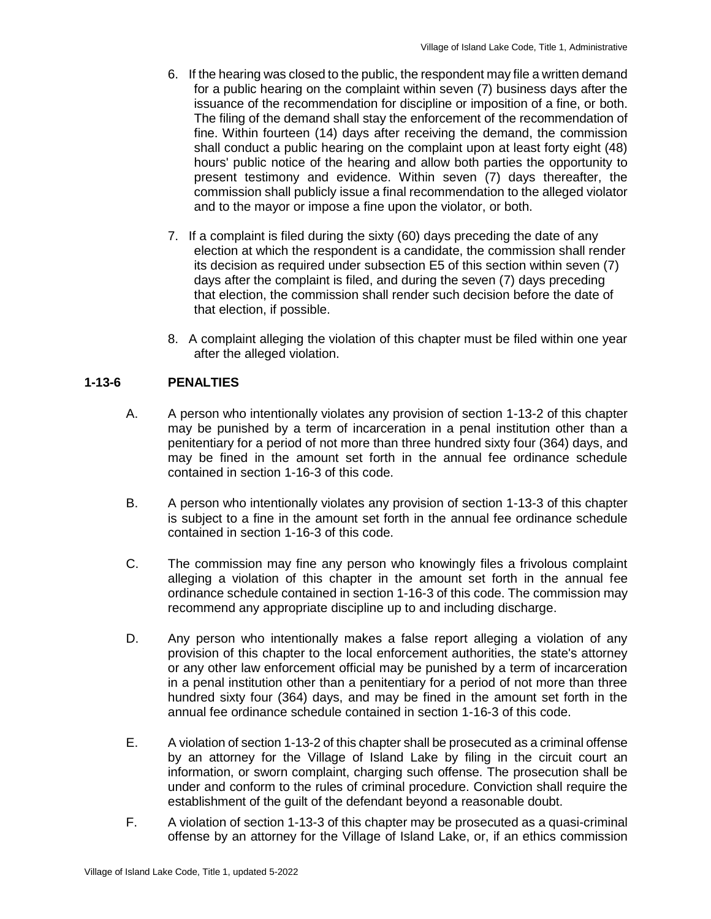- 6. If the hearing was closed to the public, the respondent may file a written demand for a public hearing on the complaint within seven (7) business days after the issuance of the recommendation for discipline or imposition of a fine, or both. The filing of the demand shall stay the enforcement of the recommendation of fine. Within fourteen (14) days after receiving the demand, the commission shall conduct a public hearing on the complaint upon at least forty eight (48) hours' public notice of the hearing and allow both parties the opportunity to present testimony and evidence. Within seven (7) days thereafter, the commission shall publicly issue a final recommendation to the alleged violator and to the mayor or impose a fine upon the violator, or both.
- 7. If a complaint is filed during the sixty (60) days preceding the date of any election at which the respondent is a candidate, the commission shall render its decision as required under subsection E5 of this section within seven (7) days after the complaint is filed, and during the seven (7) days preceding that election, the commission shall render such decision before the date of that election, if possible.
- 8. A complaint alleging the violation of this chapter must be filed within one year after the alleged violation.

## **1-13-6 PENALTIES**

- A. A person who intentionally violates any provision of section 1-13-2 of this chapter may be punished by a term of incarceration in a penal institution other than a penitentiary for a period of not more than three hundred sixty four (364) days, and may be fined in the amount set forth in the annual fee ordinance schedule contained in section 1-16-3 of this code.
- B. A person who intentionally violates any provision of section 1-13-3 of this chapter is subject to a fine in the amount set forth in the annual fee ordinance schedule contained in section 1-16-3 of this code.
- C. The commission may fine any person who knowingly files a frivolous complaint alleging a violation of this chapter in the amount set forth in the annual fee ordinance schedule contained in section 1-16-3 of this code. The commission may recommend any appropriate discipline up to and including discharge.
- D. Any person who intentionally makes a false report alleging a violation of any provision of this chapter to the local enforcement authorities, the state's attorney or any other law enforcement official may be punished by a term of incarceration in a penal institution other than a penitentiary for a period of not more than three hundred sixty four (364) days, and may be fined in the amount set forth in the annual fee ordinance schedule contained in section 1-16-3 of this code.
- E. A violation of section 1-13-2 of this chapter shall be prosecuted as a criminal offense by an attorney for the Village of Island Lake by filing in the circuit court an information, or sworn complaint, charging such offense. The prosecution shall be under and conform to the rules of criminal procedure. Conviction shall require the establishment of the guilt of the defendant beyond a reasonable doubt.
- F. A violation of section 1-13-3 of this chapter may be prosecuted as a quasi-criminal offense by an attorney for the Village of Island Lake, or, if an ethics commission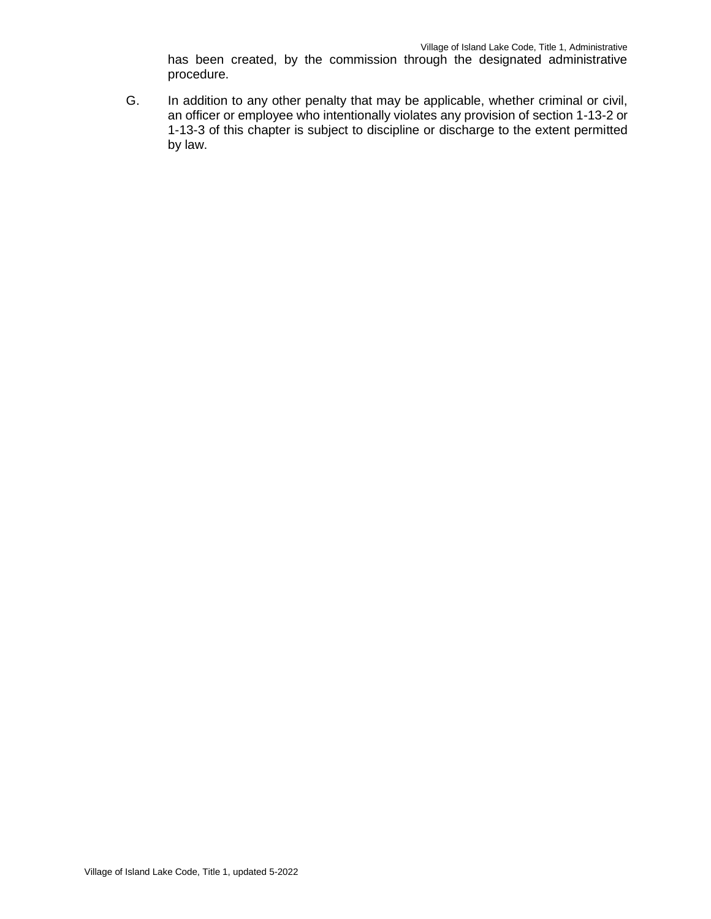has been created, by the commission through the designated administrative procedure.

G. In addition to any other penalty that may be applicable, whether criminal or civil, an officer or employee who intentionally violates any provision of section 1-13-2 or 1-13-3 of this chapter is subject to discipline or discharge to the extent permitted by law.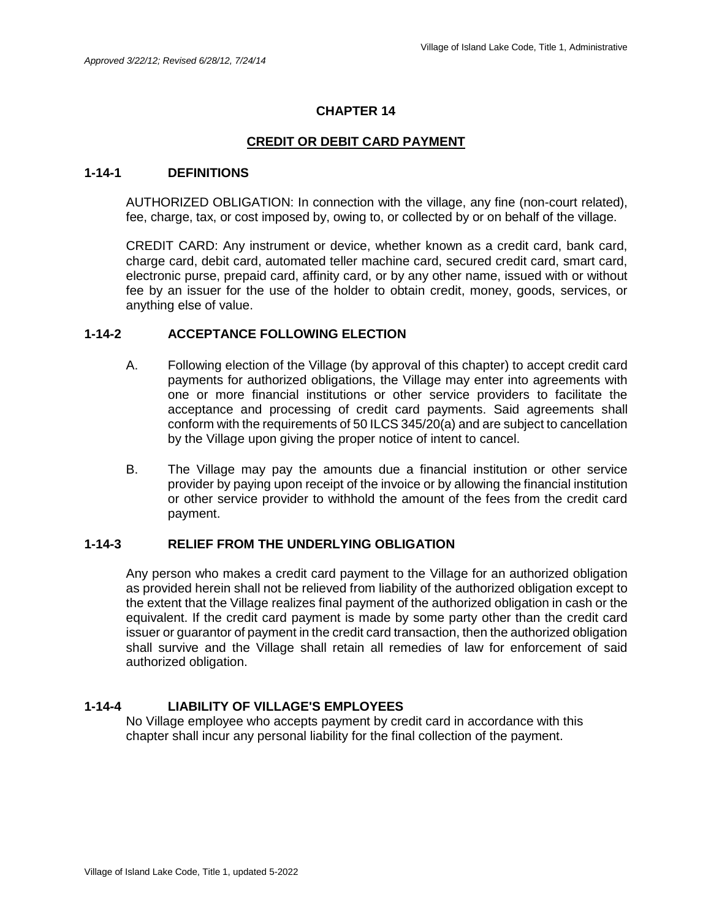## **CREDIT OR DEBIT CARD PAYMENT**

#### **1-14-1 DEFINITIONS**

AUTHORIZED OBLIGATION: In connection with the village, any fine (non-court related), fee, charge, tax, or cost imposed by, owing to, or collected by or on behalf of the village.

CREDIT CARD: Any instrument or device, whether known as a credit card, bank card, charge card, debit card, automated teller machine card, secured credit card, smart card, electronic purse, prepaid card, affinity card, or by any other name, issued with or without fee by an issuer for the use of the holder to obtain credit, money, goods, services, or anything else of value.

#### **1-14-2 ACCEPTANCE FOLLOWING ELECTION**

- A. Following election of the Village (by approval of this chapter) to accept credit card payments for authorized obligations, the Village may enter into agreements with one or more financial institutions or other service providers to facilitate the acceptance and processing of credit card payments. Said agreements shall conform with the requirements of 50 ILCS 345/20(a) and are subject to cancellation by the Village upon giving the proper notice of intent to cancel.
- B. The Village may pay the amounts due a financial institution or other service provider by paying upon receipt of the invoice or by allowing the financial institution or other service provider to withhold the amount of the fees from the credit card payment.

### **1-14-3 RELIEF FROM THE UNDERLYING OBLIGATION**

Any person who makes a credit card payment to the Village for an authorized obligation as provided herein shall not be relieved from liability of the authorized obligation except to the extent that the Village realizes final payment of the authorized obligation in cash or the equivalent. If the credit card payment is made by some party other than the credit card issuer or guarantor of payment in the credit card transaction, then the authorized obligation shall survive and the Village shall retain all remedies of law for enforcement of said authorized obligation.

#### **1-14-4 LIABILITY OF VILLAGE'S EMPLOYEES**

No Village employee who accepts payment by credit card in accordance with this chapter shall incur any personal liability for the final collection of the payment.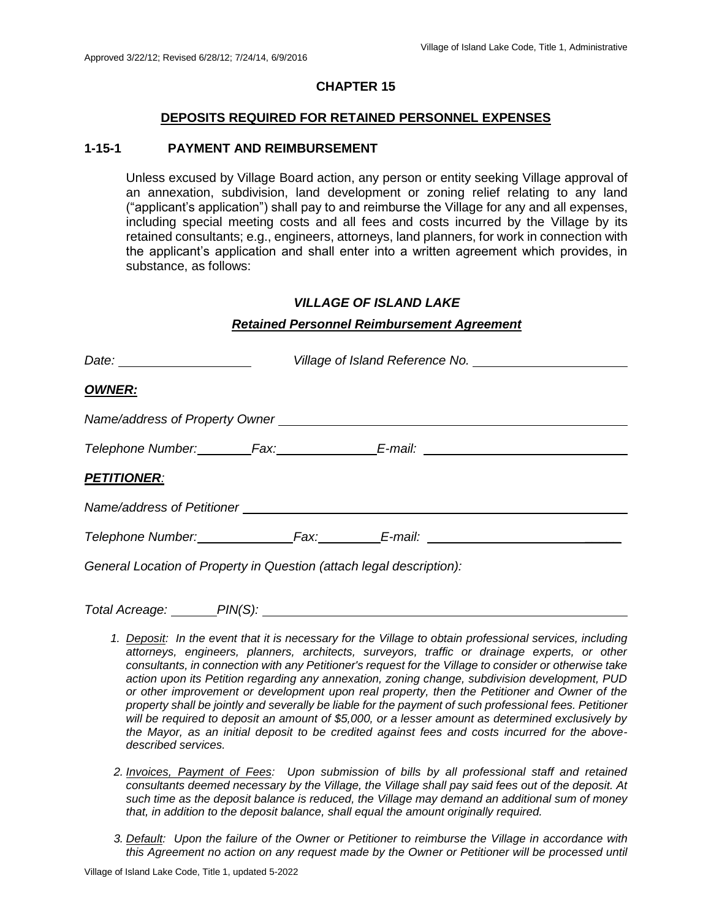#### **DEPOSITS REQUIRED FOR RETAINED PERSONNEL EXPENSES**

#### **1-15-1 PAYMENT AND REIMBURSEMENT**

Unless excused by Village Board action, any person or entity seeking Village approval of an annexation, subdivision, land development or zoning relief relating to any land ("applicant's application") shall pay to and reimburse the Village for any and all expenses, including special meeting costs and all fees and costs incurred by the Village by its retained consultants; e.g., engineers, attorneys, land planners, for work in connection with the applicant's application and shall enter into a written agreement which provides, in substance, as follows:

#### *VILLAGE OF ISLAND LAKE*

#### *Retained Personnel Reimbursement Agreement*

| <b>OWNER:</b>                                                                    |  |  |  |
|----------------------------------------------------------------------------------|--|--|--|
| Name/address of Property Owner                                                   |  |  |  |
| Telephone Number:_________Fax:__________________E-mail: ________________________ |  |  |  |
| <b>PETITIONER:</b>                                                               |  |  |  |
|                                                                                  |  |  |  |
|                                                                                  |  |  |  |
| General Location of Property in Question (attach legal description):             |  |  |  |

*Total Acreage: PIN(S):* 

- *1. Deposit: In the event that it is necessary for the Village to obtain professional services, including attorneys, engineers, planners, architects, surveyors, traffic or drainage experts, or other consultants, in connection with any Petitioner's request for the Village to consider or otherwise take action upon its Petition regarding any annexation, zoning change, subdivision development, PUD or other improvement or development upon real property, then the Petitioner and Owner of the property shall be jointly and severally be liable for the payment of such professional fees. Petitioner will be required to deposit an amount of \$5,000, or a lesser amount as determined exclusively by the Mayor, as an initial deposit to be credited against fees and costs incurred for the abovedescribed services.*
- *2. Invoices, Payment of Fees: Upon submission of bills by all professional staff and retained consultants deemed necessary by the Village, the Village shall pay said fees out of the deposit. At such time as the deposit balance is reduced, the Village may demand an additional sum of money that, in addition to the deposit balance, shall equal the amount originally required.*
- *3. Default: Upon the failure of the Owner or Petitioner to reimburse the Village in accordance with*  this Agreement no action on any request made by the Owner or Petitioner will be processed until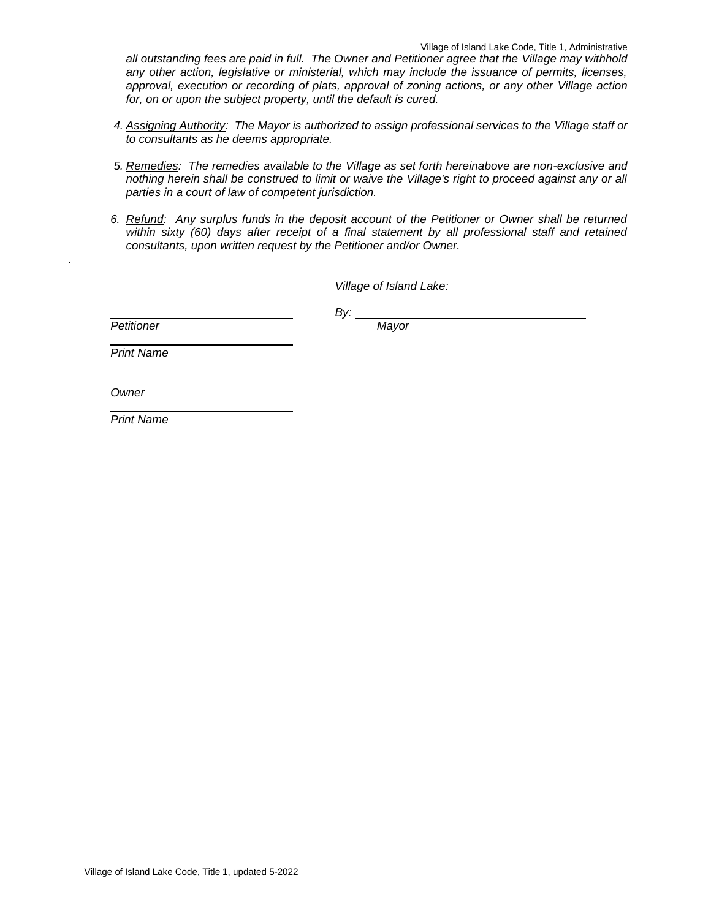*all outstanding fees are paid in full. The Owner and Petitioner agree that the Village may withhold any other action, legislative or ministerial, which may include the issuance of permits, licenses, approval, execution or recording of plats, approval of zoning actions, or any other Village action for, on or upon the subject property, until the default is cured.* 

- *4. Assigning Authority: The Mayor is authorized to assign professional services to the Village staff or to consultants as he deems appropriate.*
- *5. Remedies: The remedies available to the Village as set forth hereinabove are non-exclusive and nothing herein shall be construed to limit or waive the Village's right to proceed against any or all parties in a court of law of competent jurisdiction.*
- *6. Refund: Any surplus funds in the deposit account of the Petitioner or Owner shall be returned*  within sixty (60) days after receipt of a final statement by all professional staff and retained *consultants, upon written request by the Petitioner and/or Owner.*

*Village of Island Lake:*

*Petitioner Mayor*

*.*

*By:* 

*Print Name*

*Owner*

*Print Name*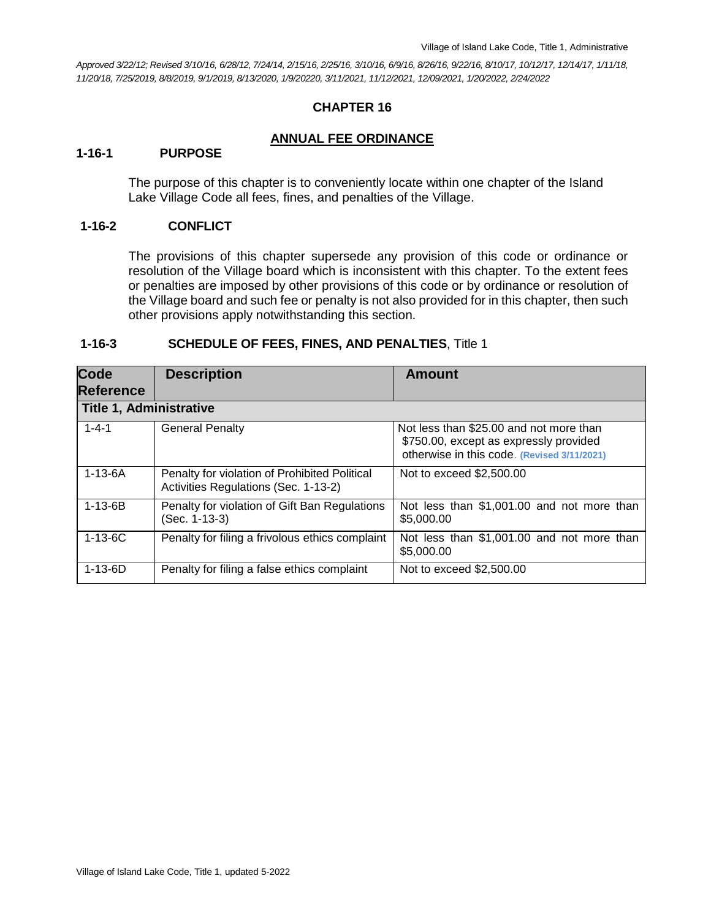*Approved 3/22/12; Revised 3/10/16, 6/28/12, 7/24/14, 2/15/16, 2/25/16, 3/10/16, 6/9/16, 8/26/16, 9/22/16, 8/10/17, 10/12/17, 12/14/17, 1/11/18, 11/20/18, 7/25/2019, 8/8/2019, 9/1/2019, 8/13/2020, 1/9/20220, 3/11/2021, 11/12/2021, 12/09/2021, 1/20/2022, 2/24/2022*

## **CHAPTER 16**

#### **ANNUAL FEE ORDINANCE**

#### **1-16-1 PURPOSE**

The purpose of this chapter is to conveniently locate within one chapter of the Island Lake Village Code all fees, fines, and penalties of the Village.

#### **1-16-2 CONFLICT**

The provisions of this chapter supersede any provision of this code or ordinance or resolution of the Village board which is inconsistent with this chapter. To the extent fees or penalties are imposed by other provisions of this code or by ordinance or resolution of the Village board and such fee or penalty is not also provided for in this chapter, then such other provisions apply notwithstanding this section.

| <b>Code</b><br><b>Reference</b> | <b>Description</b>                                                                    | <b>Amount</b>                                                                                                                    |
|---------------------------------|---------------------------------------------------------------------------------------|----------------------------------------------------------------------------------------------------------------------------------|
| <b>Title 1, Administrative</b>  |                                                                                       |                                                                                                                                  |
| $1 - 4 - 1$                     | <b>General Penalty</b>                                                                | Not less than \$25.00 and not more than<br>\$750.00, except as expressly provided<br>otherwise in this code. (Revised 3/11/2021) |
| $1 - 13 - 6A$                   | Penalty for violation of Prohibited Political<br>Activities Regulations (Sec. 1-13-2) | Not to exceed \$2,500.00                                                                                                         |
| $1 - 13 - 6B$                   | Penalty for violation of Gift Ban Regulations<br>(Sec. 1-13-3)                        | Not less than \$1,001.00 and not more than<br>\$5,000.00                                                                         |
| $1 - 13 - 6C$                   | Penalty for filing a frivolous ethics complaint                                       | Not less than \$1,001.00 and not more than<br>\$5,000.00                                                                         |
| $1 - 13 - 6D$                   | Penalty for filing a false ethics complaint                                           | Not to exceed \$2,500.00                                                                                                         |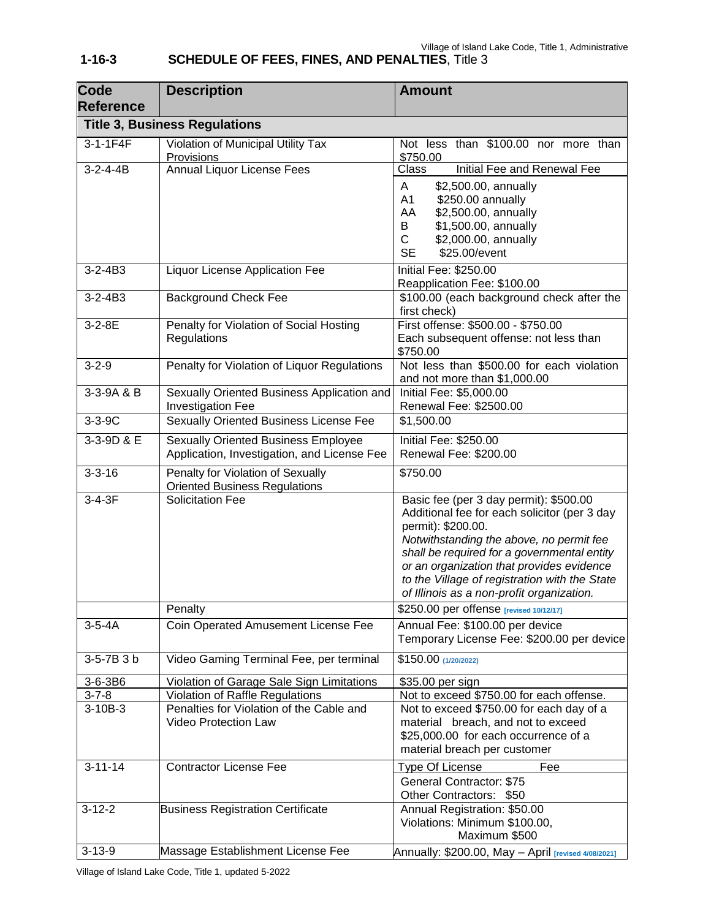#### **Reference Title 3, Business Regulations** 3-1-1F4F Violation of Municipal Utility Tax **Provisions** Not less than \$100.00 nor more than <u>\$750.00</u><br>Class 3-2-4-4B Annual Liquor License Fees Class Initial Fee and Renewal Fee A \$2,500.00, annually A1 \$250.00 annually AA \$2,500.00, annually B \$1,500.00, annually C \$2,000.00, annually SE \$25.00/event 3-2-4B3 Liquor License Application Fee | Initial Fee: \$250.00 Reapplication Fee: \$100.00 3-2-4B3 Background Check Fee \$100.00 (each background check after the first check) 3-2-8E Penalty for Violation of Social Hosting **Regulations** First offense: \$500.00 - \$750.00 Each subsequent offense: not less than \$750.00 3-2-9 **Penalty for Violation of Liquor Regulations** Not less than \$500.00 for each violation and not more than \$1,000.00 3-3-9A & B Sexually Oriented Business Application and Investigation Fee Initial Fee: \$5,000.00 Renewal Fee: \$2500.00 3-3-9C Sexually Oriented Business License Fee \$1,500.00 3-3-9D & E Sexually Oriented Business Employee Application, Investigation, and License Fee Initial Fee: \$250.00 Renewal Fee: \$200.00 3-3-16 Penalty for Violation of Sexually Oriented Business Regulations \$750.00 3-4-3F Solicitation Fee Basic fee (per 3 day permit): \$500.00 Additional fee for each solicitor (per 3 day permit): \$200.00. *Notwithstanding the above, no permit fee shall be required for a governmental entity or an organization that provides evidence to the Village of registration with the State of Illinois as a non-profit organization.* **Penalty b**  $\frac{1}{250.00}$  per offense **[revised 10/12/17]** 3-5-4A Coin Operated Amusement License Fee Annual Fee: \$100.00 per device Temporary License Fee: \$200.00 per device 3-5-7B 3 b Video Gaming Terminal Fee, per terminal \$150.00 **(1/20/2022)** 3-6-3B6 Violation of Garage Sale Sign Limitations | \$35.00 per sign 3-7-8 Violation of Raffle Regulations Not to exceed \$750.00 for each offense. 3-10B-3 Penalties for Violation of the Cable and Video Protection Law Not to exceed \$750.00 for each day of a material breach, and not to exceed \$25,000.00 for each occurrence of a material breach per customer 3-11-14 Contractor License Fee Type Of License Fee

3-12-2 Business Registration Certificate | Annual Registration: \$50.00

3-13-9 Massage Establishment License Fee Annually: \$200.00, May – April **[revised 4/08/2021]**

General Contractor: \$75 Other Contractors: \$50

Violations: Minimum \$100.00,

Maximum \$500

## **1-16-3 SCHEDULE OF FEES, FINES, AND PENALTIES**, Title 3

**Description Amount** 

**Code**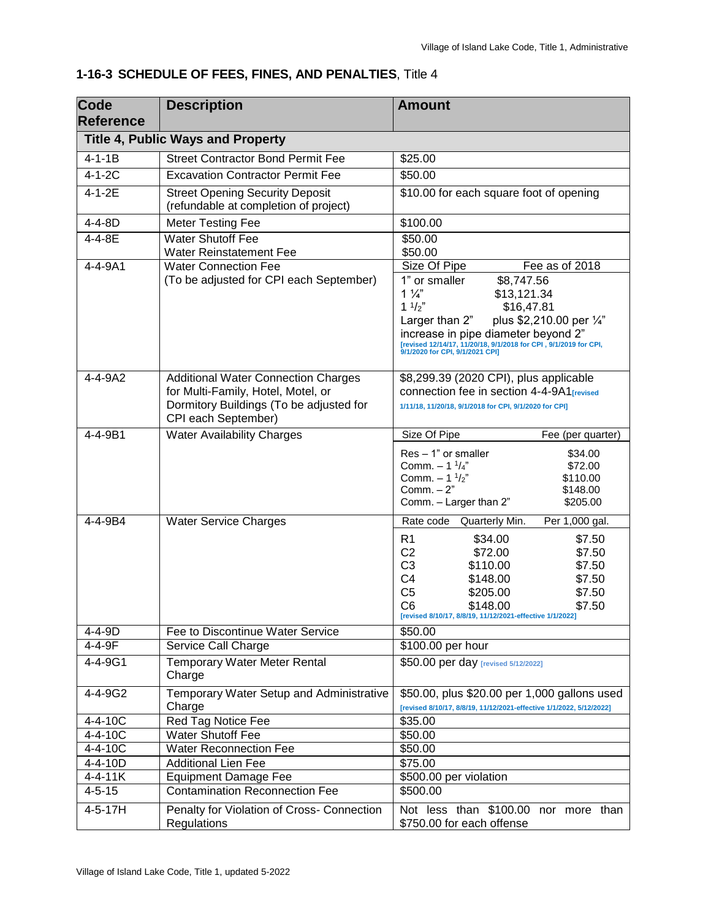| <b>Code</b><br><b>Reference</b> | <b>Description</b>                                                                                   | <b>Amount</b>                                                                                                                                                                                                                                                                                          |
|---------------------------------|------------------------------------------------------------------------------------------------------|--------------------------------------------------------------------------------------------------------------------------------------------------------------------------------------------------------------------------------------------------------------------------------------------------------|
|                                 | <b>Title 4, Public Ways and Property</b>                                                             |                                                                                                                                                                                                                                                                                                        |
| $4 - 1 - 1B$                    | <b>Street Contractor Bond Permit Fee</b>                                                             | \$25.00                                                                                                                                                                                                                                                                                                |
| $4 - 1 - 2C$                    | <b>Excavation Contractor Permit Fee</b>                                                              | \$50.00                                                                                                                                                                                                                                                                                                |
| $4 - 1 - 2E$                    | <b>Street Opening Security Deposit</b>                                                               | \$10.00 for each square foot of opening                                                                                                                                                                                                                                                                |
|                                 | (refundable at completion of project)                                                                |                                                                                                                                                                                                                                                                                                        |
| 4-4-8D                          | <b>Meter Testing Fee</b>                                                                             | \$100.00                                                                                                                                                                                                                                                                                               |
| 4-4-8E                          | <b>Water Shutoff Fee</b><br><b>Water Reinstatement Fee</b>                                           | \$50.00<br>\$50.00                                                                                                                                                                                                                                                                                     |
| 4-4-9A1                         | <b>Water Connection Fee</b>                                                                          | Size Of Pipe<br>Fee as of 2018                                                                                                                                                                                                                                                                         |
|                                 | (To be adjusted for CPI each September)                                                              | 1" or smaller<br>\$8,747.56<br>$1\frac{1}{4}$<br>\$13,121.34<br>$1 \frac{1}{2}$<br>\$16,47.81<br>plus \$2,210.00 per 1/4"<br>Larger than 2"<br>increase in pipe diameter beyond 2"<br>[revised 12/14/17, 11/20/18, 9/1/2018 for CPI, 9/1/2019 for CPI,<br>9/1/2020 for CPI, 9/1/2021 CPI]              |
| 4-4-9A2                         | <b>Additional Water Connection Charges</b>                                                           | \$8,299.39 (2020 CPI), plus applicable                                                                                                                                                                                                                                                                 |
|                                 | for Multi-Family, Hotel, Motel, or<br>Dormitory Buildings (To be adjusted for<br>CPI each September) | connection fee in section 4-4-9A1 <sub>Irevised</sub><br>1/11/18, 11/20/18, 9/1/2018 for CPI, 9/1/2020 for CPI]                                                                                                                                                                                        |
| 4-4-9B1                         | <b>Water Availability Charges</b>                                                                    | Size Of Pipe<br>Fee (per quarter)                                                                                                                                                                                                                                                                      |
|                                 |                                                                                                      | $Res - 1"$ or smaller<br>\$34.00<br>Comm. $- 1 \frac{1}{4}$ "<br>\$72.00<br>Comm. $-1^{1/2}$<br>\$110.00<br>Comm. $-2"$<br>\$148.00<br>Comm. - Larger than 2"<br>\$205.00                                                                                                                              |
| 4-4-9B4                         | <b>Water Service Charges</b>                                                                         | Rate code<br>Quarterly Min.<br>Per 1,000 gal.                                                                                                                                                                                                                                                          |
|                                 |                                                                                                      | R <sub>1</sub><br>\$34.00<br>\$7.50<br>C <sub>2</sub><br>\$72.00<br>\$7.50<br>C <sub>3</sub><br>\$110.00<br>\$7.50<br>C <sub>4</sub><br>\$148.00<br>\$7.50<br>C <sub>5</sub><br>\$205.00<br>\$7.50<br>C <sub>6</sub><br>\$7.50<br>\$148.00<br>[revised 8/10/17, 8/8/19, 11/12/2021-effective 1/1/2022] |
| $4 - 4 - 9D$                    | Fee to Discontinue Water Service                                                                     | \$50.00                                                                                                                                                                                                                                                                                                |
| 4-4-9F                          | Service Call Charge                                                                                  | \$100.00 per hour                                                                                                                                                                                                                                                                                      |
| 4-4-9G1                         | <b>Temporary Water Meter Rental</b><br>Charge                                                        | \$50.00 per day [revised 5/12/2022]                                                                                                                                                                                                                                                                    |
| 4-4-9G2                         | Temporary Water Setup and Administrative<br>Charge                                                   | \$50.00, plus \$20.00 per 1,000 gallons used<br>[revised 8/10/17, 8/8/19, 11/12/2021-effective 1/1/2022, 5/12/2022]                                                                                                                                                                                    |
| $4 - 4 - 10C$                   | Red Tag Notice Fee                                                                                   | \$35.00                                                                                                                                                                                                                                                                                                |
| $4 - 4 - 10C$                   | <b>Water Shutoff Fee</b>                                                                             | \$50.00                                                                                                                                                                                                                                                                                                |
| 4-4-10C                         | <b>Water Reconnection Fee</b>                                                                        | \$50.00                                                                                                                                                                                                                                                                                                |
| 4-4-10D                         | <b>Additional Lien Fee</b>                                                                           | \$75.00                                                                                                                                                                                                                                                                                                |
| $4 - 4 - 11K$                   | <b>Equipment Damage Fee</b>                                                                          | \$500.00 per violation                                                                                                                                                                                                                                                                                 |
| $4 - 5 - 15$                    | <b>Contamination Reconnection Fee</b>                                                                | \$500.00                                                                                                                                                                                                                                                                                               |
| $4 - 5 - 17H$                   | Penalty for Violation of Cross- Connection<br>Regulations                                            | Not less than \$100.00 nor more than<br>\$750.00 for each offense                                                                                                                                                                                                                                      |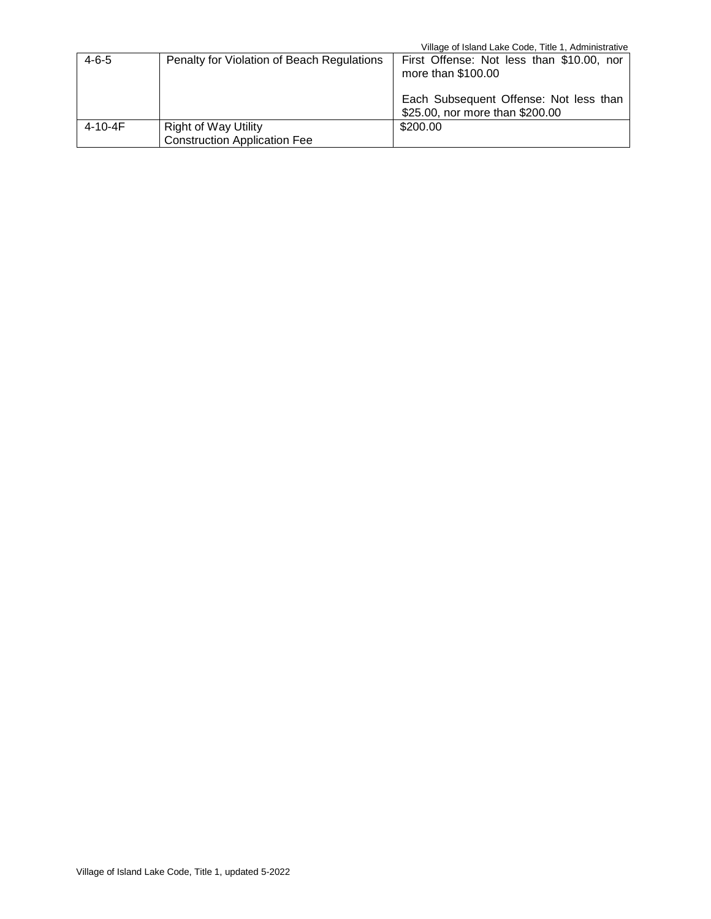|               |                                                                    | Village of Island Lake Code, Title 1, Administrative                      |
|---------------|--------------------------------------------------------------------|---------------------------------------------------------------------------|
| $4 - 6 - 5$   | Penalty for Violation of Beach Regulations                         | First Offense: Not less than \$10.00, nor<br>more than \$100.00           |
|               |                                                                    | Each Subsequent Offense: Not less than<br>\$25.00, nor more than \$200.00 |
| $4 - 10 - 4F$ | <b>Right of Way Utility</b><br><b>Construction Application Fee</b> | \$200.00                                                                  |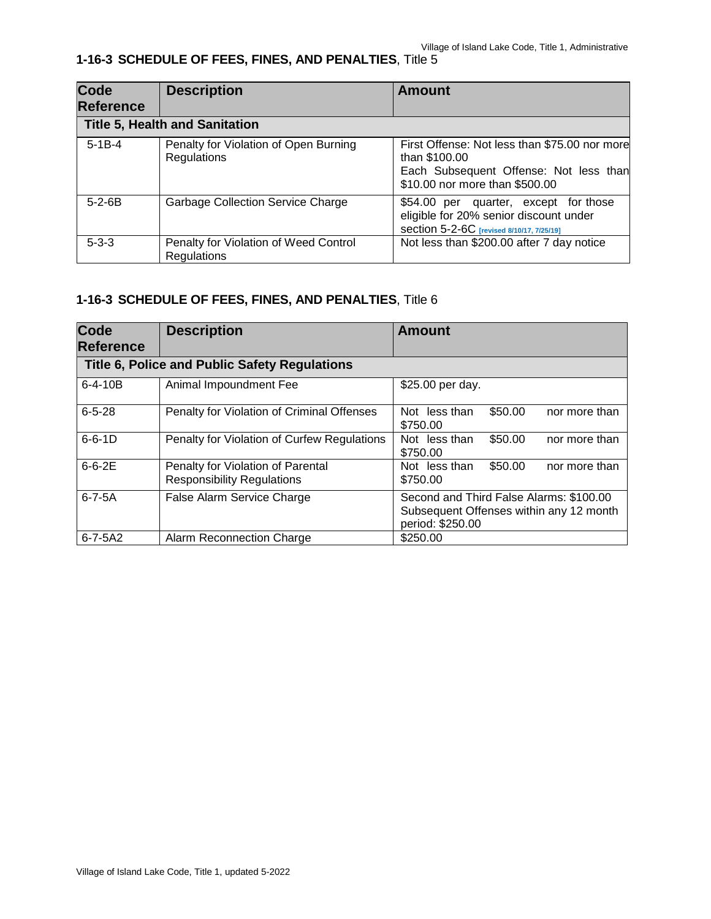| <b>Code</b><br><b>Reference</b> | <b>Description</b>                                          | <b>Amount</b>                                                                                                                              |
|---------------------------------|-------------------------------------------------------------|--------------------------------------------------------------------------------------------------------------------------------------------|
|                                 | <b>Title 5, Health and Sanitation</b>                       |                                                                                                                                            |
| $5 - 1B - 4$                    | Penalty for Violation of Open Burning<br>Regulations        | First Offense: Not less than \$75.00 nor more<br>than \$100.00<br>Each Subsequent Offense: Not less than<br>\$10.00 nor more than \$500.00 |
| $5 - 2 - 6B$                    | <b>Garbage Collection Service Charge</b>                    | \$54.00 per quarter, except for those<br>eligible for 20% senior discount under<br>Section 5-2-6C [revised 8/10/17, 7/25/19]               |
| $5 - 3 - 3$                     | Penalty for Violation of Weed Control<br><b>Regulations</b> | Not less than \$200.00 after 7 day notice                                                                                                  |

| <b>Code</b><br><b>Reference</b> | <b>Description</b>                                                     | <b>Amount</b>                                                                                          |
|---------------------------------|------------------------------------------------------------------------|--------------------------------------------------------------------------------------------------------|
|                                 | Title 6, Police and Public Safety Regulations                          |                                                                                                        |
| $6 - 4 - 10B$                   | Animal Impoundment Fee                                                 | \$25.00 per day.                                                                                       |
| $6 - 5 - 28$                    | Penalty for Violation of Criminal Offenses                             | \$50.00<br>Not less than<br>nor more than<br>\$750.00                                                  |
| $6 - 6 - 1D$                    | Penalty for Violation of Curfew Regulations                            | \$50.00<br>Not less than<br>nor more than<br>\$750.00                                                  |
| $6 - 6 - 2E$                    | Penalty for Violation of Parental<br><b>Responsibility Regulations</b> | \$50.00<br>Not less than<br>nor more than<br>\$750.00                                                  |
| $6 - 7 - 5A$                    | False Alarm Service Charge                                             | Second and Third False Alarms: \$100.00<br>Subsequent Offenses within any 12 month<br>period: \$250.00 |
| $6 - 7 - 5A2$                   | Alarm Reconnection Charge                                              | \$250.00                                                                                               |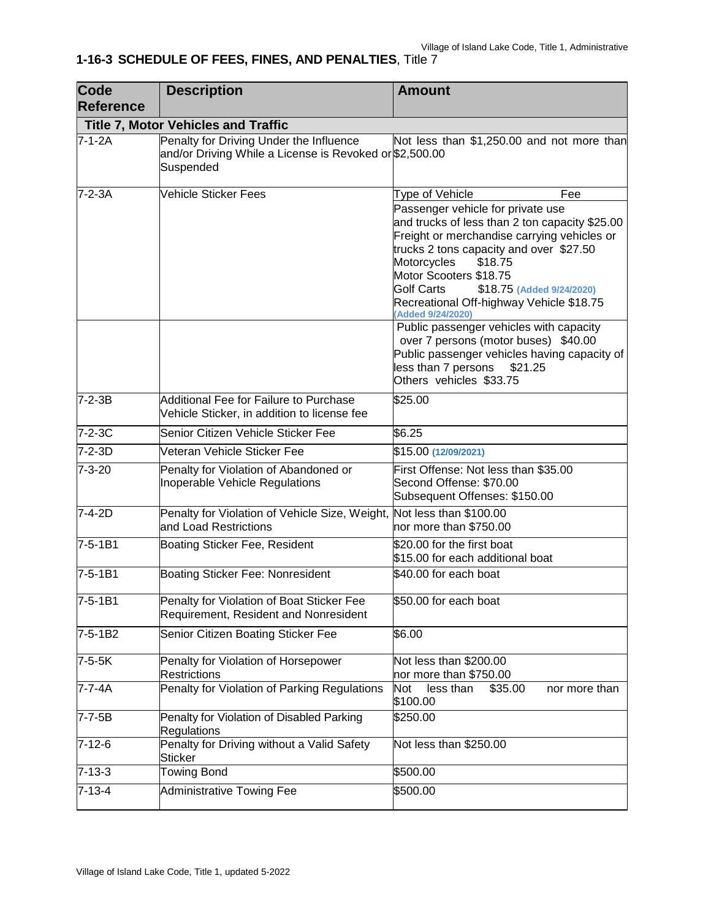| Code<br><b>Reference</b> | <b>Description</b>                                                                                              | <b>Amount</b>                                                                                                                                                                                                                                                                                                                                      |  |
|--------------------------|-----------------------------------------------------------------------------------------------------------------|----------------------------------------------------------------------------------------------------------------------------------------------------------------------------------------------------------------------------------------------------------------------------------------------------------------------------------------------------|--|
|                          | <b>Title 7, Motor Vehicles and Traffic</b>                                                                      |                                                                                                                                                                                                                                                                                                                                                    |  |
| $7 - 1 - 2A$             | Penalty for Driving Under the Influence<br>and/or Driving While a License is Revoked or \$2,500.00<br>Suspended | Not less than \$1,250.00 and not more than                                                                                                                                                                                                                                                                                                         |  |
| $7-2-3A$                 | Vehicle Sticker Fees                                                                                            | Type of Vehicle<br>Fee<br>Passenger vehicle for private use<br>and trucks of less than 2 ton capacity \$25.00<br>Freight or merchandise carrying vehicles or<br>trucks 2 tons capacity and over \$27.50<br>\$18.75<br>Motorcycles<br>Motor Scooters \$18.75<br>Golf Carts<br>\$18.75 (Added 9/24/2020)<br>Recreational Off-highway Vehicle \$18.75 |  |
|                          |                                                                                                                 | (Added 9/24/2020)<br>Public passenger vehicles with capacity<br>over 7 persons (motor buses) \$40.00<br>Public passenger vehicles having capacity of<br>less than 7 persons<br>\$21.25<br>Others vehicles \$33.75                                                                                                                                  |  |
| $7 - 2 - 3B$             | Additional Fee for Failure to Purchase<br>Vehicle Sticker, in addition to license fee                           | \$25.00                                                                                                                                                                                                                                                                                                                                            |  |
| $7 - 2 - 3C$             | Senior Citizen Vehicle Sticker Fee                                                                              | \$6.25                                                                                                                                                                                                                                                                                                                                             |  |
| $7 - 2 - 3D$             | Veteran Vehicle Sticker Fee                                                                                     | \$15.00 (12/09/2021)                                                                                                                                                                                                                                                                                                                               |  |
| $7 - 3 - 20$             | Penalty for Violation of Abandoned or<br>Inoperable Vehicle Regulations                                         | First Offense: Not less than \$35.00<br>Second Offense: \$70.00<br>Subsequent Offenses: \$150.00                                                                                                                                                                                                                                                   |  |
| $7-4-2D$                 | Penalty for Violation of Vehicle Size, Weight, Not less than \$100.00<br>and Load Restrictions                  | nor more than \$750.00                                                                                                                                                                                                                                                                                                                             |  |
| $7 - 5 - 1B1$            | Boating Sticker Fee, Resident                                                                                   | \$20.00 for the first boat<br>\$15.00 for each additional boat                                                                                                                                                                                                                                                                                     |  |
| $7 - 5 - 1B1$            | Boating Sticker Fee: Nonresident                                                                                | \$40.00 for each boat                                                                                                                                                                                                                                                                                                                              |  |
| $7 - 5 - 1B1$            | Penalty for Violation of Boat Sticker Fee<br>Requirement, Resident and Nonresident                              | \$50.00 for each boat                                                                                                                                                                                                                                                                                                                              |  |
| 7-5-1B2                  | Senior Citizen Boating Sticker Fee                                                                              | \$6.00                                                                                                                                                                                                                                                                                                                                             |  |
| $7-5-5K$                 | Penalty for Violation of Horsepower<br><b>Restrictions</b>                                                      | Not less than \$200.00<br>nor more than \$750.00                                                                                                                                                                                                                                                                                                   |  |
| 7-7-4A                   | Penalty for Violation of Parking Regulations                                                                    | less than<br><b>Not</b><br>\$35.00<br>nor more than<br>\$100.00                                                                                                                                                                                                                                                                                    |  |
| 7-7-5B                   | Penalty for Violation of Disabled Parking<br>Regulations                                                        | \$250.00                                                                                                                                                                                                                                                                                                                                           |  |
| $7 - 12 - 6$             | Penalty for Driving without a Valid Safety<br>Sticker                                                           | Not less than \$250.00                                                                                                                                                                                                                                                                                                                             |  |
| $7 - 13 - 3$             | <b>Towing Bond</b>                                                                                              | \$500.00                                                                                                                                                                                                                                                                                                                                           |  |
| $7 - 13 - 4$             | <b>Administrative Towing Fee</b>                                                                                | \$500.00                                                                                                                                                                                                                                                                                                                                           |  |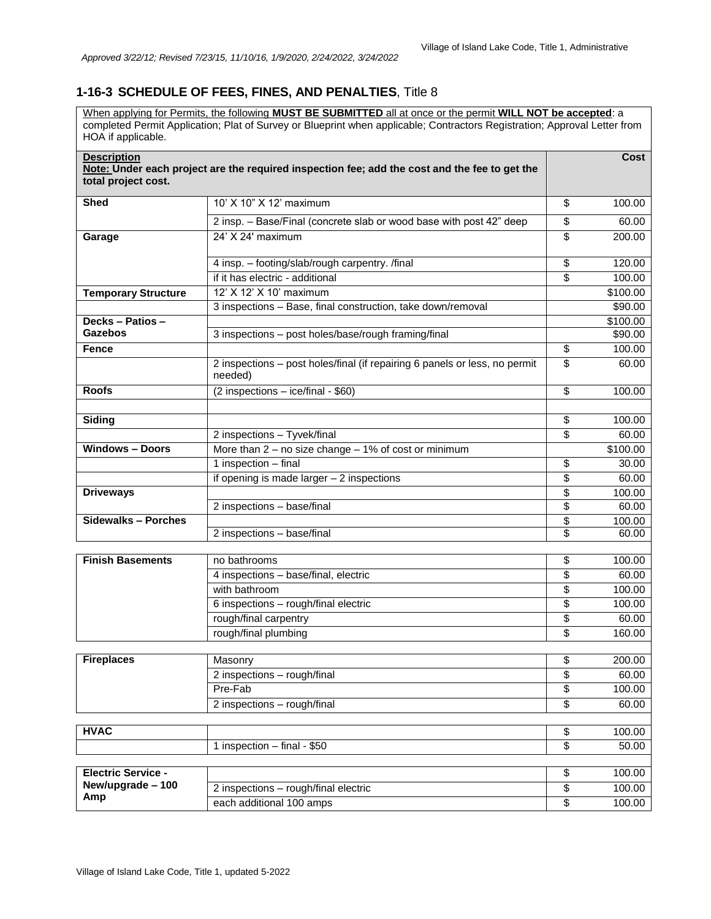When applying for Permits, the following **MUST BE SUBMITTED** all at once or the permit **WILL NOT be accepted**: a completed Permit Application; Plat of Survey or Blueprint when applicable; Contractors Registration; Approval Letter from HOA if applicable.

| <b>Description</b><br>total project cost. | Note: Under each project are the required inspection fee; add the cost and the fee to get the | Cost         |
|-------------------------------------------|-----------------------------------------------------------------------------------------------|--------------|
| <b>Shed</b>                               | 10' X 10" X 12' maximum                                                                       | \$<br>100.00 |
|                                           | 2 insp. - Base/Final (concrete slab or wood base with post 42" deep                           | \$<br>60.00  |
| Garage                                    | 24' X 24' maximum                                                                             | \$<br>200.00 |
|                                           | 4 insp. - footing/slab/rough carpentry. /final                                                | \$<br>120.00 |
|                                           | if it has electric - additional                                                               | \$<br>100.00 |
| <b>Temporary Structure</b>                | 12' X 12' X 10' maximum                                                                       | \$100.00     |
|                                           | 3 inspections - Base, final construction, take down/removal                                   | \$90.00      |
| Decks - Patios -                          |                                                                                               | \$100.00     |
| <b>Gazebos</b>                            | 3 inspections - post holes/base/rough framing/final                                           | \$90.00      |
| Fence                                     |                                                                                               | \$<br>100.00 |
|                                           | 2 inspections - post holes/final (if repairing 6 panels or less, no permit<br>needed)         | \$<br>60.00  |
| <b>Roofs</b>                              | $(2$ inspections – ice/final - \$60)                                                          | \$<br>100.00 |
|                                           |                                                                                               |              |
| Siding                                    |                                                                                               | \$<br>100.00 |
|                                           | 2 inspections - Tyvek/final                                                                   | \$<br>60.00  |
| <b>Windows - Doors</b>                    | More than $2 - no$ size change $- 1\%$ of cost or minimum                                     | \$100.00     |
|                                           | 1 inspection - final                                                                          | \$<br>30.00  |
|                                           | if opening is made larger $-2$ inspections                                                    | \$<br>60.00  |
| <b>Driveways</b>                          |                                                                                               | \$<br>100.00 |
|                                           | 2 inspections - base/final                                                                    | \$<br>60.00  |
| <b>Sidewalks - Porches</b>                |                                                                                               | \$<br>100.00 |
|                                           | 2 inspections - base/final                                                                    | \$<br>60.00  |
|                                           |                                                                                               |              |
| <b>Finish Basements</b>                   | no bathrooms                                                                                  | \$<br>100.00 |
|                                           | 4 inspections - base/final, electric                                                          | \$<br>60.00  |
|                                           | with bathroom                                                                                 | \$<br>100.00 |
|                                           | 6 inspections - rough/final electric                                                          | \$<br>100.00 |
|                                           | rough/final carpentry                                                                         | \$<br>60.00  |
|                                           | rough/final plumbing                                                                          | \$<br>160.00 |
| <b>Fireplaces</b>                         | Masonry                                                                                       | \$<br>200.00 |
|                                           | 2 inspections - rough/final                                                                   | \$<br>60.00  |
|                                           | Pre-Fab                                                                                       | \$<br>100.00 |
|                                           | 2 inspections - rough/final                                                                   | \$<br>60.00  |
|                                           |                                                                                               |              |
| <b>HVAC</b>                               |                                                                                               | \$<br>100.00 |
|                                           | 1 inspection - final - \$50                                                                   | \$<br>50.00  |
|                                           |                                                                                               |              |
| <b>Electric Service -</b>                 |                                                                                               | \$<br>100.00 |
| New/upgrade - 100                         | 2 inspections - rough/final electric                                                          | \$<br>100.00 |
| Amp                                       | each additional 100 amps                                                                      | \$<br>100.00 |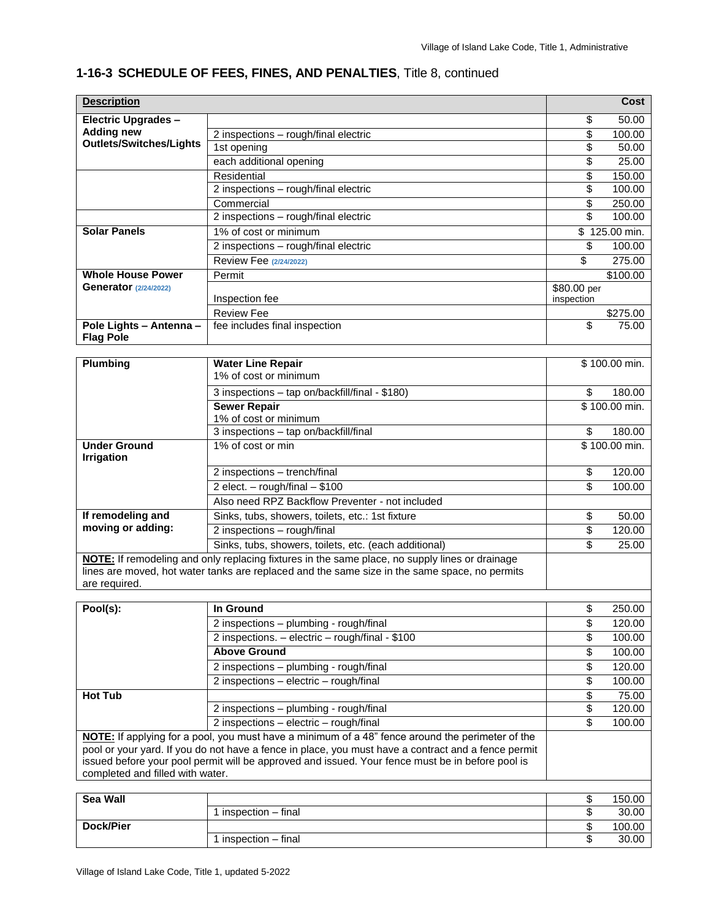| <b>Description</b>                          |                                                                                                                                                                                                 |              | Cost             |
|---------------------------------------------|-------------------------------------------------------------------------------------------------------------------------------------------------------------------------------------------------|--------------|------------------|
| <b>Electric Upgrades -</b>                  |                                                                                                                                                                                                 | \$           | 50.00            |
| <b>Adding new</b>                           | 2 inspections - rough/final electric                                                                                                                                                            | \$           | 100.00           |
| <b>Outlets/Switches/Lights</b>              | 1st opening                                                                                                                                                                                     | \$           | 50.00            |
|                                             | each additional opening                                                                                                                                                                         | \$           | 25.00            |
|                                             | Residential                                                                                                                                                                                     | \$           | 150.00           |
|                                             | 2 inspections - rough/final electric                                                                                                                                                            | \$           | 100.00           |
|                                             | Commercial                                                                                                                                                                                      | \$           | 250.00           |
|                                             | 2 inspections - rough/final electric                                                                                                                                                            | \$           | 100.00           |
| <b>Solar Panels</b>                         | 1% of cost or minimum                                                                                                                                                                           |              | \$125.00 min.    |
|                                             | 2 inspections - rough/final electric                                                                                                                                                            | \$           | 100.00           |
|                                             | Review Fee (2/24/2022)                                                                                                                                                                          | \$           | 275.00           |
| <b>Whole House Power</b>                    | Permit                                                                                                                                                                                          |              | \$100.00         |
| <b>Generator (2/24/2022)</b>                |                                                                                                                                                                                                 | $$80.00$ per |                  |
|                                             | Inspection fee                                                                                                                                                                                  | inspection   |                  |
|                                             | <b>Review Fee</b>                                                                                                                                                                               |              | \$275.00         |
| Pole Lights - Antenna -<br><b>Flag Pole</b> | fee includes final inspection                                                                                                                                                                   | \$           | 75.00            |
|                                             |                                                                                                                                                                                                 |              |                  |
| <b>Plumbing</b>                             | <b>Water Line Repair</b>                                                                                                                                                                        |              | \$100.00 min.    |
|                                             | 1% of cost or minimum                                                                                                                                                                           |              |                  |
|                                             | 3 inspections - tap on/backfill/final - \$180)                                                                                                                                                  | \$           | 180.00           |
|                                             | <b>Sewer Repair</b>                                                                                                                                                                             |              | \$100.00 min.    |
|                                             | 1% of cost or minimum                                                                                                                                                                           |              |                  |
|                                             | 3 inspections - tap on/backfill/final                                                                                                                                                           | \$           | 180.00           |
| <b>Under Ground</b><br><b>Irrigation</b>    | 1% of cost or min                                                                                                                                                                               |              | \$100.00 min.    |
|                                             | 2 inspections - trench/final                                                                                                                                                                    | \$           | 120.00           |
|                                             | 2 elect. $-$ rough/final $-$ \$100                                                                                                                                                              | \$           | 100.00           |
|                                             | Also need RPZ Backflow Preventer - not included                                                                                                                                                 |              |                  |
| If remodeling and                           | Sinks, tubs, showers, toilets, etc.: 1st fixture                                                                                                                                                | \$           | 50.00            |
| moving or adding:                           | 2 inspections - rough/final                                                                                                                                                                     | \$           | 120.00           |
|                                             | Sinks, tubs, showers, toilets, etc. (each additional)                                                                                                                                           | \$           | 25.00            |
|                                             | NOTE: If remodeling and only replacing fixtures in the same place, no supply lines or drainage<br>lines are moved, hot water tanks are replaced and the same size in the same space, no permits |              |                  |
| are required.                               |                                                                                                                                                                                                 |              |                  |
|                                             |                                                                                                                                                                                                 |              |                  |
| Pool(s):                                    | In Ground                                                                                                                                                                                       | \$           | 250.00           |
|                                             | 2 inspections - plumbing - rough/final<br>2 increations algebra reughling \$100                                                                                                                 | \$<br>¢      | 120.00<br>100.00 |

| POOI(S).                         | ın Ground                                                                                           | Φ      | ZOU.UU      |
|----------------------------------|-----------------------------------------------------------------------------------------------------|--------|-------------|
|                                  | 2 inspections - plumbing - rough/final                                                              | \$     | 120.00      |
|                                  | 2 inspections. - electric - rough/final - \$100                                                     | \$     | 100.00      |
|                                  | <b>Above Ground</b>                                                                                 | \$     | 100.00      |
|                                  | 2 inspections – plumbing - rough/final                                                              | \$     | 120.00      |
|                                  | 2 inspections – electric – rough/final                                                              | \$     | 100.00      |
| <b>Hot Tub</b>                   |                                                                                                     |        | 75.00       |
|                                  | 2 inspections – plumbing - rough/final                                                              | \$     | 120.00      |
|                                  | 2 inspections - electric - rough/final                                                              |        | 100.00      |
|                                  | NOTE: If applying for a pool, you must have a minimum of a 48" fence around the perimeter of the    |        |             |
|                                  | pool or your yard. If you do not have a fence in place, you must have a contract and a fence permit |        |             |
|                                  | issued before your pool permit will be approved and issued. Your fence must be in before pool is    |        |             |
| completed and filled with water. |                                                                                                     |        |             |
|                                  |                                                                                                     |        |             |
| 0.111                            |                                                                                                     | $\sim$ | $1 - 2 - 2$ |

| Sea Wall  |                    | e<br>w | 150.00 |
|-----------|--------------------|--------|--------|
|           | inspection - final | w      | 30.00  |
| Dock/Pier |                    | мD     | 100.00 |
|           | inspection - final | - 13   | 30.00  |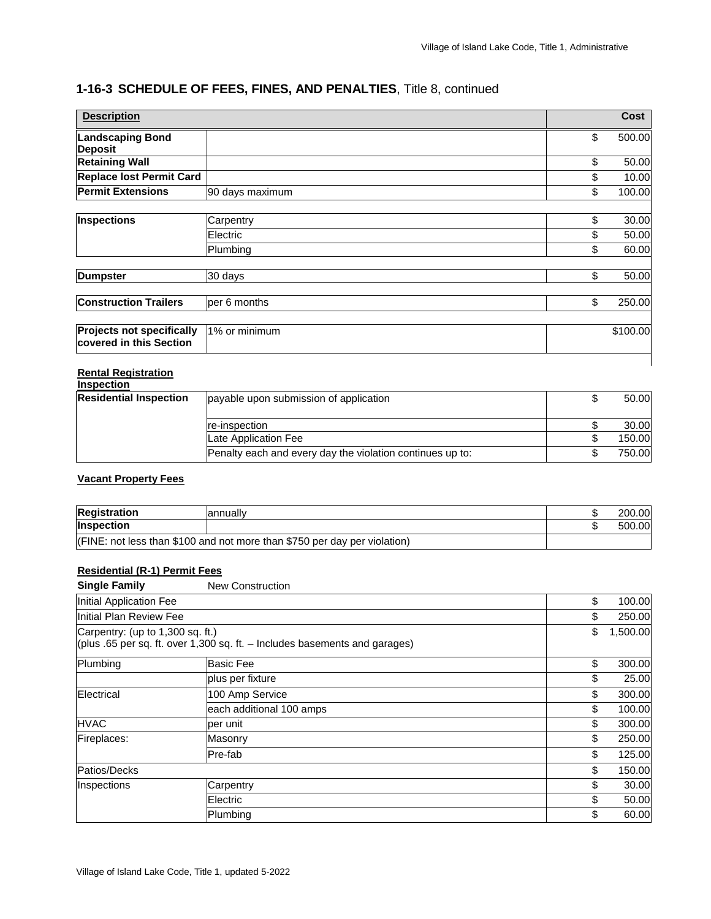| <b>Description</b>                                          |                 | <b>Cost</b>  |
|-------------------------------------------------------------|-----------------|--------------|
| <b>Landscaping Bond</b><br><b>Deposit</b>                   |                 | \$<br>500.00 |
| <b>Retaining Wall</b>                                       |                 | \$<br>50.00  |
| <b>Replace lost Permit Card</b>                             |                 | \$<br>10.00  |
| <b>Permit Extensions</b>                                    | 90 days maximum | \$<br>100.00 |
|                                                             |                 |              |
| <b>Inspections</b>                                          | Carpentry       | \$<br>30.00  |
|                                                             | Electric        | \$<br>50.00  |
|                                                             | Plumbing        | \$<br>60.00  |
| <b>Dumpster</b>                                             | 30 days         | \$<br>50.00  |
| <b>Construction Trailers</b>                                | per 6 months    | \$<br>250.00 |
| <b>Projects not specifically</b><br>covered in this Section | 1% or minimum   | \$100.00     |

#### **Rental Registration**

| <b>Inspection</b>             |                                                           |        |
|-------------------------------|-----------------------------------------------------------|--------|
| <b>Residential Inspection</b> | payable upon submission of application                    | 50.00  |
|                               | re-inspection                                             | 30.00  |
|                               | Late Application Fee                                      | 150.00 |
|                               | Penalty each and every day the violation continues up to: | 750.00 |

#### **Vacant Property Fees**

| <b>Registration</b> | lannually                                                                     | 200.00 |
|---------------------|-------------------------------------------------------------------------------|--------|
| <b>Inspection</b>   |                                                                               | 500.00 |
|                     | $ $ (FINE: not less than \$100 and not more than \$750 per day per violation) |        |

#### **Residential (R-1) Permit Fees**

| <b>Single Family</b>             | <b>New Construction</b>                                                      |                |
|----------------------------------|------------------------------------------------------------------------------|----------------|
| Initial Application Fee          |                                                                              | \$<br>100.00   |
| Initial Plan Review Fee          |                                                                              | \$<br>250.00   |
| Carpentry: (up to 1,300 sq. ft.) | (plus .65 per sq. ft. over 1,300 sq. ft. $-$ Includes basements and garages) | \$<br>1,500.00 |
| Plumbing                         | <b>Basic Fee</b>                                                             | \$<br>300.00   |
|                                  | plus per fixture                                                             | \$<br>25.00    |
| Electrical                       | 100 Amp Service                                                              | \$<br>300.00   |
|                                  | each additional 100 amps                                                     | \$<br>100.00   |
| <b>HVAC</b>                      | per unit                                                                     | \$<br>300.00   |
| Fireplaces:                      | Masonry                                                                      | \$<br>250.00   |
|                                  | Pre-fab                                                                      | \$<br>125.00   |
| Patios/Decks                     |                                                                              | \$<br>150.00   |
| Inspections                      | Carpentry                                                                    | \$<br>30.00    |
|                                  | Electric                                                                     | \$<br>50.00    |
|                                  | Plumbing                                                                     | \$<br>60.00    |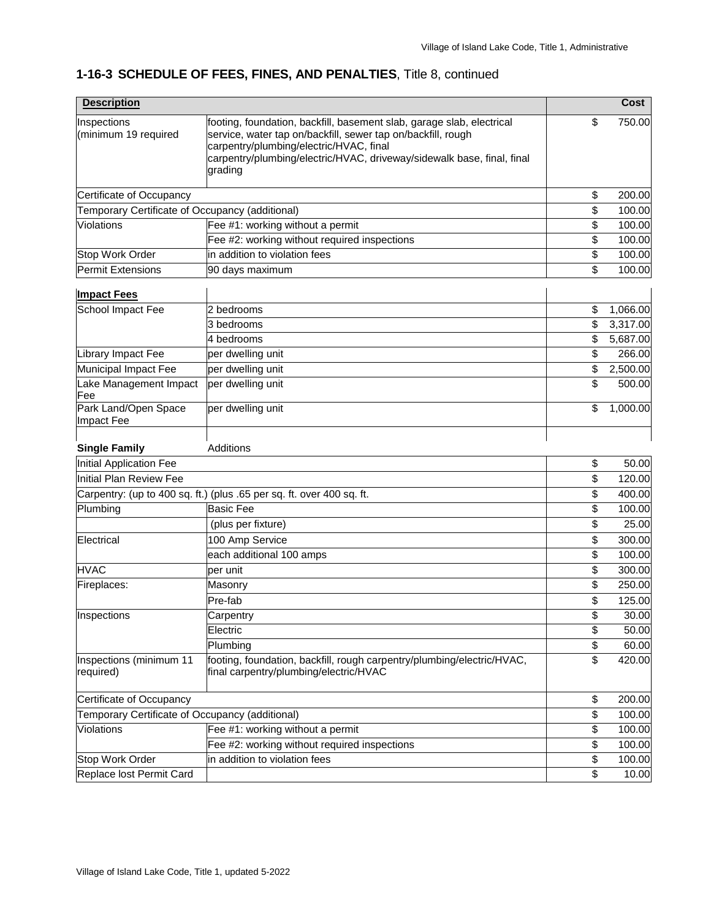| <b>Description</b>                              |                                                                                                                                                                                                                                                                       | Cost           |
|-------------------------------------------------|-----------------------------------------------------------------------------------------------------------------------------------------------------------------------------------------------------------------------------------------------------------------------|----------------|
| Inspections<br>(minimum 19 required             | footing, foundation, backfill, basement slab, garage slab, electrical<br>service, water tap on/backfill, sewer tap on/backfill, rough<br>carpentry/plumbing/electric/HVAC, final<br>carpentry/plumbing/electric/HVAC, driveway/sidewalk base, final, final<br>grading | \$<br>750.00   |
| Certificate of Occupancy                        |                                                                                                                                                                                                                                                                       | \$<br>200.00   |
| Temporary Certificate of Occupancy (additional) |                                                                                                                                                                                                                                                                       | \$<br>100.00   |
| Violations                                      | Fee #1: working without a permit                                                                                                                                                                                                                                      | \$<br>100.00   |
|                                                 | Fee #2: working without required inspections                                                                                                                                                                                                                          | \$<br>100.00   |
| Stop Work Order                                 | in addition to violation fees                                                                                                                                                                                                                                         | \$<br>100.00   |
| Permit Extensions                               | 90 days maximum                                                                                                                                                                                                                                                       | \$<br>100.00   |
| <b>Impact Fees</b>                              |                                                                                                                                                                                                                                                                       |                |
| School Impact Fee                               | 2 bedrooms                                                                                                                                                                                                                                                            | \$<br>1,066.00 |
|                                                 | 3 bedrooms                                                                                                                                                                                                                                                            | \$<br>3,317.00 |
|                                                 | 4 bedrooms                                                                                                                                                                                                                                                            | \$<br>5,687.00 |
| Library Impact Fee                              | per dwelling unit                                                                                                                                                                                                                                                     | \$<br>266.00   |
| Municipal Impact Fee                            | per dwelling unit                                                                                                                                                                                                                                                     | \$<br>2,500.00 |
| Lake Management Impact<br>Fee                   | per dwelling unit                                                                                                                                                                                                                                                     | \$<br>500.00   |
| Park Land/Open Space<br>Impact Fee              | per dwelling unit                                                                                                                                                                                                                                                     | \$<br>1,000.00 |
| <b>Single Family</b>                            | Additions                                                                                                                                                                                                                                                             |                |
| Initial Application Fee                         |                                                                                                                                                                                                                                                                       | \$<br>50.00    |
| <b>Initial Plan Review Fee</b>                  |                                                                                                                                                                                                                                                                       | \$<br>120.00   |
|                                                 | Carpentry: (up to 400 sq. ft.) (plus .65 per sq. ft. over 400 sq. ft.                                                                                                                                                                                                 | \$<br>400.00   |
| Plumbing                                        | <b>Basic Fee</b>                                                                                                                                                                                                                                                      | \$<br>100.00   |
|                                                 | (plus per fixture)                                                                                                                                                                                                                                                    | \$<br>25.00    |
| Electrical                                      | 100 Amp Service                                                                                                                                                                                                                                                       | \$<br>300.00   |
|                                                 | each additional 100 amps                                                                                                                                                                                                                                              | \$<br>100.00   |
| <b>HVAC</b>                                     | per unit                                                                                                                                                                                                                                                              | \$<br>300.00   |
| Fireplaces:                                     | Masonry                                                                                                                                                                                                                                                               | \$<br>250.00   |
|                                                 | Pre-fab                                                                                                                                                                                                                                                               | \$<br>125.00   |
| Inspections                                     | Carpentry                                                                                                                                                                                                                                                             | \$<br>30.00    |
|                                                 | Electric                                                                                                                                                                                                                                                              | \$<br>50.00    |
|                                                 | Plumbing                                                                                                                                                                                                                                                              | \$<br>60.00    |
| Inspections (minimum 11<br>required)            | footing, foundation, backfill, rough carpentry/plumbing/electric/HVAC,<br>final carpentry/plumbing/electric/HVAC                                                                                                                                                      | \$<br>420.00   |
|                                                 |                                                                                                                                                                                                                                                                       |                |
| Certificate of Occupancy                        |                                                                                                                                                                                                                                                                       | \$<br>200.00   |
| Temporary Certificate of Occupancy (additional) |                                                                                                                                                                                                                                                                       | \$<br>100.00   |
| Violations                                      | Fee #1: working without a permit                                                                                                                                                                                                                                      | \$<br>100.00   |
|                                                 | Fee #2: working without required inspections                                                                                                                                                                                                                          | \$<br>100.00   |
| Stop Work Order                                 | in addition to violation fees                                                                                                                                                                                                                                         | \$<br>100.00   |
| Replace lost Permit Card                        |                                                                                                                                                                                                                                                                       | \$<br>10.00    |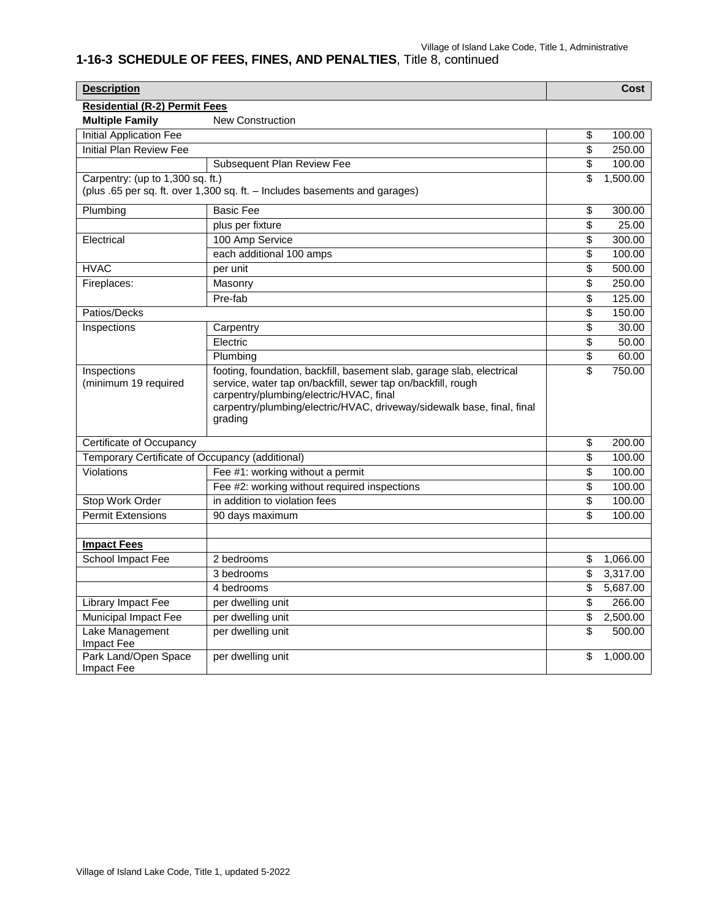| <b>Description</b>                              |                                                                                                                                                                                                                                                                       |                          | Cost     |
|-------------------------------------------------|-----------------------------------------------------------------------------------------------------------------------------------------------------------------------------------------------------------------------------------------------------------------------|--------------------------|----------|
| <b>Residential (R-2) Permit Fees</b>            |                                                                                                                                                                                                                                                                       |                          |          |
| <b>Multiple Family</b>                          | <b>New Construction</b>                                                                                                                                                                                                                                               |                          |          |
| <b>Initial Application Fee</b>                  |                                                                                                                                                                                                                                                                       | \$                       | 100.00   |
| <b>Initial Plan Review Fee</b>                  |                                                                                                                                                                                                                                                                       | \$                       | 250.00   |
|                                                 | Subsequent Plan Review Fee                                                                                                                                                                                                                                            | \$                       | 100.00   |
| Carpentry: (up to 1,300 sq. ft.)                |                                                                                                                                                                                                                                                                       | \$                       | 1,500.00 |
|                                                 | (plus .65 per sq. ft. over 1,300 sq. ft. - Includes basements and garages)                                                                                                                                                                                            |                          |          |
| Plumbing                                        | <b>Basic Fee</b>                                                                                                                                                                                                                                                      | \$                       | 300.00   |
|                                                 | plus per fixture                                                                                                                                                                                                                                                      | \$                       | 25.00    |
| Electrical                                      | 100 Amp Service                                                                                                                                                                                                                                                       | \$                       | 300.00   |
|                                                 | each additional 100 amps                                                                                                                                                                                                                                              | \$                       | 100.00   |
| <b>HVAC</b>                                     | per unit                                                                                                                                                                                                                                                              | \$                       | 500.00   |
| Fireplaces:                                     | Masonry                                                                                                                                                                                                                                                               | $\overline{\$}$          | 250.00   |
|                                                 | Pre-fab                                                                                                                                                                                                                                                               | \$                       | 125.00   |
| Patios/Decks                                    |                                                                                                                                                                                                                                                                       | \$                       | 150.00   |
| Inspections                                     | Carpentry                                                                                                                                                                                                                                                             | \$                       | 30.00    |
|                                                 | Electric                                                                                                                                                                                                                                                              | $\overline{\$}$          | 50.00    |
|                                                 | Plumbing                                                                                                                                                                                                                                                              | \$                       | 60.00    |
| Inspections<br>(minimum 19 required             | footing, foundation, backfill, basement slab, garage slab, electrical<br>service, water tap on/backfill, sewer tap on/backfill, rough<br>carpentry/plumbing/electric/HVAC, final<br>carpentry/plumbing/electric/HVAC, driveway/sidewalk base, final, final<br>grading | $\overline{\mathcal{S}}$ | 750.00   |
| Certificate of Occupancy                        |                                                                                                                                                                                                                                                                       | \$                       | 200.00   |
| Temporary Certificate of Occupancy (additional) |                                                                                                                                                                                                                                                                       | \$                       | 100.00   |
| Violations                                      | Fee #1: working without a permit                                                                                                                                                                                                                                      | \$                       | 100.00   |
|                                                 | Fee #2: working without required inspections                                                                                                                                                                                                                          | \$                       | 100.00   |
| <b>Stop Work Order</b>                          | in addition to violation fees                                                                                                                                                                                                                                         | \$                       | 100.00   |
| <b>Permit Extensions</b>                        | 90 days maximum                                                                                                                                                                                                                                                       | \$                       | 100.00   |
|                                                 |                                                                                                                                                                                                                                                                       |                          |          |
| <b>Impact Fees</b>                              |                                                                                                                                                                                                                                                                       |                          |          |
| School Impact Fee                               | 2 bedrooms                                                                                                                                                                                                                                                            | \$                       | 1,066.00 |
|                                                 | 3 bedrooms                                                                                                                                                                                                                                                            | \$                       | 3,317.00 |
|                                                 | 4 bedrooms                                                                                                                                                                                                                                                            | \$                       | 5,687.00 |
| Library Impact Fee                              | per dwelling unit                                                                                                                                                                                                                                                     | $\overline{\mathcal{S}}$ | 266.00   |
| Municipal Impact Fee                            | per dwelling unit                                                                                                                                                                                                                                                     | \$                       | 2,500.00 |
| Lake Management<br>Impact Fee                   | per dwelling unit                                                                                                                                                                                                                                                     | \$                       | 500.00   |
| Park Land/Open Space<br>Impact Fee              | per dwelling unit                                                                                                                                                                                                                                                     | \$                       | 1,000.00 |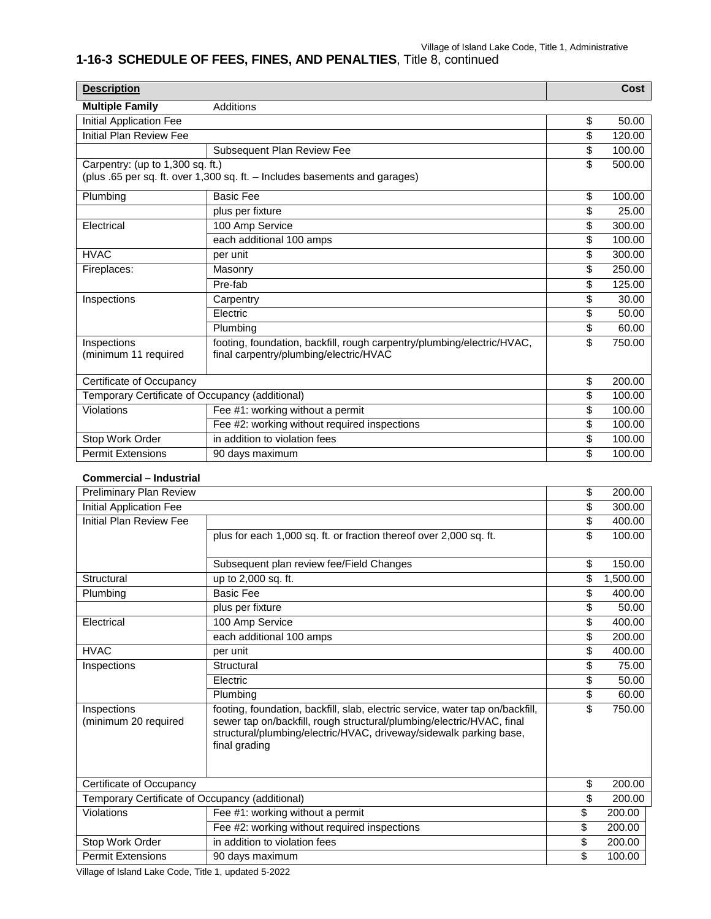| <b>Description</b>                              |                                                                                                                  | Cost         |
|-------------------------------------------------|------------------------------------------------------------------------------------------------------------------|--------------|
| <b>Multiple Family</b>                          | Additions                                                                                                        |              |
| Initial Application Fee                         |                                                                                                                  | \$<br>50.00  |
| Initial Plan Review Fee                         |                                                                                                                  | \$<br>120.00 |
|                                                 | Subsequent Plan Review Fee                                                                                       | \$<br>100.00 |
| Carpentry: (up to 1,300 sq. ft.)                | (plus .65 per sq. ft. over 1,300 sq. ft. - Includes basements and garages)                                       | \$<br>500.00 |
| Plumbing                                        | <b>Basic Fee</b>                                                                                                 | \$<br>100.00 |
|                                                 | plus per fixture                                                                                                 | \$<br>25.00  |
| Electrical                                      | 100 Amp Service                                                                                                  | \$<br>300.00 |
|                                                 | each additional 100 amps                                                                                         | \$<br>100.00 |
| <b>HVAC</b>                                     | per unit                                                                                                         | \$<br>300.00 |
| Fireplaces:                                     | Masonry                                                                                                          | \$<br>250.00 |
|                                                 | Pre-fab                                                                                                          | \$<br>125.00 |
| Inspections                                     | Carpentry                                                                                                        | \$<br>30.00  |
|                                                 | Electric                                                                                                         | \$<br>50.00  |
|                                                 | Plumbing                                                                                                         | \$<br>60.00  |
| Inspections<br>(minimum 11 required             | footing, foundation, backfill, rough carpentry/plumbing/electric/HVAC,<br>final carpentry/plumbing/electric/HVAC | \$<br>750.00 |
| Certificate of Occupancy                        |                                                                                                                  | \$<br>200.00 |
| Temporary Certificate of Occupancy (additional) |                                                                                                                  | \$<br>100.00 |
| Violations                                      | Fee #1: working without a permit                                                                                 | \$<br>100.00 |
|                                                 | Fee #2: working without required inspections                                                                     | \$<br>100.00 |
| Stop Work Order                                 | in addition to violation fees                                                                                    | \$<br>100.00 |
| <b>Permit Extensions</b>                        | 90 days maximum                                                                                                  | \$<br>100.00 |

#### **Commercial – Industrial**

| Preliminary Plan Review                         |                                                                                     | \$<br>200.00   |
|-------------------------------------------------|-------------------------------------------------------------------------------------|----------------|
| Initial Application Fee                         |                                                                                     | \$<br>300.00   |
| Initial Plan Review Fee                         |                                                                                     | \$<br>400.00   |
|                                                 | plus for each 1,000 sq. ft. or fraction thereof over 2,000 sq. ft.                  | \$<br>100.00   |
|                                                 |                                                                                     |                |
|                                                 | Subsequent plan review fee/Field Changes                                            | \$<br>150.00   |
| Structural                                      | up to 2,000 sq. ft.                                                                 | \$<br>1.500.00 |
| Plumbing                                        | <b>Basic Fee</b>                                                                    | \$<br>400.00   |
|                                                 | plus per fixture                                                                    | \$<br>50.00    |
| Electrical                                      | 100 Amp Service                                                                     | \$<br>400.00   |
|                                                 | each additional 100 amps                                                            | \$<br>200.00   |
| <b>HVAC</b>                                     | per unit                                                                            | \$<br>400.00   |
| Inspections                                     | Structural                                                                          | \$<br>75.00    |
|                                                 | Electric                                                                            | \$<br>50.00    |
|                                                 | Plumbina                                                                            | \$<br>60.00    |
| Inspections                                     | footing, foundation, backfill, slab, electric service, water tap on/backfill,       | \$<br>750.00   |
| (minimum 20 required                            | sewer tap on/backfill, rough structural/plumbing/electric/HVAC, final               |                |
|                                                 | structural/plumbing/electric/HVAC, driveway/sidewalk parking base,<br>final grading |                |
|                                                 |                                                                                     |                |
|                                                 |                                                                                     |                |
| Certificate of Occupancy                        |                                                                                     | \$<br>200.00   |
| Temporary Certificate of Occupancy (additional) |                                                                                     | \$<br>200.00   |
| Violations                                      | Fee #1: working without a permit                                                    | \$<br>200.00   |
|                                                 | Fee #2: working without required inspections                                        | \$<br>200.00   |
| Stop Work Order                                 | in addition to violation fees                                                       | \$<br>200.00   |
| <b>Permit Extensions</b>                        | 90 days maximum                                                                     | \$<br>100.00   |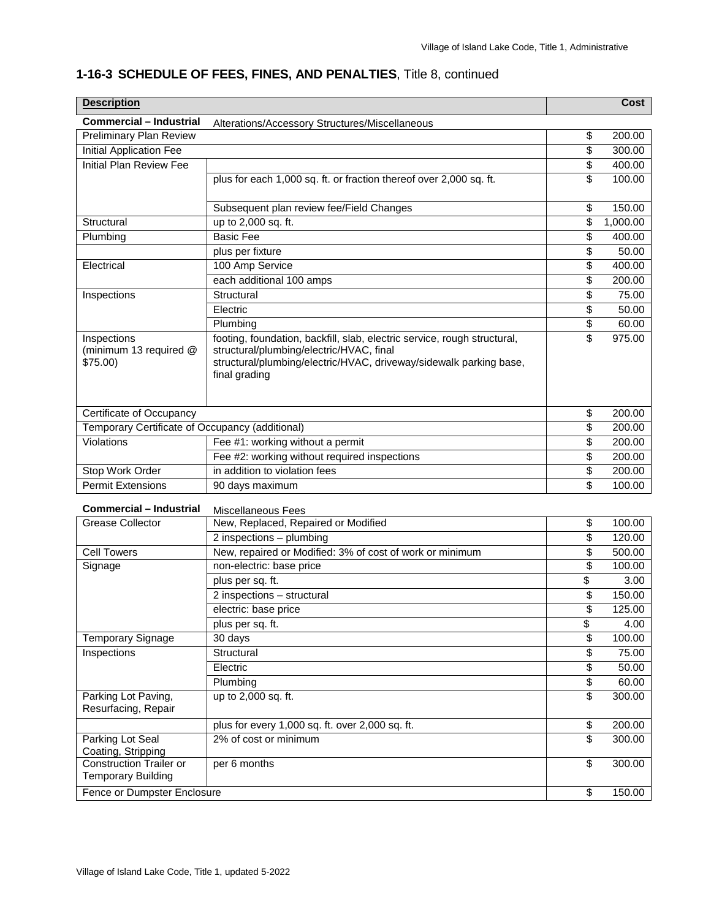#### **Description Cost Commercial – Industrial** Alterations/Accessory Structures/Miscellaneous Preliminary Plan Review **1988** 200.00 Initial Application Fee  $\overline{ }$  300.00 Initial Plan Review Fee **\$ 400.00**  $\frac{1}{3}$  400.00 plus for each 1,000 sq. ft. or fraction thereof over 2,000 sq. ft.  $\frac{1}{100.00}$ Subsequent plan review fee/Field Changes **150.00 150.00** Structural up to 2,000 sq. ft.  $\qquad \qquad$  \$ 1,000.00 Plumbing Basic Fee \$ 400.00 plus per fixture  $\sim$  50.000  $\sim$  50.000  $\sim$  50.000  $\sim$  50.000  $\sim$  50.000  $\sim$ Electrical 100 Amp Service **100 Amp Service** 100 Amp Service 100 Amp Service 100 Amp Service 100 Amp Service 100 Amp Service 100 Amp Service 100 Amp Service 100 Amp Service 100 Amp Service 100 Amp Service 100 Amp Service 1 each additional 100 amps **but all the set of the set of the set of the set of the set of the set of the set of the set of the set of the set of the set of the set of the set of the set of the set of the set of the set of t** Inspections | Structural \$ 75.00 Electric  $\begin{array}{ccccccc} \text{50.00} & & & \text{50.00} \end{array}$ Plumbing \$ 60.00 Inspections (minimum 13 required @ \$75.00) footing, foundation, backfill, slab, electric service, rough structural, structural/plumbing/electric/HVAC, final structural/plumbing/electric/HVAC, driveway/sidewalk parking base, final grading \$ 975.00 Certificate of Occupancy \$ 200.00 Temporary Certificate of Occupancy (additional)  $\qquad \qquad$  200.00 Violations Fee #1: working without a permit  $\frac{1}{3}$  8 200.00 Fee #2: working without required inspections \$ 200.00 Stop Work Order in addition to violation fees <br> **Stop Work Order** in addition to violation fees <br> **Stop Work Order** Permit Extensions 90 days maximum but contained the state of the state of the state of the state of the state of the state of the state of the state of the state of the state of the state of the state of the state of the s **Commercial – Industrial** Miscellaneous Fees Grease Collector New, Replaced, Repaired or Modified  $\qquad \qquad$  100.00 2 inspections – plumbing  $\sim$  120.00 Cell Towers New, repaired or Modified: 3% of cost of work or minimum \$ 500.00 Signage non-electric: base price \$ 100.00 plus per sq. ft. \$ 3.00 2 inspections – structural \$ 150.00 electric: base price  $\sim$  125.00 plus per sq. ft. \$ 4.00 Temporary Signage | 30 days | \$ 100.00 Inspections | Structural \$ 75.00 Electric  $\begin{array}{ccccccc} \text{S} & 50.00 & \text{S} & 50.00 & \text{S} \end{array}$ Plumbing \$ 60.00

#### **1-16-3 SCHEDULE OF FEES, FINES, AND PENALTIES**, Title 8, continued

|                                                             | plus per sq. it.                                | Φ  | 3.UU   |
|-------------------------------------------------------------|-------------------------------------------------|----|--------|
|                                                             | 2 inspections - structural                      | \$ | 150.00 |
|                                                             | electric: base price                            | \$ | 125.00 |
|                                                             | plus per sq. ft.                                | \$ | 4.00   |
| <b>Temporary Signage</b>                                    | 30 days                                         | \$ | 100.00 |
| Inspections                                                 | Structural                                      | \$ | 75.00  |
|                                                             | Electric                                        | \$ | 50.00  |
|                                                             | Plumbing                                        | \$ | 60.00  |
| Parking Lot Paving,<br>Resurfacing, Repair                  | up to 2,000 sq. ft.                             | \$ | 300.00 |
|                                                             | plus for every 1,000 sq. ft. over 2,000 sq. ft. | \$ | 200.00 |
| Parking Lot Seal<br>Coating, Stripping                      | 2% of cost or minimum                           | \$ | 300.00 |
| <b>Construction Trailer or</b><br><b>Temporary Building</b> | per 6 months                                    | \$ | 300.00 |
| Fence or Dumpster Enclosure                                 |                                                 | \$ | 150.00 |
|                                                             |                                                 |    |        |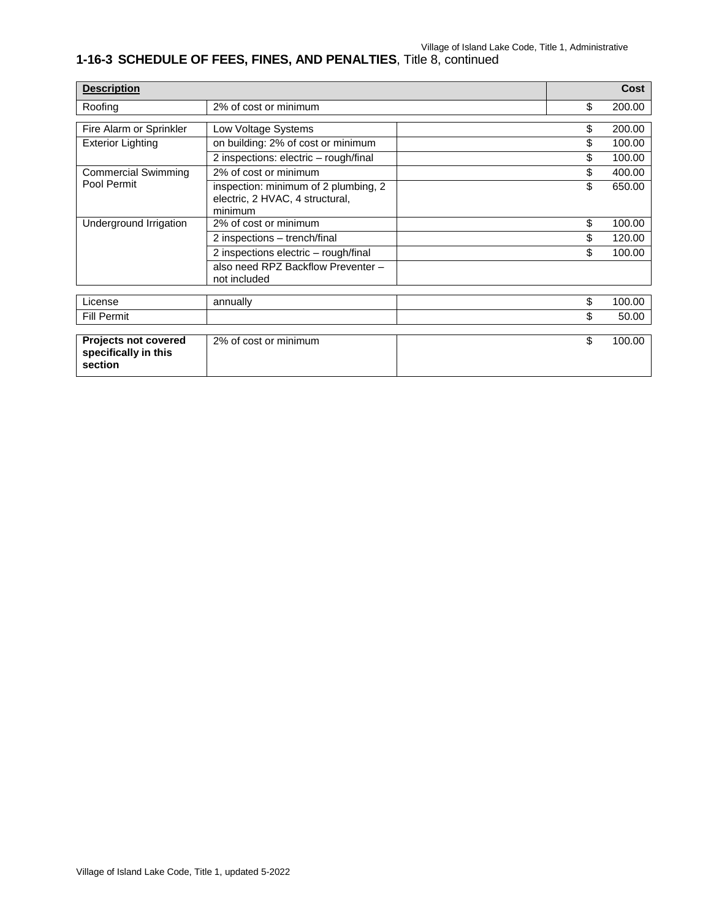| <b>Description</b>                                             |                                                                                    |    | <b>Cost</b> |
|----------------------------------------------------------------|------------------------------------------------------------------------------------|----|-------------|
| Roofing                                                        | 2% of cost or minimum                                                              | \$ | 200.00      |
| Fire Alarm or Sprinkler                                        | Low Voltage Systems                                                                | \$ | 200.00      |
| <b>Exterior Lighting</b>                                       | on building: 2% of cost or minimum                                                 | \$ | 100.00      |
|                                                                | 2 inspections: electric - rough/final                                              | \$ | 100.00      |
| <b>Commercial Swimming</b>                                     | 2% of cost or minimum                                                              | \$ | 400.00      |
| Pool Permit                                                    | inspection: minimum of 2 plumbing, 2<br>electric, 2 HVAC, 4 structural,<br>minimum | \$ | 650.00      |
| Underground Irrigation                                         | 2% of cost or minimum                                                              | \$ | 100.00      |
|                                                                | 2 inspections - trench/final                                                       | \$ | 120.00      |
|                                                                | 2 inspections electric - rough/final                                               | \$ | 100.00      |
|                                                                | also need RPZ Backflow Preventer -<br>not included                                 |    |             |
| License                                                        |                                                                                    | \$ | 100.00      |
|                                                                | annually                                                                           |    |             |
| <b>Fill Permit</b>                                             |                                                                                    | \$ | 50.00       |
| <b>Projects not covered</b><br>specifically in this<br>section | 2% of cost or minimum                                                              | \$ | 100.00      |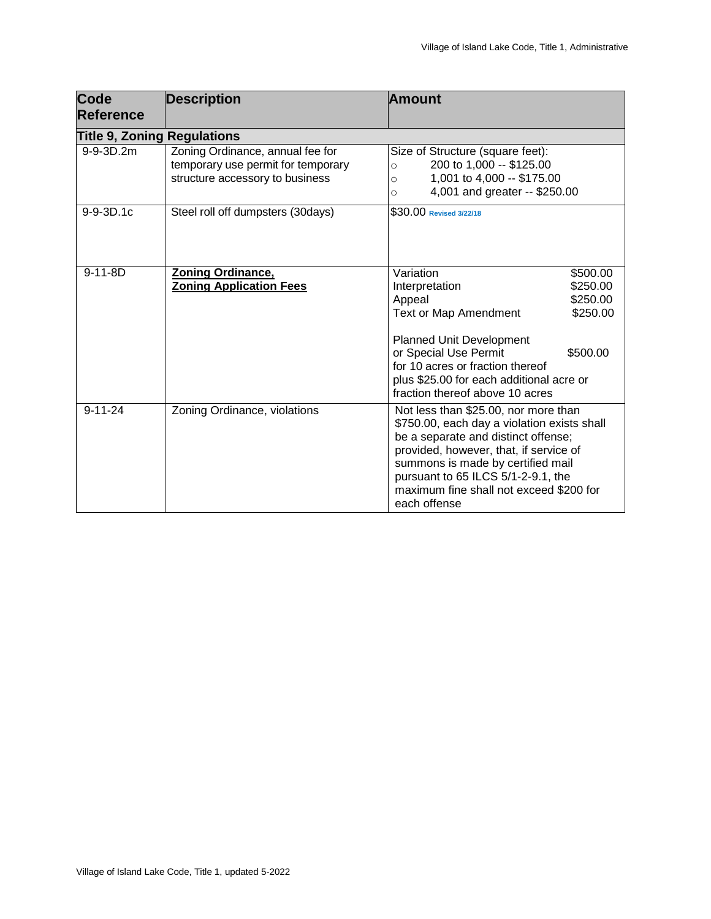| <b>Code</b><br><b>Reference</b>    | <b>Description</b>                                                                                        | <b>Amount</b>                                                                                                                                                                                                                                                                                                    |
|------------------------------------|-----------------------------------------------------------------------------------------------------------|------------------------------------------------------------------------------------------------------------------------------------------------------------------------------------------------------------------------------------------------------------------------------------------------------------------|
| <b>Title 9, Zoning Regulations</b> |                                                                                                           |                                                                                                                                                                                                                                                                                                                  |
| 9-9-3D.2m                          | Zoning Ordinance, annual fee for<br>temporary use permit for temporary<br>structure accessory to business | Size of Structure (square feet):<br>200 to 1,000 -- \$125.00<br>$\circ$<br>1,001 to 4,000 -- \$175.00<br>$\circ$<br>4,001 and greater -- \$250.00<br>O                                                                                                                                                           |
| $9 - 9 - 3D.1c$                    | Steel roll off dumpsters (30days)                                                                         | \$30.00 Revised 3/22/18                                                                                                                                                                                                                                                                                          |
| $9-11-8D$                          | <b>Zoning Ordinance,</b><br><b>Zoning Application Fees</b>                                                | Variation<br>\$500.00<br>\$250.00<br>Interpretation<br>Appeal<br>\$250.00<br><b>Text or Map Amendment</b><br>\$250.00<br><b>Planned Unit Development</b><br>or Special Use Permit<br>\$500.00<br>for 10 acres or fraction thereof<br>plus \$25.00 for each additional acre or<br>fraction thereof above 10 acres |
| $9 - 11 - 24$                      | Zoning Ordinance, violations                                                                              | Not less than \$25.00, nor more than<br>\$750.00, each day a violation exists shall<br>be a separate and distinct offense;<br>provided, however, that, if service of<br>summons is made by certified mail<br>pursuant to 65 ILCS 5/1-2-9.1, the<br>maximum fine shall not exceed \$200 for<br>each offense       |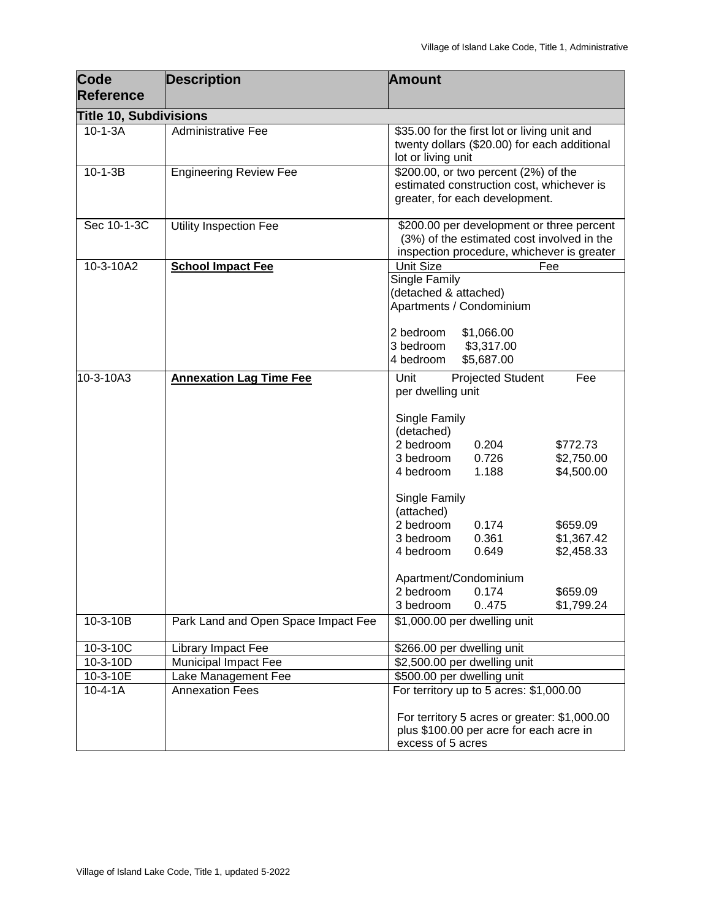| <b>Code</b>                   | <b>Description</b>                  | <b>Amount</b>                                                                                                                                           |
|-------------------------------|-------------------------------------|---------------------------------------------------------------------------------------------------------------------------------------------------------|
| <b>Reference</b>              |                                     |                                                                                                                                                         |
| <b>Title 10, Subdivisions</b> |                                     |                                                                                                                                                         |
| $10-1-3A$                     | <b>Administrative Fee</b>           | \$35.00 for the first lot or living unit and<br>twenty dollars (\$20.00) for each additional<br>lot or living unit                                      |
| $10 - 1 - 3B$                 | <b>Engineering Review Fee</b>       | \$200.00, or two percent (2%) of the<br>estimated construction cost, whichever is<br>greater, for each development.                                     |
| Sec 10-1-3C                   | <b>Utility Inspection Fee</b>       | \$200.00 per development or three percent<br>(3%) of the estimated cost involved in the<br>inspection procedure, whichever is greater                   |
| 10-3-10A2                     | <b>School Impact Fee</b>            | Unit Size<br>Fee                                                                                                                                        |
|                               |                                     | Single Family<br>(detached & attached)<br>Apartments / Condominium                                                                                      |
|                               |                                     | 2 bedroom<br>\$1,066.00<br>3 bedroom<br>\$3,317.00<br>4 bedroom<br>\$5,687.00                                                                           |
| 10-3-10A3                     | <b>Annexation Lag Time Fee</b>      | Projected Student<br>Fee<br>Unit<br>per dwelling unit                                                                                                   |
|                               |                                     | Single Family<br>(detached)                                                                                                                             |
|                               |                                     | 2 bedroom<br>0.204<br>\$772.73<br>0.726                                                                                                                 |
|                               |                                     | \$2,750.00<br>3 bedroom<br>1.188<br>\$4,500.00<br>4 bedroom                                                                                             |
|                               |                                     | Single Family<br>(attached)                                                                                                                             |
|                               |                                     | 2 bedroom<br>0.174<br>\$659.09                                                                                                                          |
|                               |                                     | 0.361<br>\$1,367.42<br>3 bedroom<br>4 bedroom<br>0.649<br>\$2,458.33                                                                                    |
|                               |                                     | Apartment/Condominium                                                                                                                                   |
|                               |                                     | \$659.09<br>2 bedroom<br>0.174                                                                                                                          |
|                               |                                     | 0.475<br>\$1,799.24<br>3 bedroom                                                                                                                        |
| 10-3-10B                      | Park Land and Open Space Impact Fee | \$1,000.00 per dwelling unit                                                                                                                            |
| $10-3-10C$                    | Library Impact Fee                  | \$266.00 per dwelling unit                                                                                                                              |
| $10 - 3 - 10D$                | <b>Municipal Impact Fee</b>         | \$2,500.00 per dwelling unit                                                                                                                            |
| 10-3-10E                      | Lake Management Fee                 | \$500.00 per dwelling unit                                                                                                                              |
| $10 - 4 - 1A$                 | <b>Annexation Fees</b>              | For territory up to 5 acres: \$1,000.00<br>For territory 5 acres or greater: \$1,000.00<br>plus \$100.00 per acre for each acre in<br>excess of 5 acres |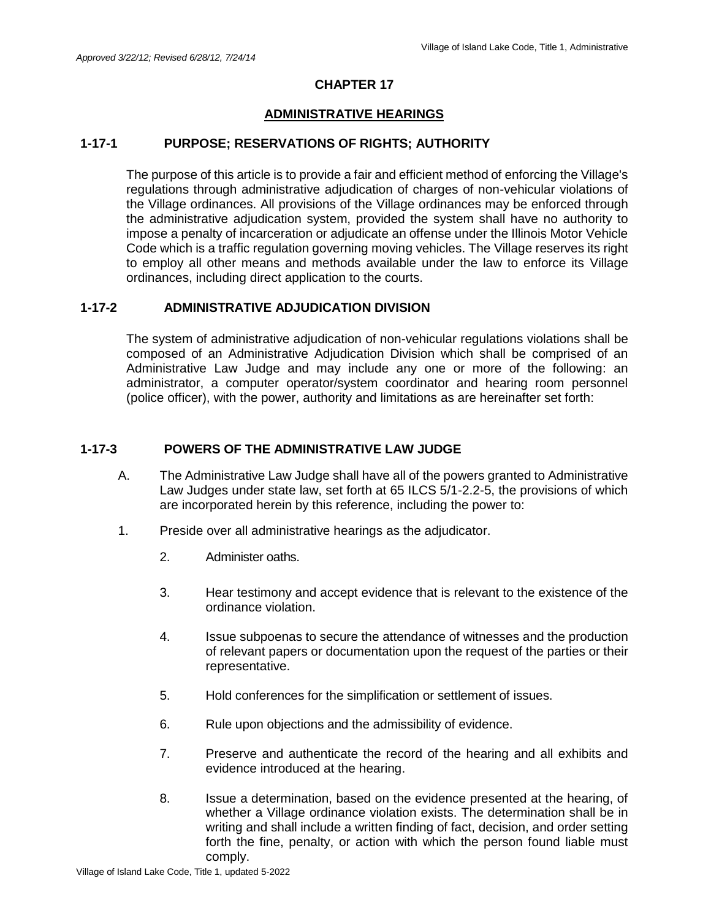#### **ADMINISTRATIVE HEARINGS**

## **1-17-1 PURPOSE; RESERVATIONS OF RIGHTS; AUTHORITY**

The purpose of this article is to provide a fair and efficient method of enforcing the Village's regulations through administrative adjudication of charges of non-vehicular violations of the Village ordinances. All provisions of the Village ordinances may be enforced through the administrative adjudication system, provided the system shall have no authority to impose a penalty of incarceration or adjudicate an offense under the Illinois Motor Vehicle Code which is a traffic regulation governing moving vehicles. The Village reserves its right to employ all other means and methods available under the law to enforce its Village ordinances, including direct application to the courts.

#### **1-17-2 ADMINISTRATIVE ADJUDICATION DIVISION**

The system of administrative adjudication of non-vehicular regulations violations shall be composed of an Administrative Adjudication Division which shall be comprised of an Administrative Law Judge and may include any one or more of the following: an administrator, a computer operator/system coordinator and hearing room personnel (police officer), with the power, authority and limitations as are hereinafter set forth:

#### **1-17-3 POWERS OF THE ADMINISTRATIVE LAW JUDGE**

- A. The Administrative Law Judge shall have all of the powers granted to Administrative Law Judges under state law, set forth at 65 ILCS 5/1-2.2-5, the provisions of which are incorporated herein by this reference, including the power to:
- 1. Preside over all administrative hearings as the adjudicator.
	- 2. Administer oaths.
	- 3. Hear testimony and accept evidence that is relevant to the existence of the ordinance violation.
	- 4. Issue subpoenas to secure the attendance of witnesses and the production of relevant papers or documentation upon the request of the parties or their representative.
	- 5. Hold conferences for the simplification or settlement of issues.
	- 6. Rule upon objections and the admissibility of evidence.
	- 7. Preserve and authenticate the record of the hearing and all exhibits and evidence introduced at the hearing.
	- 8. Issue a determination, based on the evidence presented at the hearing, of whether a Village ordinance violation exists. The determination shall be in writing and shall include a written finding of fact, decision, and order setting forth the fine, penalty, or action with which the person found liable must comply.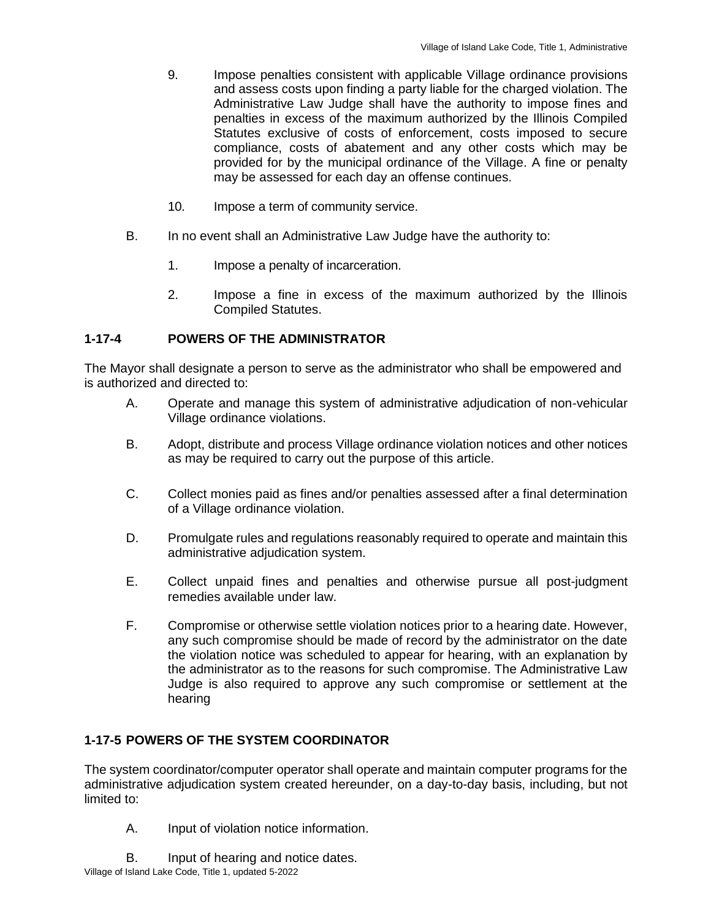- 9. Impose penalties consistent with applicable Village ordinance provisions and assess costs upon finding a party liable for the charged violation. The Administrative Law Judge shall have the authority to impose fines and penalties in excess of the maximum authorized by the Illinois Compiled Statutes exclusive of costs of enforcement, costs imposed to secure compliance, costs of abatement and any other costs which may be provided for by the municipal ordinance of the Village. A fine or penalty may be assessed for each day an offense continues.
- 10. Impose a term of community service.
- B. In no event shall an Administrative Law Judge have the authority to:
	- 1. Impose a penalty of incarceration.
	- 2. Impose a fine in excess of the maximum authorized by the Illinois Compiled Statutes.

## **1-17-4 POWERS OF THE ADMINISTRATOR**

The Mayor shall designate a person to serve as the administrator who shall be empowered and is authorized and directed to:

- A. Operate and manage this system of administrative adjudication of non-vehicular Village ordinance violations.
- B. Adopt, distribute and process Village ordinance violation notices and other notices as may be required to carry out the purpose of this article.
- C. Collect monies paid as fines and/or penalties assessed after a final determination of a Village ordinance violation.
- D. Promulgate rules and regulations reasonably required to operate and maintain this administrative adjudication system.
- E. Collect unpaid fines and penalties and otherwise pursue all post-judgment remedies available under law.
- F. Compromise or otherwise settle violation notices prior to a hearing date. However, any such compromise should be made of record by the administrator on the date the violation notice was scheduled to appear for hearing, with an explanation by the administrator as to the reasons for such compromise. The Administrative Law Judge is also required to approve any such compromise or settlement at the hearing

## **1-17-5 POWERS OF THE SYSTEM COORDINATOR**

The system coordinator/computer operator shall operate and maintain computer programs for the administrative adjudication system created hereunder, on a day-to-day basis, including, but not limited to:

- A. Input of violation notice information.
- Village of Island Lake Code, Title 1, updated 5-2022 B. Input of hearing and notice dates.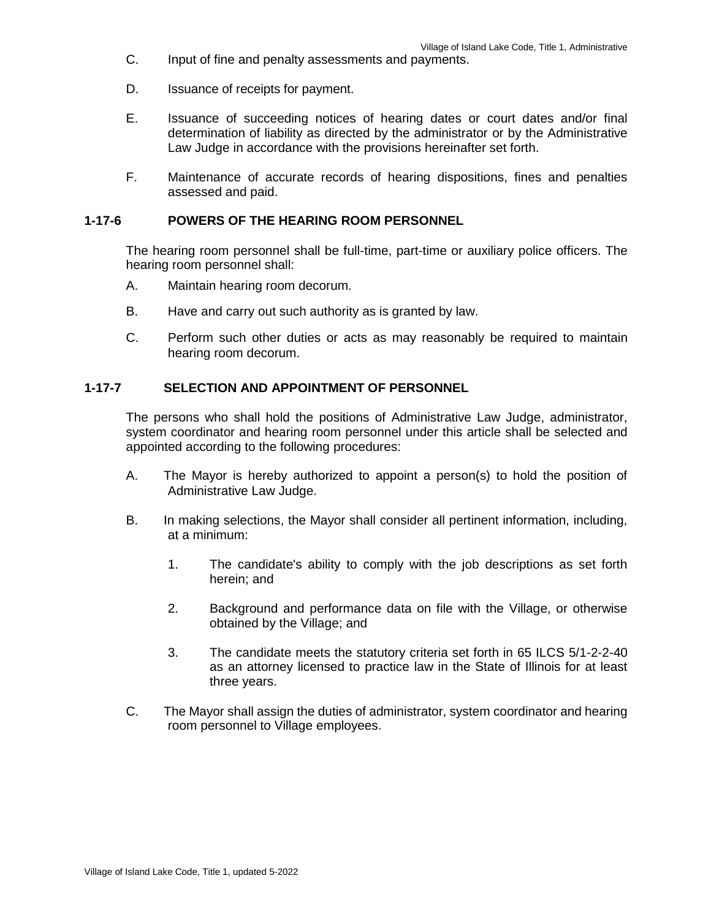- C. Input of fine and penalty assessments and payments.
- D. Issuance of receipts for payment.
- E. Issuance of succeeding notices of hearing dates or court dates and/or final determination of liability as directed by the administrator or by the Administrative Law Judge in accordance with the provisions hereinafter set forth.
- F. Maintenance of accurate records of hearing dispositions, fines and penalties assessed and paid.

#### **1-17-6 POWERS OF THE HEARING ROOM PERSONNEL**

The hearing room personnel shall be full-time, part-time or auxiliary police officers. The hearing room personnel shall:

- A. Maintain hearing room decorum.
- B. Have and carry out such authority as is granted by law.
- C. Perform such other duties or acts as may reasonably be required to maintain hearing room decorum.

#### **1-17-7 SELECTION AND APPOINTMENT OF PERSONNEL**

The persons who shall hold the positions of Administrative Law Judge, administrator, system coordinator and hearing room personnel under this article shall be selected and appointed according to the following procedures:

- A. The Mayor is hereby authorized to appoint a person(s) to hold the position of Administrative Law Judge.
- B. In making selections, the Mayor shall consider all pertinent information, including, at a minimum:
	- 1. The candidate's ability to comply with the job descriptions as set forth herein; and
	- 2. Background and performance data on file with the Village, or otherwise obtained by the Village; and
	- 3. The candidate meets the statutory criteria set forth in 65 ILCS 5/1-2-2-40 as an attorney licensed to practice law in the State of Illinois for at least three years.
- C. The Mayor shall assign the duties of administrator, system coordinator and hearing room personnel to Village employees.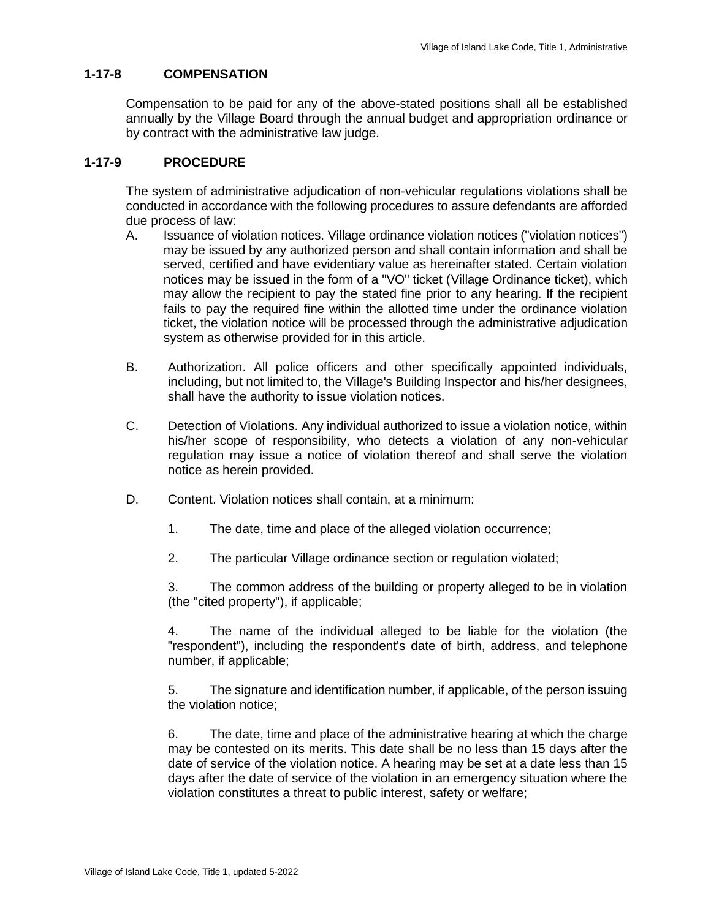## **1-17-8 COMPENSATION**

Compensation to be paid for any of the above-stated positions shall all be established annually by the Village Board through the annual budget and appropriation ordinance or by contract with the administrative law judge.

## **1-17-9 PROCEDURE**

The system of administrative adjudication of non-vehicular regulations violations shall be conducted in accordance with the following procedures to assure defendants are afforded due process of law:

- A. Issuance of violation notices. Village ordinance violation notices ("violation notices") may be issued by any authorized person and shall contain information and shall be served, certified and have evidentiary value as hereinafter stated. Certain violation notices may be issued in the form of a "VO" ticket (Village Ordinance ticket), which may allow the recipient to pay the stated fine prior to any hearing. If the recipient fails to pay the required fine within the allotted time under the ordinance violation ticket, the violation notice will be processed through the administrative adjudication system as otherwise provided for in this article.
- B. Authorization. All police officers and other specifically appointed individuals, including, but not limited to, the Village's Building Inspector and his/her designees, shall have the authority to issue violation notices.
- C. Detection of Violations. Any individual authorized to issue a violation notice, within his/her scope of responsibility, who detects a violation of any non-vehicular regulation may issue a notice of violation thereof and shall serve the violation notice as herein provided.
- D. Content. Violation notices shall contain, at a minimum:
	- 1. The date, time and place of the alleged violation occurrence;
	- 2. The particular Village ordinance section or regulation violated;

3. The common address of the building or property alleged to be in violation (the "cited property"), if applicable;

4. The name of the individual alleged to be liable for the violation (the "respondent"), including the respondent's date of birth, address, and telephone number, if applicable;

5. The signature and identification number, if applicable, of the person issuing the violation notice;

6. The date, time and place of the administrative hearing at which the charge may be contested on its merits. This date shall be no less than 15 days after the date of service of the violation notice. A hearing may be set at a date less than 15 days after the date of service of the violation in an emergency situation where the violation constitutes a threat to public interest, safety or welfare;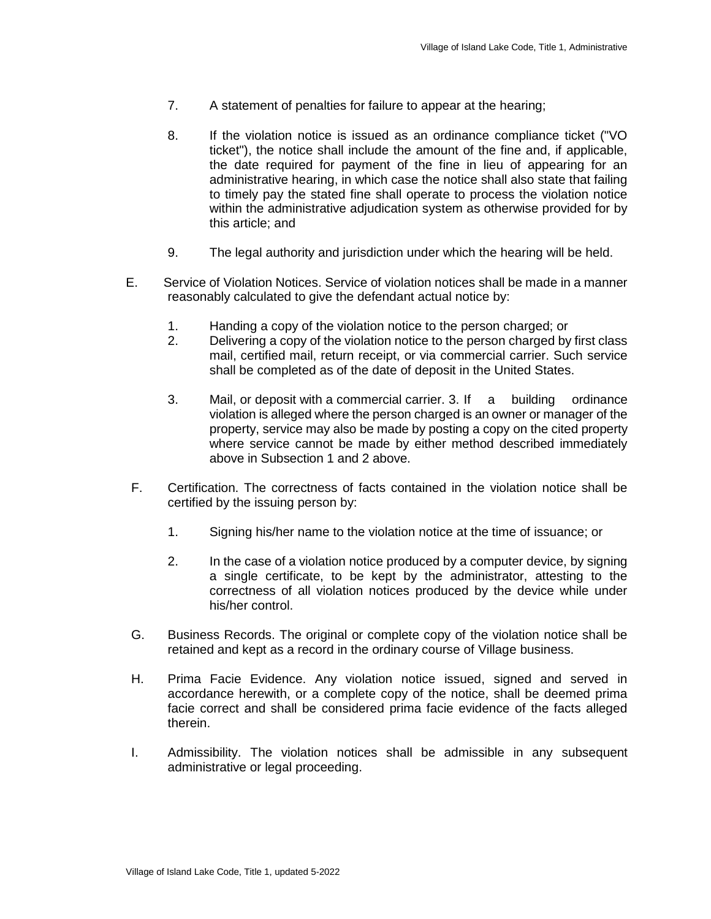- 7. A statement of penalties for failure to appear at the hearing;
- 8. If the violation notice is issued as an ordinance compliance ticket ("VO ticket"), the notice shall include the amount of the fine and, if applicable, the date required for payment of the fine in lieu of appearing for an administrative hearing, in which case the notice shall also state that failing to timely pay the stated fine shall operate to process the violation notice within the administrative adjudication system as otherwise provided for by this article; and
- 9. The legal authority and jurisdiction under which the hearing will be held.
- E. Service of Violation Notices. Service of violation notices shall be made in a manner reasonably calculated to give the defendant actual notice by:
	- 1. Handing a copy of the violation notice to the person charged; or
	- 2. Delivering a copy of the violation notice to the person charged by first class mail, certified mail, return receipt, or via commercial carrier. Such service shall be completed as of the date of deposit in the United States.
	- 3. Mail, or deposit with a commercial carrier. 3. If a building ordinance violation is alleged where the person charged is an owner or manager of the property, service may also be made by posting a copy on the cited property where service cannot be made by either method described immediately above in Subsection 1 and 2 above.
- F. Certification. The correctness of facts contained in the violation notice shall be certified by the issuing person by:
	- 1. Signing his/her name to the violation notice at the time of issuance; or
	- 2. In the case of a violation notice produced by a computer device, by signing a single certificate, to be kept by the administrator, attesting to the correctness of all violation notices produced by the device while under his/her control.
- G. Business Records. The original or complete copy of the violation notice shall be retained and kept as a record in the ordinary course of Village business.
- H. Prima Facie Evidence. Any violation notice issued, signed and served in accordance herewith, or a complete copy of the notice, shall be deemed prima facie correct and shall be considered prima facie evidence of the facts alleged therein.
- I. Admissibility. The violation notices shall be admissible in any subsequent administrative or legal proceeding.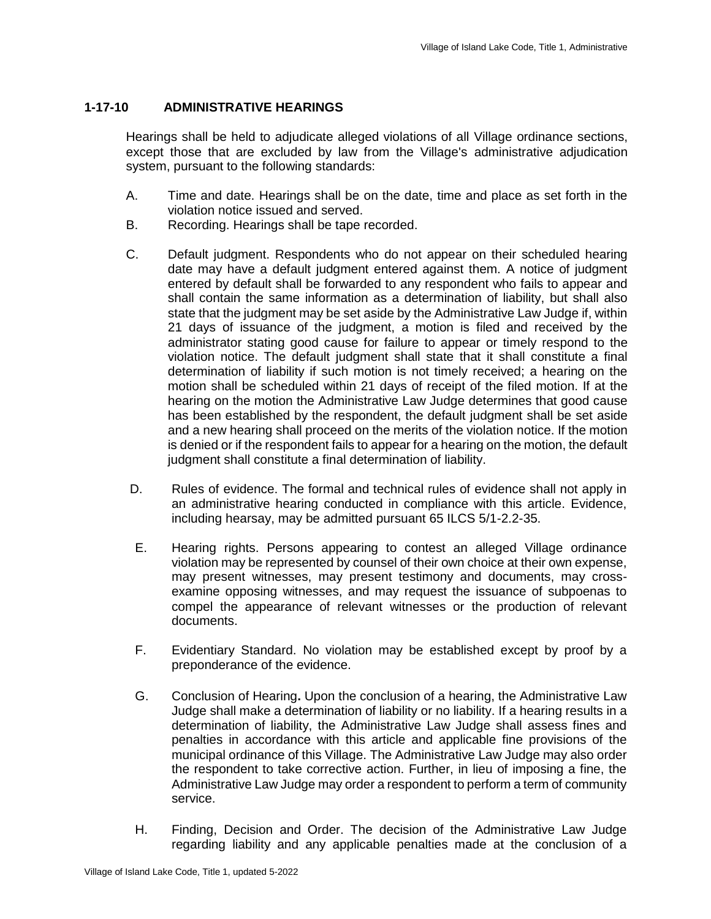## **1-17-10 ADMINISTRATIVE HEARINGS**

Hearings shall be held to adjudicate alleged violations of all Village ordinance sections, except those that are excluded by law from the Village's administrative adjudication system, pursuant to the following standards:

- A. Time and date. Hearings shall be on the date, time and place as set forth in the violation notice issued and served.
- B. Recording. Hearings shall be tape recorded.
- C. Default judgment. Respondents who do not appear on their scheduled hearing date may have a default judgment entered against them. A notice of judgment entered by default shall be forwarded to any respondent who fails to appear and shall contain the same information as a determination of liability, but shall also state that the judgment may be set aside by the Administrative Law Judge if, within 21 days of issuance of the judgment, a motion is filed and received by the administrator stating good cause for failure to appear or timely respond to the violation notice. The default judgment shall state that it shall constitute a final determination of liability if such motion is not timely received; a hearing on the motion shall be scheduled within 21 days of receipt of the filed motion. If at the hearing on the motion the Administrative Law Judge determines that good cause has been established by the respondent, the default judgment shall be set aside and a new hearing shall proceed on the merits of the violation notice. If the motion is denied or if the respondent fails to appear for a hearing on the motion, the default judgment shall constitute a final determination of liability.
- D. Rules of evidence. The formal and technical rules of evidence shall not apply in an administrative hearing conducted in compliance with this article. Evidence, including hearsay, may be admitted pursuant 65 ILCS 5/1-2.2-35.
- E. Hearing rights. Persons appearing to contest an alleged Village ordinance violation may be represented by counsel of their own choice at their own expense, may present witnesses, may present testimony and documents, may crossexamine opposing witnesses, and may request the issuance of subpoenas to compel the appearance of relevant witnesses or the production of relevant documents.
- F. Evidentiary Standard. No violation may be established except by proof by a preponderance of the evidence.
- G. Conclusion of Hearing**.** Upon the conclusion of a hearing, the Administrative Law Judge shall make a determination of liability or no liability. If a hearing results in a determination of liability, the Administrative Law Judge shall assess fines and penalties in accordance with this article and applicable fine provisions of the municipal ordinance of this Village. The Administrative Law Judge may also order the respondent to take corrective action. Further, in lieu of imposing a fine, the Administrative Law Judge may order a respondent to perform a term of community service.
- H. Finding, Decision and Order. The decision of the Administrative Law Judge regarding liability and any applicable penalties made at the conclusion of a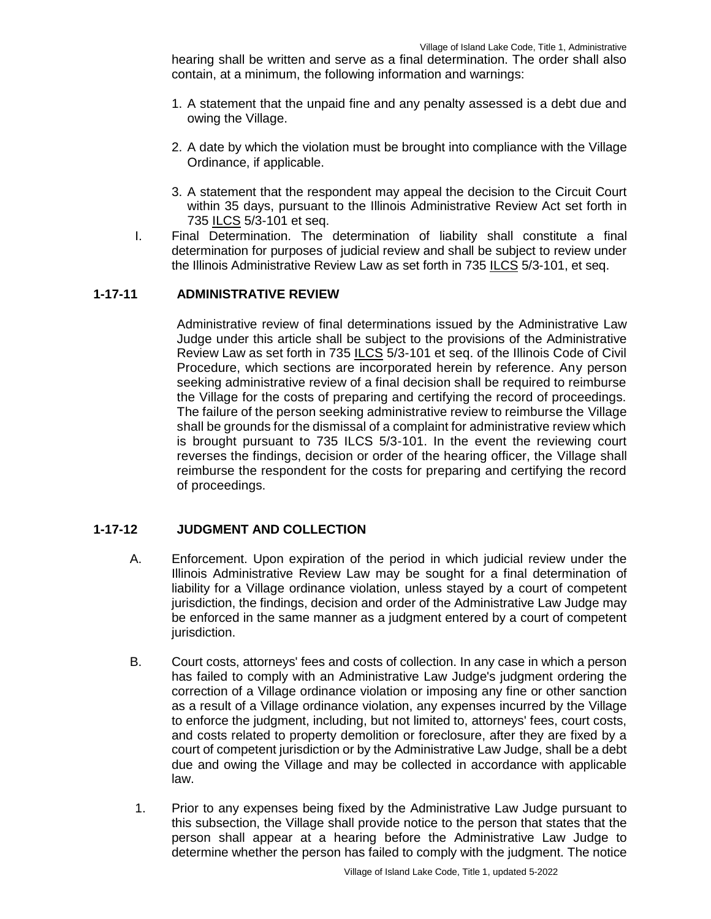hearing shall be written and serve as a final determination. The order shall also contain, at a minimum, the following information and warnings:

- 1. A statement that the unpaid fine and any penalty assessed is a debt due and owing the Village.
- 2. A date by which the violation must be brought into compliance with the Village Ordinance, if applicable.
- 3. A statement that the respondent may appeal the decision to the Circuit Court within 35 days, pursuant to the Illinois Administrative Review Act set forth in 735 ILCS 5/3-101 et seq.
- I. Final Determination. The determination of liability shall constitute a final determination for purposes of judicial review and shall be subject to review under the Illinois Administrative Review Law as set forth in 735 ILCS 5/3-101, et seq.

#### **1-17-11 ADMINISTRATIVE REVIEW**

Administrative review of final determinations issued by the Administrative Law Judge under this article shall be subject to the provisions of the Administrative Review Law as set forth in 735 ILCS 5/3-101 et seq. of the Illinois Code of Civil Procedure, which sections are incorporated herein by reference. Any person seeking administrative review of a final decision shall be required to reimburse the Village for the costs of preparing and certifying the record of proceedings. The failure of the person seeking administrative review to reimburse the Village shall be grounds for the dismissal of a complaint for administrative review which is brought pursuant to 735 ILCS 5/3-101. In the event the reviewing court reverses the findings, decision or order of the hearing officer, the Village shall reimburse the respondent for the costs for preparing and certifying the record of proceedings.

## **1-17-12 JUDGMENT AND COLLECTION**

- A. Enforcement. Upon expiration of the period in which judicial review under the Illinois Administrative Review Law may be sought for a final determination of liability for a Village ordinance violation, unless stayed by a court of competent jurisdiction, the findings, decision and order of the Administrative Law Judge may be enforced in the same manner as a judgment entered by a court of competent jurisdiction.
- B. Court costs, attorneys' fees and costs of collection. In any case in which a person has failed to comply with an Administrative Law Judge's judgment ordering the correction of a Village ordinance violation or imposing any fine or other sanction as a result of a Village ordinance violation, any expenses incurred by the Village to enforce the judgment, including, but not limited to, attorneys' fees, court costs, and costs related to property demolition or foreclosure, after they are fixed by a court of competent jurisdiction or by the Administrative Law Judge, shall be a debt due and owing the Village and may be collected in accordance with applicable law.
- 1. Prior to any expenses being fixed by the Administrative Law Judge pursuant to this subsection, the Village shall provide notice to the person that states that the person shall appear at a hearing before the Administrative Law Judge to determine whether the person has failed to comply with the judgment. The notice